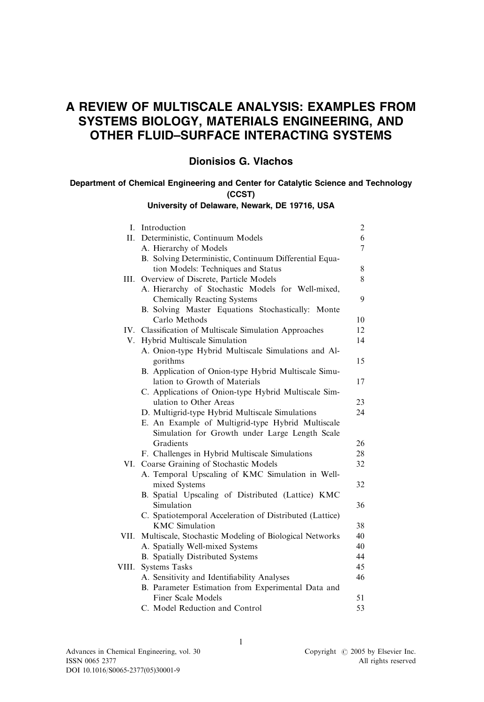# A REVIEW OF MULTISCALE ANALYSIS: EXAMPLES FROM SYSTEMS BIOLOGY, MATERIALS ENGINEERING, AND OTHER FLUID–SURFACE INTERACTING SYSTEMS

# Dionisios G. Vlachos

# Department of Chemical Engineering and Center for Catalytic Science and Technology (CCST)

#### University of Delaware, Newark, DE 19716, USA

|       | I. Introduction                                                                  | $\overline{c}$ |
|-------|----------------------------------------------------------------------------------|----------------|
|       | II. Deterministic, Continuum Models                                              | 6              |
|       | A. Hierarchy of Models                                                           | $\tau$         |
|       | B. Solving Deterministic, Continuum Differential Equa-                           |                |
|       | tion Models: Techniques and Status                                               | 8              |
|       | III. Overview of Discrete, Particle Models                                       | 8              |
|       | A. Hierarchy of Stochastic Models for Well-mixed,<br>Chemically Reacting Systems | 9              |
|       | B. Solving Master Equations Stochastically: Monte                                |                |
|       | Carlo Methods                                                                    | 10             |
|       | IV. Classification of Multiscale Simulation Approaches                           | 12             |
|       | V. Hybrid Multiscale Simulation                                                  | 14             |
|       | A. Onion-type Hybrid Multiscale Simulations and Al-                              |                |
|       | gorithms                                                                         | 15             |
|       | B. Application of Onion-type Hybrid Multiscale Simu-                             |                |
|       | lation to Growth of Materials                                                    | 17             |
|       | C. Applications of Onion-type Hybrid Multiscale Sim-                             |                |
|       | ulation to Other Areas                                                           | 23             |
|       | D. Multigrid-type Hybrid Multiscale Simulations                                  | 24             |
|       | E. An Example of Multigrid-type Hybrid Multiscale                                |                |
|       | Simulation for Growth under Large Length Scale                                   |                |
|       | Gradients                                                                        | 26             |
|       | F. Challenges in Hybrid Multiscale Simulations                                   | 28             |
|       | VI. Coarse Graining of Stochastic Models                                         | 32             |
|       | A. Temporal Upscaling of KMC Simulation in Well-                                 |                |
|       | mixed Systems                                                                    | 32             |
|       | B. Spatial Upscaling of Distributed (Lattice) KMC                                |                |
|       | Simulation                                                                       | 36             |
|       | C. Spatiotemporal Acceleration of Distributed (Lattice)                          |                |
|       | <b>KMC</b> Simulation                                                            | 38             |
| VII.  | Multiscale, Stochastic Modeling of Biological Networks                           | 40             |
|       | A. Spatially Well-mixed Systems                                                  | 40             |
|       | <b>B.</b> Spatially Distributed Systems                                          | 44             |
| VIII. | <b>Systems Tasks</b>                                                             | 45             |
|       | A. Sensitivity and Identifiability Analyses                                      | 46             |
|       | B. Parameter Estimation from Experimental Data and                               |                |
|       | Finer Scale Models                                                               | 51             |
|       | C. Model Reduction and Control                                                   | 53             |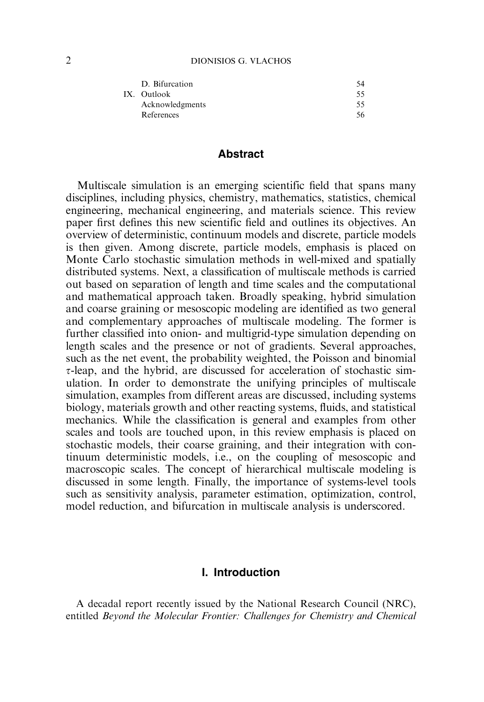|  | D. Bifurcation  | 54 |
|--|-----------------|----|
|  | IX. Outlook     | 55 |
|  | Acknowledgments | 55 |
|  | References      | 56 |

## **Abstract**

Multiscale simulation is an emerging scientific field that spans many disciplines, including physics, chemistry, mathematics, statistics, chemical engineering, mechanical engineering, and materials science. This review paper first defines this new scientific field and outlines its objectives. An overview of deterministic, continuum models and discrete, particle models is then given. Among discrete, particle models, emphasis is placed on Monte Carlo stochastic simulation methods in well-mixed and spatially distributed systems. Next, a classification of multiscale methods is carried out based on separation of length and time scales and the computational and mathematical approach taken. Broadly speaking, hybrid simulation and coarse graining or mesoscopic modeling are identified as two general and complementary approaches of multiscale modeling. The former is further classified into onion- and multigrid-type simulation depending on length scales and the presence or not of gradients. Several approaches, such as the net event, the probability weighted, the Poisson and binomial  $\tau$ -leap, and the hybrid, are discussed for acceleration of stochastic simulation. In order to demonstrate the unifying principles of multiscale simulation, examples from different areas are discussed, including systems biology, materials growth and other reacting systems, fluids, and statistical mechanics. While the classification is general and examples from other scales and tools are touched upon, in this review emphasis is placed on stochastic models, their coarse graining, and their integration with continuum deterministic models, i.e., on the coupling of mesoscopic and macroscopic scales. The concept of hierarchical multiscale modeling is discussed in some length. Finally, the importance of systems-level tools such as sensitivity analysis, parameter estimation, optimization, control, model reduction, and bifurcation in multiscale analysis is underscored.

### I. Introduction

A decadal report recently issued by the National Research Council (NRC), entitled Beyond the Molecular Frontier: Challenges for Chemistry and Chemical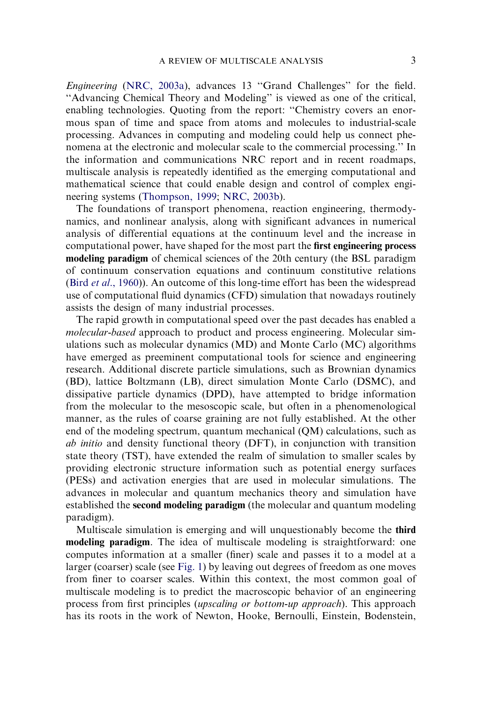Engineering [\(NRC, 2003a](#page-59-0)), advances 13 ''Grand Challenges'' for the field. ''Advancing Chemical Theory and Modeling'' is viewed as one of the critical, enabling technologies. Quoting from the report: ''Chemistry covers an enormous span of time and space from atoms and molecules to industrial-scale processing. Advances in computing and modeling could help us connect phenomena at the electronic and molecular scale to the commercial processing.'' In the information and communications NRC report and in recent roadmaps, multiscale analysis is repeatedly identified as the emerging computational and mathematical science that could enable design and control of complex engineering systems [\(Thompson, 1999;](#page-60-0) [NRC, 2003b](#page-59-0)).

The foundations of transport phenomena, reaction engineering, thermodynamics, and nonlinear analysis, along with significant advances in numerical analysis of differential equations at the continuum level and the increase in computational power, have shaped for the most part the first engineering process modeling paradigm of chemical sciences of the 20th century (the BSL paradigm of continuum conservation equations and continuum constitutive relations (Bird et al[., 1960](#page-55-0))). An outcome of this long-time effort has been the widespread use of computational fluid dynamics (CFD) simulation that nowadays routinely assists the design of many industrial processes.

The rapid growth in computational speed over the past decades has enabled a molecular-based approach to product and process engineering. Molecular simulations such as molecular dynamics (MD) and Monte Carlo (MC) algorithms have emerged as preeminent computational tools for science and engineering research. Additional discrete particle simulations, such as Brownian dynamics (BD), lattice Boltzmann (LB), direct simulation Monte Carlo (DSMC), and dissipative particle dynamics (DPD), have attempted to bridge information from the molecular to the mesoscopic scale, but often in a phenomenological manner, as the rules of coarse graining are not fully established. At the other end of the modeling spectrum, quantum mechanical (QM) calculations, such as ab initio and density functional theory (DFT), in conjunction with transition state theory (TST), have extended the realm of simulation to smaller scales by providing electronic structure information such as potential energy surfaces (PESs) and activation energies that are used in molecular simulations. The advances in molecular and quantum mechanics theory and simulation have established the second modeling paradigm (the molecular and quantum modeling paradigm).

Multiscale simulation is emerging and will unquestionably become the third modeling paradigm. The idea of multiscale modeling is straightforward: one computes information at a smaller (finer) scale and passes it to a model at a larger (coarser) scale (see [Fig. 1](#page-3-0)) by leaving out degrees of freedom as one moves from finer to coarser scales. Within this context, the most common goal of multiscale modeling is to predict the macroscopic behavior of an engineering process from first principles (upscaling or bottom-up approach). This approach has its roots in the work of Newton, Hooke, Bernoulli, Einstein, Bodenstein,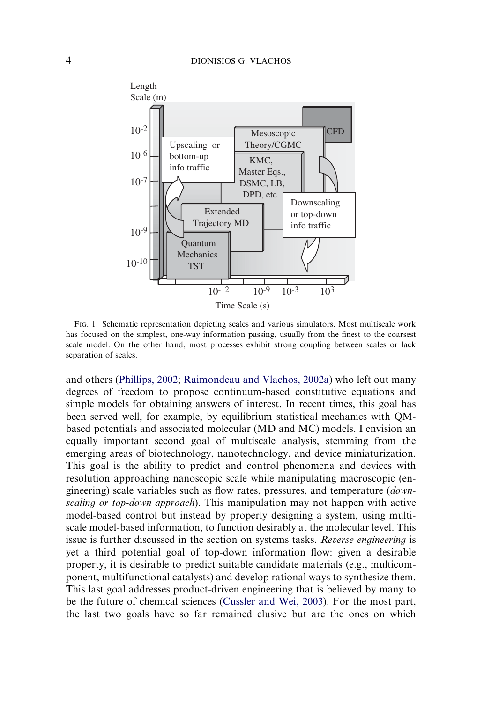<span id="page-3-0"></span>

FIG. 1. Schematic representation depicting scales and various simulators. Most multiscale work has focused on the simplest, one-way information passing, usually from the finest to the coarsest scale model. On the other hand, most processes exhibit strong coupling between scales or lack separation of scales.

and others ([Phillips, 2002](#page-59-0); [Raimondeau and Vlachos, 2002a](#page-59-0)) who left out many degrees of freedom to propose continuum-based constitutive equations and simple models for obtaining answers of interest. In recent times, this goal has been served well, for example, by equilibrium statistical mechanics with QMbased potentials and associated molecular (MD and MC) models. I envision an equally important second goal of multiscale analysis, stemming from the emerging areas of biotechnology, nanotechnology, and device miniaturization. This goal is the ability to predict and control phenomena and devices with resolution approaching nanoscopic scale while manipulating macroscopic (engineering) scale variables such as flow rates, pressures, and temperature (downscaling or top-down approach). This manipulation may not happen with active model-based control but instead by properly designing a system, using multiscale model-based information, to function desirably at the molecular level. This issue is further discussed in the section on systems tasks. *Reverse engineering* is yet a third potential goal of top-down information flow: given a desirable property, it is desirable to predict suitable candidate materials (e.g., multicomponent, multifunctional catalysts) and develop rational ways to synthesize them. This last goal addresses product-driven engineering that is believed by many to be the future of chemical sciences ([Cussler and Wei, 2003\)](#page-56-0). For the most part, the last two goals have so far remained elusive but are the ones on which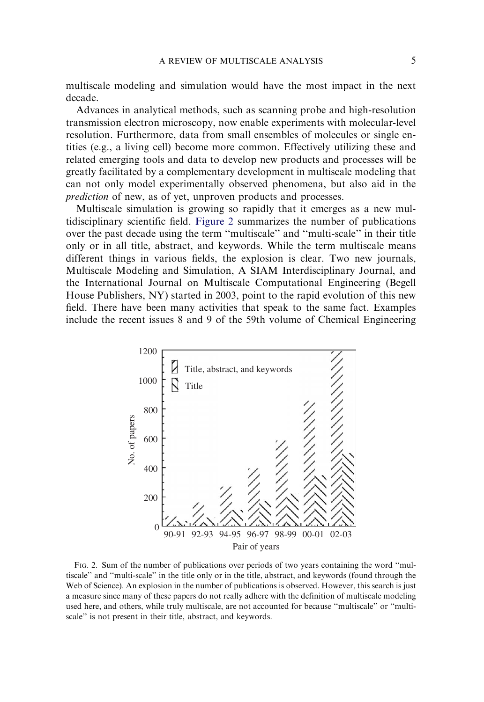multiscale modeling and simulation would have the most impact in the next decade.

Advances in analytical methods, such as scanning probe and high-resolution transmission electron microscopy, now enable experiments with molecular-level resolution. Furthermore, data from small ensembles of molecules or single entities (e.g., a living cell) become more common. Effectively utilizing these and related emerging tools and data to develop new products and processes will be greatly facilitated by a complementary development in multiscale modeling that can not only model experimentally observed phenomena, but also aid in the prediction of new, as of yet, unproven products and processes.

Multiscale simulation is growing so rapidly that it emerges as a new multidisciplinary scientific field. Figure 2 summarizes the number of publications over the past decade using the term ''multiscale'' and ''multi-scale'' in their title only or in all title, abstract, and keywords. While the term multiscale means different things in various fields, the explosion is clear. Two new journals, Multiscale Modeling and Simulation, A SIAM Interdisciplinary Journal, and the International Journal on Multiscale Computational Engineering (Begell House Publishers, NY) started in 2003, point to the rapid evolution of this new field. There have been many activities that speak to the same fact. Examples include the recent issues 8 and 9 of the 59th volume of Chemical Engineering



FIG. 2. Sum of the number of publications over periods of two years containing the word ''multiscale'' and ''multi-scale'' in the title only or in the title, abstract, and keywords (found through the Web of Science). An explosion in the number of publications is observed. However, this search is just a measure since many of these papers do not really adhere with the definition of multiscale modeling used here, and others, while truly multiscale, are not accounted for because ''multiscale'' or ''multiscale'' is not present in their title, abstract, and keywords.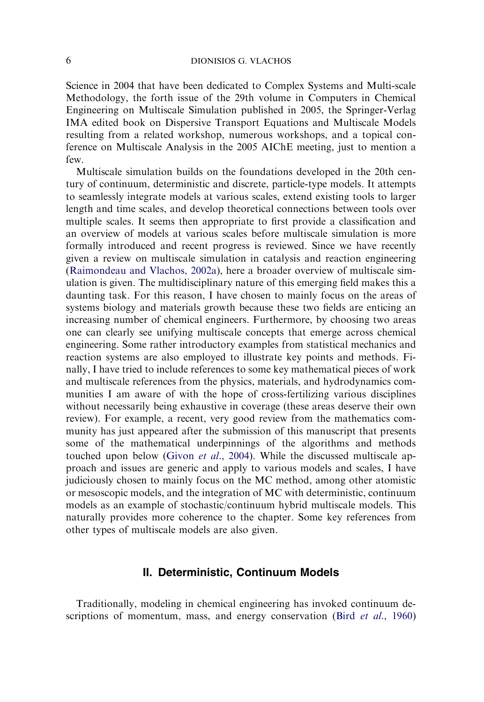Science in 2004 that have been dedicated to Complex Systems and Multi-scale Methodology, the forth issue of the 29th volume in Computers in Chemical Engineering on Multiscale Simulation published in 2005, the Springer-Verlag IMA edited book on Dispersive Transport Equations and Multiscale Models resulting from a related workshop, numerous workshops, and a topical conference on Multiscale Analysis in the 2005 AIChE meeting, just to mention a few.

Multiscale simulation builds on the foundations developed in the 20th century of continuum, deterministic and discrete, particle-type models. It attempts to seamlessly integrate models at various scales, extend existing tools to larger length and time scales, and develop theoretical connections between tools over multiple scales. It seems then appropriate to first provide a classification and an overview of models at various scales before multiscale simulation is more formally introduced and recent progress is reviewed. Since we have recently given a review on multiscale simulation in catalysis and reaction engineering [\(Raimondeau and Vlachos, 2002a\)](#page-59-0), here a broader overview of multiscale simulation is given. The multidisciplinary nature of this emerging field makes this a daunting task. For this reason, I have chosen to mainly focus on the areas of systems biology and materials growth because these two fields are enticing an increasing number of chemical engineers. Furthermore, by choosing two areas one can clearly see unifying multiscale concepts that emerge across chemical engineering. Some rather introductory examples from statistical mechanics and reaction systems are also employed to illustrate key points and methods. Finally, I have tried to include references to some key mathematical pieces of work and multiscale references from the physics, materials, and hydrodynamics communities I am aware of with the hope of cross-fertilizing various disciplines without necessarily being exhaustive in coverage (these areas deserve their own review). For example, a recent, very good review from the mathematics community has just appeared after the submission of this manuscript that presents some of the mathematical underpinnings of the algorithms and methods touched upon below (Givon et al[., 2004](#page-57-0)). While the discussed multiscale approach and issues are generic and apply to various models and scales, I have judiciously chosen to mainly focus on the MC method, among other atomistic or mesoscopic models, and the integration of MC with deterministic, continuum models as an example of stochastic/continuum hybrid multiscale models. This naturally provides more coherence to the chapter. Some key references from other types of multiscale models are also given.

## II. Deterministic, Continuum Models

Traditionally, modeling in chemical engineering has invoked continuum de-scriptions of momentum, mass, and energy conservation (Bird et al[., 1960](#page-55-0))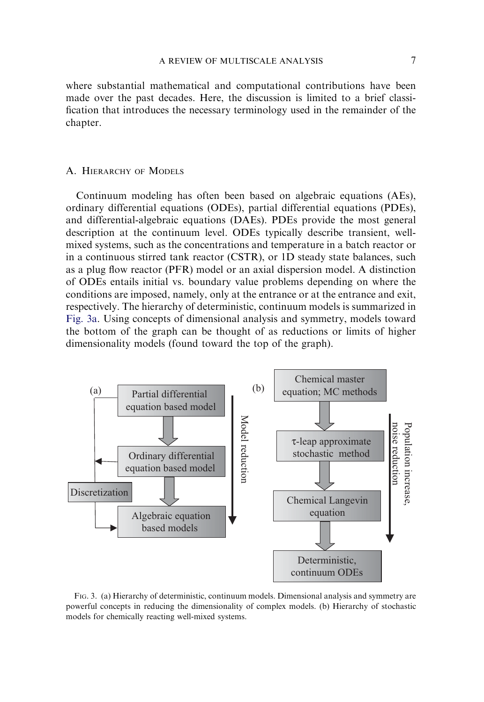<span id="page-6-0"></span>where substantial mathematical and computational contributions have been made over the past decades. Here, the discussion is limited to a brief classification that introduces the necessary terminology used in the remainder of the chapter.

#### A. HIERARCHY OF MODELS

Continuum modeling has often been based on algebraic equations (AEs), ordinary differential equations (ODEs), partial differential equations (PDEs), and differential-algebraic equations (DAEs). PDEs provide the most general description at the continuum level. ODEs typically describe transient, wellmixed systems, such as the concentrations and temperature in a batch reactor or in a continuous stirred tank reactor (CSTR), or 1D steady state balances, such as a plug flow reactor (PFR) model or an axial dispersion model. A distinction of ODEs entails initial vs. boundary value problems depending on where the conditions are imposed, namely, only at the entrance or at the entrance and exit, respectively. The hierarchy of deterministic, continuum models is summarized in Fig. 3a. Using concepts of dimensional analysis and symmetry, models toward the bottom of the graph can be thought of as reductions or limits of higher dimensionality models (found toward the top of the graph).



FIG. 3. (a) Hierarchy of deterministic, continuum models. Dimensional analysis and symmetry are powerful concepts in reducing the dimensionality of complex models. (b) Hierarchy of stochastic models for chemically reacting well-mixed systems.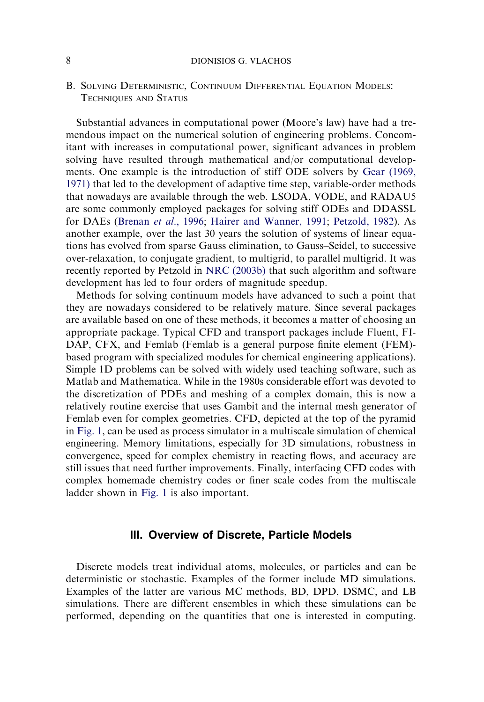## B. SOLVING DETERMINISTIC, CONTINUUM DIFFERENTIAL EQUATION MODELS: TECHNIQUES AND STATUS

Substantial advances in computational power (Moore's law) have had a tremendous impact on the numerical solution of engineering problems. Concomitant with increases in computational power, significant advances in problem solving have resulted through mathematical and/or computational developments. One example is the introduction of stiff ODE solvers by [Gear \(1969,](#page-57-0) [1971\)](#page-57-0) that led to the development of adaptive time step, variable-order methods that nowadays are available through the web. LSODA, VODE, and RADAU5 are some commonly employed packages for solving stiff ODEs and DDASSL for DAEs ([Brenan](#page-55-0) et al., 1996; [Hairer and Wanner, 1991](#page-57-0); [Petzold, 1982](#page-59-0)). As another example, over the last 30 years the solution of systems of linear equations has evolved from sparse Gauss elimination, to Gauss–Seidel, to successive over-relaxation, to conjugate gradient, to multigrid, to parallel multigrid. It was recently reported by Petzold in [NRC \(2003b\)](#page-59-0) that such algorithm and software development has led to four orders of magnitude speedup.

Methods for solving continuum models have advanced to such a point that they are nowadays considered to be relatively mature. Since several packages are available based on one of these methods, it becomes a matter of choosing an appropriate package. Typical CFD and transport packages include Fluent, FI-DAP, CFX, and Femlab (Femlab is a general purpose finite element (FEM) based program with specialized modules for chemical engineering applications). Simple 1D problems can be solved with widely used teaching software, such as Matlab and Mathematica. While in the 1980s considerable effort was devoted to the discretization of PDEs and meshing of a complex domain, this is now a relatively routine exercise that uses Gambit and the internal mesh generator of Femlab even for complex geometries. CFD, depicted at the top of the pyramid in [Fig. 1,](#page-3-0) can be used as process simulator in a multiscale simulation of chemical engineering. Memory limitations, especially for 3D simulations, robustness in convergence, speed for complex chemistry in reacting flows, and accuracy are still issues that need further improvements. Finally, interfacing CFD codes with complex homemade chemistry codes or finer scale codes from the multiscale ladder shown in [Fig. 1](#page-3-0) is also important.

## III. Overview of Discrete, Particle Models

Discrete models treat individual atoms, molecules, or particles and can be deterministic or stochastic. Examples of the former include MD simulations. Examples of the latter are various MC methods, BD, DPD, DSMC, and LB simulations. There are different ensembles in which these simulations can be performed, depending on the quantities that one is interested in computing.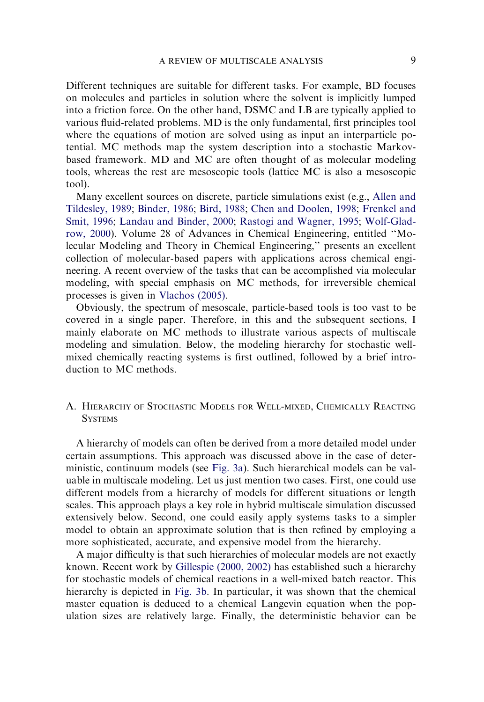Different techniques are suitable for different tasks. For example, BD focuses on molecules and particles in solution where the solvent is implicitly lumped into a friction force. On the other hand, DSMC and LB are typically applied to various fluid-related problems. MD is the only fundamental, first principles tool where the equations of motion are solved using as input an interparticle potential. MC methods map the system description into a stochastic Markovbased framework. MD and MC are often thought of as molecular modeling tools, whereas the rest are mesoscopic tools (lattice MC is also a mesoscopic tool).

Many excellent sources on discrete, particle simulations exist (e.g., [Allen and](#page-55-0) [Tildesley, 1989](#page-55-0); [Binder, 1986](#page-55-0); [Bird, 1988](#page-55-0); [Chen and Doolen, 1998;](#page-56-0) [Frenkel and](#page-56-0) [Smit, 1996](#page-56-0); [Landau and Binder, 2000;](#page-58-0) [Rastogi and Wagner, 1995](#page-59-0); [Wolf-Glad](#page-60-0)[row, 2000](#page-60-0)). Volume 28 of Advances in Chemical Engineering, entitled ''Molecular Modeling and Theory in Chemical Engineering,'' presents an excellent collection of molecular-based papers with applications across chemical engineering. A recent overview of the tasks that can be accomplished via molecular modeling, with special emphasis on MC methods, for irreversible chemical processes is given in [Vlachos \(2005\).](#page-60-0)

Obviously, the spectrum of mesoscale, particle-based tools is too vast to be covered in a single paper. Therefore, in this and the subsequent sections, I mainly elaborate on MC methods to illustrate various aspects of multiscale modeling and simulation. Below, the modeling hierarchy for stochastic wellmixed chemically reacting systems is first outlined, followed by a brief introduction to MC methods.

## A. HIERARCHY OF STOCHASTIC MODELS FOR WELL-MIXED, CHEMICALLY REACTING **SYSTEMS**

A hierarchy of models can often be derived from a more detailed model under certain assumptions. This approach was discussed above in the case of deterministic, continuum models (see [Fig. 3a](#page-6-0)). Such hierarchical models can be valuable in multiscale modeling. Let us just mention two cases. First, one could use different models from a hierarchy of models for different situations or length scales. This approach plays a key role in hybrid multiscale simulation discussed extensively below. Second, one could easily apply systems tasks to a simpler model to obtain an approximate solution that is then refined by employing a more sophisticated, accurate, and expensive model from the hierarchy.

A major difficulty is that such hierarchies of molecular models are not exactly known. Recent work by [Gillespie \(2000, 2002\)](#page-57-0) has established such a hierarchy for stochastic models of chemical reactions in a well-mixed batch reactor. This hierarchy is depicted in [Fig. 3b.](#page-6-0) In particular, it was shown that the chemical master equation is deduced to a chemical Langevin equation when the population sizes are relatively large. Finally, the deterministic behavior can be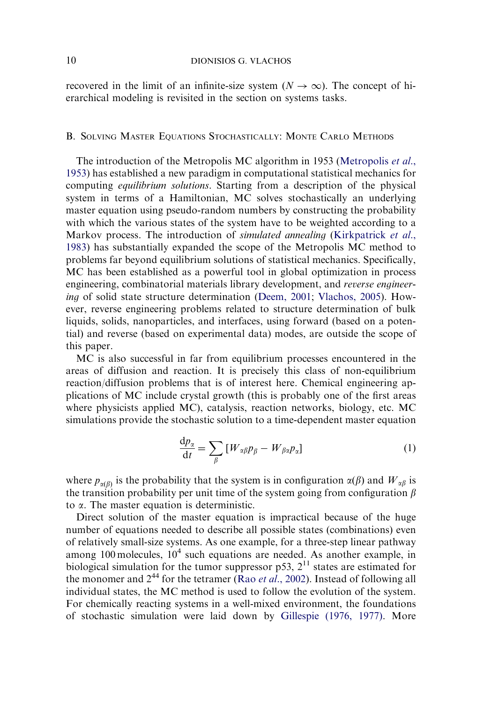recovered in the limit of an infinite-size system  $(N \to \infty)$ . The concept of hierarchical modeling is revisited in the section on systems tasks.

#### B. SOLVING MASTER EQUATIONS STOCHASTICALLY: MONTE CARLO METHODS

The introduction of the [Metropolis](#page-58-0) MC algorithm in 1953 (Metropolis et al., [1953\)](#page-58-0) has established a new paradigm in computational statistical mechanics for computing equilibrium solutions. Starting from a description of the physical system in terms of a Hamiltonian, MC solves stochastically an underlying master equation using pseudo-random numbers by constructing the probability with which the various states of the system have to be weighted according to a Markov process. The introduction of *simulated annealing* ([Kirkpatrick](#page-58-0) *et al.*, [1983\)](#page-58-0) has substantially expanded the scope of the Metropolis MC method to problems far beyond equilibrium solutions of statistical mechanics. Specifically, MC has been established as a powerful tool in global optimization in process engineering, combinatorial materials library development, and reverse engineering of solid state structure determination ([Deem, 2001](#page-56-0); [Vlachos, 2005](#page-60-0)). However, reverse engineering problems related to structure determination of bulk liquids, solids, nanoparticles, and interfaces, using forward (based on a potential) and reverse (based on experimental data) modes, are outside the scope of this paper.

MC is also successful in far from equilibrium processes encountered in the areas of diffusion and reaction. It is precisely this class of non-equilibrium reaction/diffusion problems that is of interest here. Chemical engineering applications of MC include crystal growth (this is probably one of the first areas where physicists applied MC), catalysis, reaction networks, biology, etc. MC simulations provide the stochastic solution to a time-dependent master equation

$$
\frac{\mathrm{d}p_{\alpha}}{\mathrm{d}t} = \sum_{\beta} \left[ W_{\alpha\beta} p_{\beta} - W_{\beta\alpha} p_{\alpha} \right] \tag{1}
$$

where  $p_{\gamma(\beta)}$  is the probability that the system is in configuration  $\alpha(\beta)$  and  $W_{\alpha\beta}$  is the transition probability per unit time of the system going from configuration  $\beta$ to a. The master equation is deterministic.

Direct solution of the master equation is impractical because of the huge number of equations needed to describe all possible states (combinations) even of relatively small-size systems. As one example, for a three-step linear pathway among  $100$  molecules,  $10<sup>4</sup>$  such equations are needed. As another example, in biological simulation for the tumor suppressor p53,  $2^{11}$  states are estimated for the monomer and  $2^{44}$  for the tetramer (Rao *et al.*, 2002). Instead of following all individual states, the MC method is used to follow the evolution of the system. For chemically reacting systems in a well-mixed environment, the foundations of stochastic simulation were laid down by [Gillespie \(1976, 1977\)](#page-57-0). More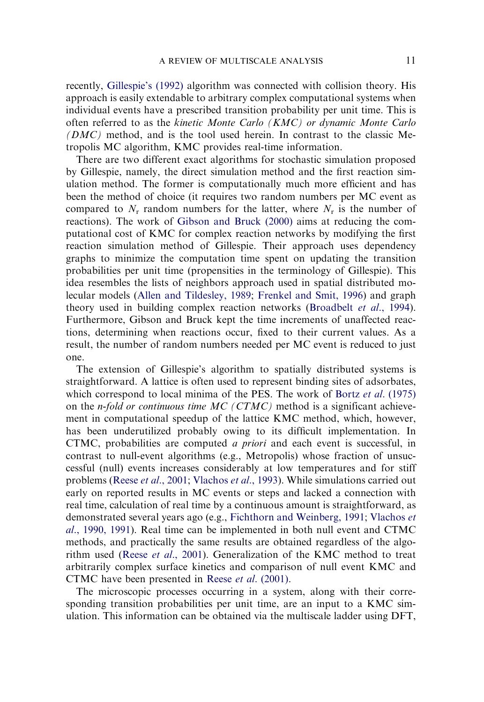recently, [Gillespie's \(1992\)](#page-57-0) algorithm was connected with collision theory. His approach is easily extendable to arbitrary complex computational systems when individual events have a prescribed transition probability per unit time. This is often referred to as the kinetic Monte Carlo (KMC) or dynamic Monte Carlo  $(DMC)$  method, and is the tool used herein. In contrast to the classic Metropolis MC algorithm, KMC provides real-time information.

There are two different exact algorithms for stochastic simulation proposed by Gillespie, namely, the direct simulation method and the first reaction simulation method. The former is computationally much more efficient and has been the method of choice (it requires two random numbers per MC event as compared to  $N_r$  random numbers for the latter, where  $N_r$  is the number of reactions). The work of [Gibson and Bruck \(2000\)](#page-57-0) aims at reducing the computational cost of KMC for complex reaction networks by modifying the first reaction simulation method of Gillespie. Their approach uses dependency graphs to minimize the computation time spent on updating the transition probabilities per unit time (propensities in the terminology of Gillespie). This idea resembles the lists of neighbors approach used in spatial distributed molecular models ([Allen and Tildesley, 1989;](#page-55-0) [Frenkel and Smit, 1996](#page-56-0)) and graph theory used in building complex reaction networks [\(Broadbelt](#page-55-0) et al., 1994). Furthermore, Gibson and Bruck kept the time increments of unaffected reactions, determining when reactions occur, fixed to their current values. As a result, the number of random numbers needed per MC event is reduced to just one.

The extension of Gillespie's algorithm to spatially distributed systems is straightforward. A lattice is often used to represent binding sites of adsorbates, which correspond to local minima of the PES. The work of Bortz et al[. \(1975\)](#page-55-0) on the *n-fold or continuous time MC (CTMC)* method is a significant achievement in computational speedup of the lattice KMC method, which, however, has been underutilized probably owing to its difficult implementation. In CTMC, probabilities are computed a priori and each event is successful, in contrast to null-event algorithms (e.g., Metropolis) whose fraction of unsuccessful (null) events increases considerably at low temperatures and for stiff problems (Reese et al[., 2001;](#page-59-0) [Vlachos](#page-60-0) et al., 1993). While simulations carried out early on reported results in MC events or steps and lacked a connection with real time, calculation of real time by a continuous amount is straightforward, as demonstrated several years ago (e.g., [Fichthorn and Weinberg, 1991;](#page-56-0) [Vlachos](#page-60-0) et al[., 1990, 1991](#page-60-0)). Real time can be implemented in both null event and CTMC methods, and practically the same results are obtained regardless of the algorithm used (Reese et al[., 2001\)](#page-59-0). Generalization of the KMC method to treat arbitrarily complex surface kinetics and comparison of null event KMC and CTMC have been presented in Reese et al[. \(2001\)](#page-59-0).

The microscopic processes occurring in a system, along with their corresponding transition probabilities per unit time, are an input to a KMC simulation. This information can be obtained via the multiscale ladder using DFT,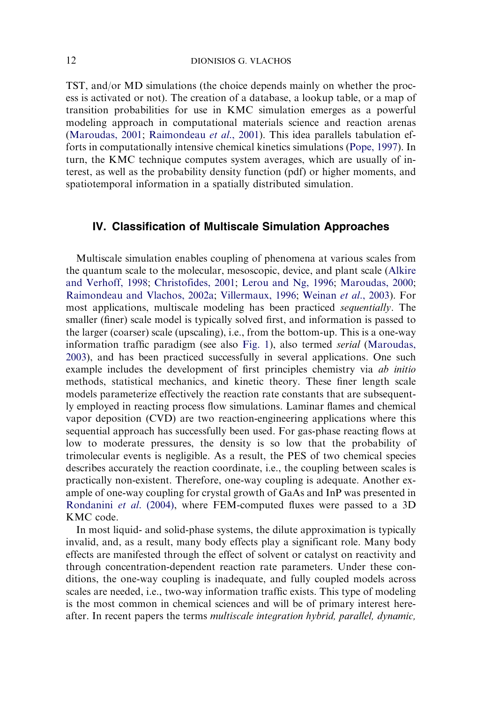TST, and/or MD simulations (the choice depends mainly on whether the process is activated or not). The creation of a database, a lookup table, or a map of transition probabilities for use in KMC simulation emerges as a powerful modeling approach in computational materials science and reaction arenas [\(Maroudas, 2001;](#page-58-0) [Raimondeau](#page-59-0) *et al.*, 2001). This idea parallels tabulation efforts in computationally intensive chemical kinetics simulations [\(Pope, 1997\)](#page-59-0). In turn, the KMC technique computes system averages, which are usually of interest, as well as the probability density function (pdf) or higher moments, and spatiotemporal information in a spatially distributed simulation.

## IV. Classification of Multiscale Simulation Approaches

Multiscale simulation enables coupling of phenomena at various scales from the quantum scale to the molecular, mesoscopic, device, and plant scale ([Alkire](#page-55-0) [and Verhoff, 1998;](#page-55-0) [Christofides, 2001;](#page-56-0) [Lerou and Ng, 1996;](#page-58-0) [Maroudas, 2000;](#page-58-0) [Raimondeau and Vlachos, 2002a](#page-59-0); [Villermaux, 1996;](#page-60-0) [Weinan](#page-60-0) et al., 2003). For most applications, multiscale modeling has been practiced sequentially. The smaller (finer) scale model is typically solved first, and information is passed to the larger (coarser) scale (upscaling), i.e., from the bottom-up. This is a one-way information traffic paradigm (see also [Fig. 1\)](#page-3-0), also termed serial ([Maroudas,](#page-58-0) [2003\)](#page-58-0), and has been practiced successfully in several applications. One such example includes the development of first principles chemistry via *ab initio* methods, statistical mechanics, and kinetic theory. These finer length scale models parameterize effectively the reaction rate constants that are subsequently employed in reacting process flow simulations. Laminar flames and chemical vapor deposition (CVD) are two reaction-engineering applications where this sequential approach has successfully been used. For gas-phase reacting flows at low to moderate pressures, the density is so low that the probability of trimolecular events is negligible. As a result, the PES of two chemical species describes accurately the reaction coordinate, i.e., the coupling between scales is practically non-existent. Therefore, one-way coupling is adequate. Another example of one-way coupling for crystal growth of GaAs and InP was presented in [Rondanini](#page-59-0) et al. (2004), where FEM-computed fluxes were passed to a 3D KMC code.

In most liquid- and solid-phase systems, the dilute approximation is typically invalid, and, as a result, many body effects play a significant role. Many body effects are manifested through the effect of solvent or catalyst on reactivity and through concentration-dependent reaction rate parameters. Under these conditions, the one-way coupling is inadequate, and fully coupled models across scales are needed, i.e., two-way information traffic exists. This type of modeling is the most common in chemical sciences and will be of primary interest hereafter. In recent papers the terms multiscale integration hybrid, parallel, dynamic,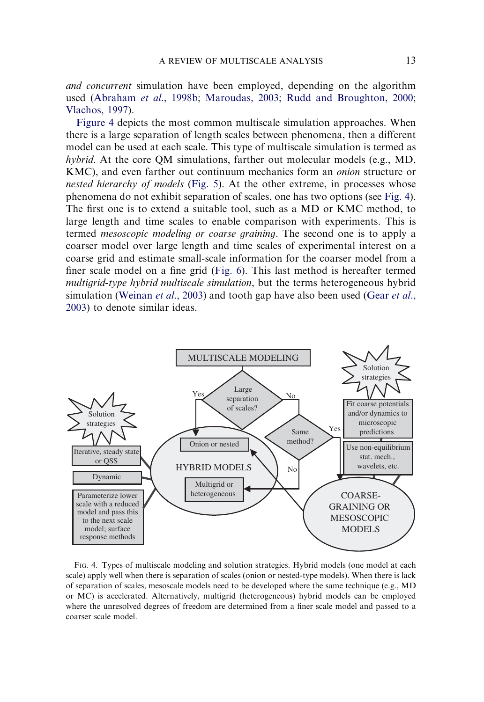<span id="page-12-0"></span>and concurrent simulation have been employed, depending on the algorithm used ([Abraham](#page-55-0) et al., 1998b; [Maroudas, 2003;](#page-58-0) [Rudd and Broughton, 2000;](#page-59-0) [Vlachos, 1997\)](#page-60-0).

Figure 4 depicts the most common multiscale simulation approaches. When there is a large separation of length scales between phenomena, then a different model can be used at each scale. This type of multiscale simulation is termed as hybrid. At the core QM simulations, farther out molecular models (e.g., MD, KMC), and even farther out continuum mechanics form an onion structure or nested hierarchy of models [\(Fig. 5](#page-13-0)). At the other extreme, in processes whose phenomena do not exhibit separation of scales, one has two options (see Fig. 4). The first one is to extend a suitable tool, such as a MD or KMC method, to large length and time scales to enable comparison with experiments. This is termed mesoscopic modeling or coarse graining. The second one is to apply a coarser model over large length and time scales of experimental interest on a coarse grid and estimate small-scale information for the coarser model from a finer scale model on a fine grid ([Fig. 6\)](#page-13-0). This last method is hereafter termed multigrid-type hybrid multiscale simulation, but the terms heterogeneous hybrid simulation ([Weinan](#page-60-0) *et al.*, 2003) and tooth gap have also been used ([Gear](#page-57-0) *et al.*, [2003\)](#page-57-0) to denote similar ideas.



FIG. 4. Types of multiscale modeling and solution strategies. Hybrid models (one model at each scale) apply well when there is separation of scales (onion or nested-type models). When there is lack of separation of scales, mesoscale models need to be developed where the same technique (e.g., MD or MC) is accelerated. Alternatively, multigrid (heterogeneous) hybrid models can be employed where the unresolved degrees of freedom are determined from a finer scale model and passed to a coarser scale model.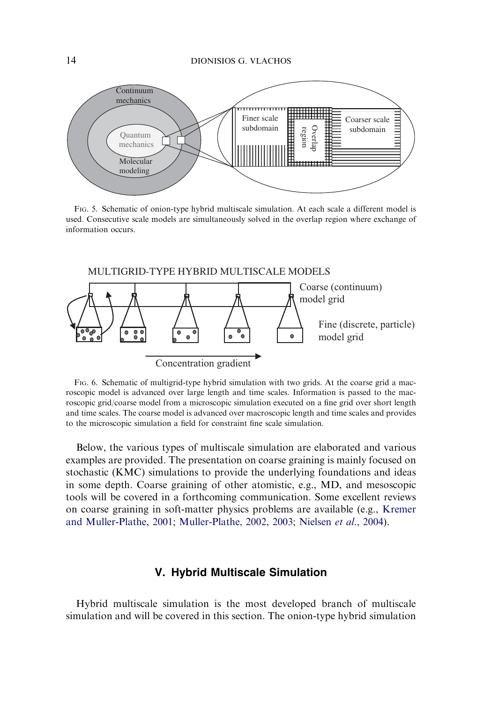<span id="page-13-0"></span>

FIG. 5. Schematic of onion-type hybrid multiscale simulation. At each scale a different model is used. Consecutive scale models are simultaneously solved in the overlap region where exchange of information occurs.



FIG. 6. Schematic of multigrid-type hybrid simulation with two grids. At the coarse grid a macroscopic model is advanced over large length and time scales. Information is passed to the macroscopic grid/coarse model from a microscopic simulation executed on a fine grid over short length and time scales. The coarse model is advanced over macroscopic length and time scales and provides to the microscopic simulation a field for constraint fine scale simulation.

Below, the various types of multiscale simulation are elaborated and various examples are provided. The presentation on coarse graining is mainly focused on stochastic (KMC) simulations to provide the underlying foundations and ideas in some depth. Coarse graining of other atomistic, e.g., MD, and mesoscopic tools will be covered in a forthcoming communication. Some excellent reviews on coarse graining in soft-matter physics problems are available (e.g., [Kremer](#page-58-0) [and Muller-Plathe, 2001](#page-58-0); [Muller-Plathe, 2002, 2003](#page-58-0); [Nielsen](#page-58-0) et al., 2004).

# V. Hybrid Multiscale Simulation

Hybrid multiscale simulation is the most developed branch of multiscale simulation and will be covered in this section. The onion-type hybrid simulation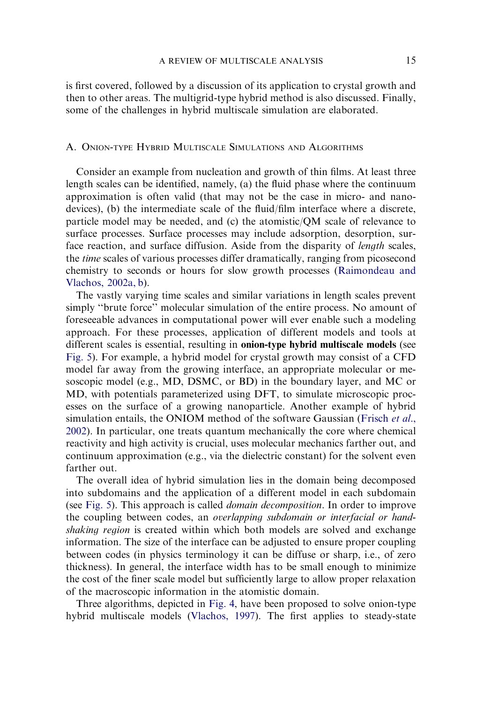is first covered, followed by a discussion of its application to crystal growth and then to other areas. The multigrid-type hybrid method is also discussed. Finally, some of the challenges in hybrid multiscale simulation are elaborated.

#### A. ONION-TYPE HYBRID MULTISCALE SIMULATIONS AND ALGORITHMS

Consider an example from nucleation and growth of thin films. At least three length scales can be identified, namely, (a) the fluid phase where the continuum approximation is often valid (that may not be the case in micro- and nanodevices), (b) the intermediate scale of the fluid/film interface where a discrete, particle model may be needed, and (c) the atomistic/QM scale of relevance to surface processes. Surface processes may include adsorption, desorption, surface reaction, and surface diffusion. Aside from the disparity of *length* scales, the time scales of various processes differ dramatically, ranging from picosecond chemistry to seconds or hours for slow growth processes ([Raimondeau and](#page-59-0) [Vlachos, 2002a, b\)](#page-59-0).

The vastly varying time scales and similar variations in length scales prevent simply ''brute force'' molecular simulation of the entire process. No amount of foreseeable advances in computational power will ever enable such a modeling approach. For these processes, application of different models and tools at different scales is essential, resulting in onion-type hybrid multiscale models (see [Fig. 5\)](#page-13-0). For example, a hybrid model for crystal growth may consist of a CFD model far away from the growing interface, an appropriate molecular or mesoscopic model (e.g., MD, DSMC, or BD) in the boundary layer, and MC or MD, with potentials parameterized using DFT, to simulate microscopic processes on the surface of a growing nanoparticle. Another example of hybrid simulation entails, the ONIOM method of the software Gaussian [\(Frisch](#page-56-0) et al., [2002\)](#page-56-0). In particular, one treats quantum mechanically the core where chemical reactivity and high activity is crucial, uses molecular mechanics farther out, and continuum approximation (e.g., via the dielectric constant) for the solvent even farther out.

The overall idea of hybrid simulation lies in the domain being decomposed into subdomains and the application of a different model in each subdomain (see [Fig. 5\)](#page-13-0). This approach is called domain decomposition. In order to improve the coupling between codes, an overlapping subdomain or interfacial or handshaking region is created within which both models are solved and exchange information. The size of the interface can be adjusted to ensure proper coupling between codes (in physics terminology it can be diffuse or sharp, i.e., of zero thickness). In general, the interface width has to be small enough to minimize the cost of the finer scale model but sufficiently large to allow proper relaxation of the macroscopic information in the atomistic domain.

Three algorithms, depicted in [Fig. 4,](#page-12-0) have been proposed to solve onion-type hybrid multiscale models ([Vlachos, 1997\)](#page-60-0). The first applies to steady-state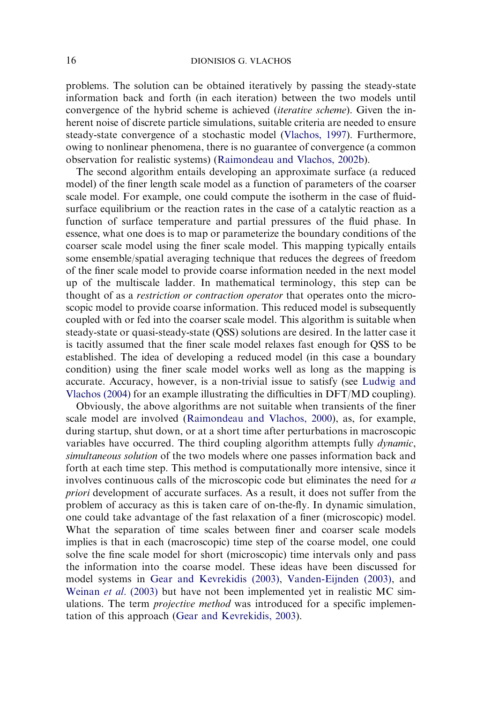problems. The solution can be obtained iteratively by passing the steady-state information back and forth (in each iteration) between the two models until convergence of the hybrid scheme is achieved (iterative scheme). Given the inherent noise of discrete particle simulations, suitable criteria are needed to ensure steady-state convergence of a stochastic model ([Vlachos, 1997](#page-60-0)). Furthermore, owing to nonlinear phenomena, there is no guarantee of convergence (a common observation for realistic systems) [\(Raimondeau and Vlachos, 2002b](#page-59-0)).

The second algorithm entails developing an approximate surface (a reduced model) of the finer length scale model as a function of parameters of the coarser scale model. For example, one could compute the isotherm in the case of fluidsurface equilibrium or the reaction rates in the case of a catalytic reaction as a function of surface temperature and partial pressures of the fluid phase. In essence, what one does is to map or parameterize the boundary conditions of the coarser scale model using the finer scale model. This mapping typically entails some ensemble/spatial averaging technique that reduces the degrees of freedom of the finer scale model to provide coarse information needed in the next model up of the multiscale ladder. In mathematical terminology, this step can be thought of as a *restriction or contraction operator* that operates onto the microscopic model to provide coarse information. This reduced model is subsequently coupled with or fed into the coarser scale model. This algorithm is suitable when steady-state or quasi-steady-state (QSS) solutions are desired. In the latter case it is tacitly assumed that the finer scale model relaxes fast enough for QSS to be established. The idea of developing a reduced model (in this case a boundary condition) using the finer scale model works well as long as the mapping is accurate. Accuracy, however, is a non-trivial issue to satisfy (see [Ludwig and](#page-58-0) [Vlachos \(2004\)](#page-58-0) for an example illustrating the difficulties in DFT/MD coupling).

Obviously, the above algorithms are not suitable when transients of the finer scale model are involved ([Raimondeau and Vlachos, 2000](#page-59-0)), as, for example, during startup, shut down, or at a short time after perturbations in macroscopic variables have occurred. The third coupling algorithm attempts fully dynamic, simultaneous solution of the two models where one passes information back and forth at each time step. This method is computationally more intensive, since it involves continuous calls of the microscopic code but eliminates the need for a priori development of accurate surfaces. As a result, it does not suffer from the problem of accuracy as this is taken care of on-the-fly. In dynamic simulation, one could take advantage of the fast relaxation of a finer (microscopic) model. What the separation of time scales between finer and coarser scale models implies is that in each (macroscopic) time step of the coarse model, one could solve the fine scale model for short (microscopic) time intervals only and pass the information into the coarse model. These ideas have been discussed for model systems in [Gear and Kevrekidis \(2003\)](#page-57-0), [Vanden-Eijnden \(2003\),](#page-60-0) and Weinan et al[. \(2003\)](#page-60-0) but have not been implemented yet in realistic MC simulations. The term *projective method* was introduced for a specific implementation of this approach [\(Gear and Kevrekidis, 2003](#page-57-0)).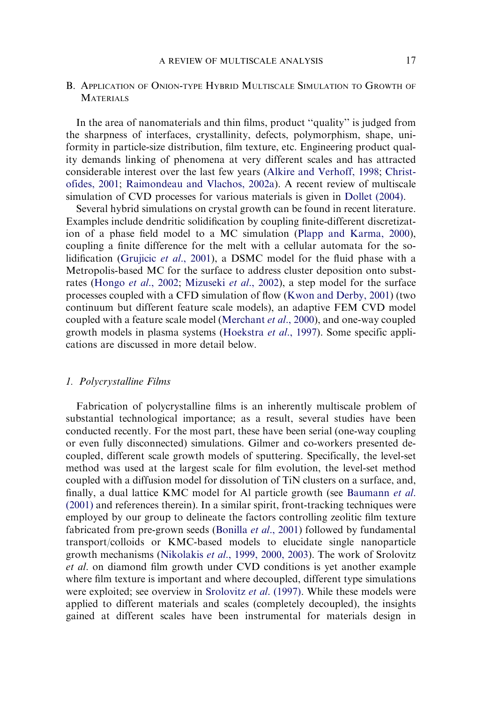## B. APPLICATION OF ONION-TYPE HYBRID MULTISCALE SIMULATION TO GROWTH OF **MATERIALS**

In the area of nanomaterials and thin films, product ''quality'' is judged from the sharpness of interfaces, crystallinity, defects, polymorphism, shape, uniformity in particle-size distribution, film texture, etc. Engineering product quality demands linking of phenomena at very different scales and has attracted considerable interest over the last few years [\(Alkire and Verhoff, 1998;](#page-55-0) [Christ](#page-56-0)[ofides, 2001](#page-56-0); [Raimondeau and Vlachos, 2002a\)](#page-59-0). A recent review of multiscale simulation of CVD processes for various materials is given in [Dollet \(2004\)](#page-56-0).

Several hybrid simulations on crystal growth can be found in recent literature. Examples include dendritic solidification by coupling finite-different discretization of a phase field model to a MC simulation [\(Plapp and Karma, 2000](#page-59-0)), coupling a finite difference for the melt with a cellular automata for the so-lidification ([Grujicic](#page-57-0) et al., 2001), a DSMC model for the fluid phase with a Metropolis-based MC for the surface to address cluster deposition onto substrates [\(Hongo](#page-57-0) et al., 2002; [Mizuseki](#page-58-0) et al., 2002), a step model for the surface processes coupled with a CFD simulation of flow ([Kwon and Derby, 2001](#page-58-0)) (two continuum but different feature scale models), an adaptive FEM CVD model coupled with a feature scale model ([Merchant](#page-58-0) et al., 2000), and one-way coupled growth models in plasma systems ([Hoekstra](#page-57-0) et al., 1997). Some specific applications are discussed in more detail below.

## 1. Polycrystalline Films

Fabrication of polycrystalline films is an inherently multiscale problem of substantial technological importance; as a result, several studies have been conducted recently. For the most part, these have been serial (one-way coupling or even fully disconnected) simulations. Gilmer and co-workers presented decoupled, different scale growth models of sputtering. Specifically, the level-set method was used at the largest scale for film evolution, the level-set method coupled with a diffusion model for dissolution of TiN clusters on a surface, and, finally, a dual lattice KMC model for Al particle growth (see [Baumann](#page-55-0) et al. [\(2001\)](#page-55-0) and references therein). In a similar spirit, front-tracking techniques were employed by our group to delineate the factors controlling zeolitic film texture fabricated from pre-grown seeds ([Bonilla](#page-55-0) et al., 2001) followed by fundamental transport/colloids or KMC-based models to elucidate single nanoparticle growth mechanisms (Nikolakis et al[., 1999, 2000, 2003](#page-58-0)). The work of Srolovitz et al. on diamond film growth under CVD conditions is yet another example where film texture is important and where decoupled, different type simulations were exploited; see overview in [Srolovitz](#page-60-0) et al. (1997). While these models were applied to different materials and scales (completely decoupled), the insights gained at different scales have been instrumental for materials design in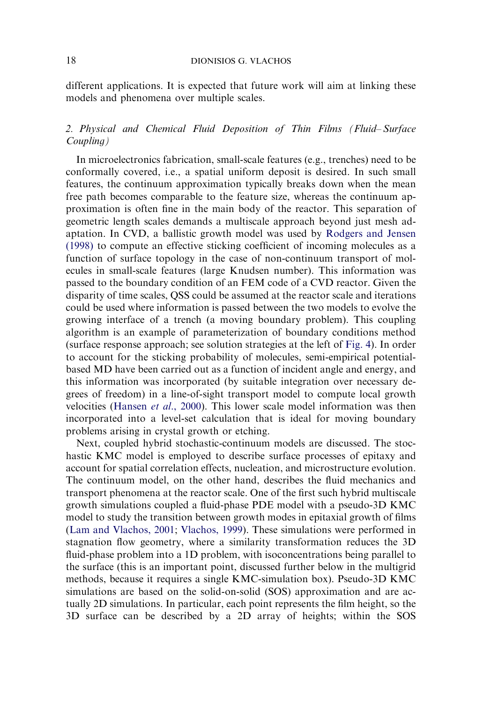different applications. It is expected that future work will aim at linking these models and phenomena over multiple scales.

# 2. Physical and Chemical Fluid Deposition of Thin Films (Fluid– Surface Coupling)

In microelectronics fabrication, small-scale features (e.g., trenches) need to be conformally covered, i.e., a spatial uniform deposit is desired. In such small features, the continuum approximation typically breaks down when the mean free path becomes comparable to the feature size, whereas the continuum approximation is often fine in the main body of the reactor. This separation of geometric length scales demands a multiscale approach beyond just mesh adaptation. In CVD, a ballistic growth model was used by [Rodgers and Jensen](#page-59-0) [\(1998\)](#page-59-0) to compute an effective sticking coefficient of incoming molecules as a function of surface topology in the case of non-continuum transport of molecules in small-scale features (large Knudsen number). This information was passed to the boundary condition of an FEM code of a CVD reactor. Given the disparity of time scales, QSS could be assumed at the reactor scale and iterations could be used where information is passed between the two models to evolve the growing interface of a trench (a moving boundary problem). This coupling algorithm is an example of parameterization of boundary conditions method (surface response approach; see solution strategies at the left of [Fig. 4\)](#page-12-0). In order to account for the sticking probability of molecules, semi-empirical potentialbased MD have been carried out as a function of incident angle and energy, and this information was incorporated (by suitable integration over necessary degrees of freedom) in a line-of-sight transport model to compute local growth velocities ([Hansen](#page-57-0) et al., 2000). This lower scale model information was then incorporated into a level-set calculation that is ideal for moving boundary problems arising in crystal growth or etching.

Next, coupled hybrid stochastic-continuum models are discussed. The stochastic KMC model is employed to describe surface processes of epitaxy and account for spatial correlation effects, nucleation, and microstructure evolution. The continuum model, on the other hand, describes the fluid mechanics and transport phenomena at the reactor scale. One of the first such hybrid multiscale growth simulations coupled a fluid-phase PDE model with a pseudo-3D KMC model to study the transition between growth modes in epitaxial growth of films [\(Lam and Vlachos, 2001](#page-58-0); [Vlachos, 1999\)](#page-60-0). These simulations were performed in stagnation flow geometry, where a similarity transformation reduces the 3D fluid-phase problem into a 1D problem, with isoconcentrations being parallel to the surface (this is an important point, discussed further below in the multigrid methods, because it requires a single KMC-simulation box). Pseudo-3D KMC simulations are based on the solid-on-solid (SOS) approximation and are actually 2D simulations. In particular, each point represents the film height, so the 3D surface can be described by a 2D array of heights; within the SOS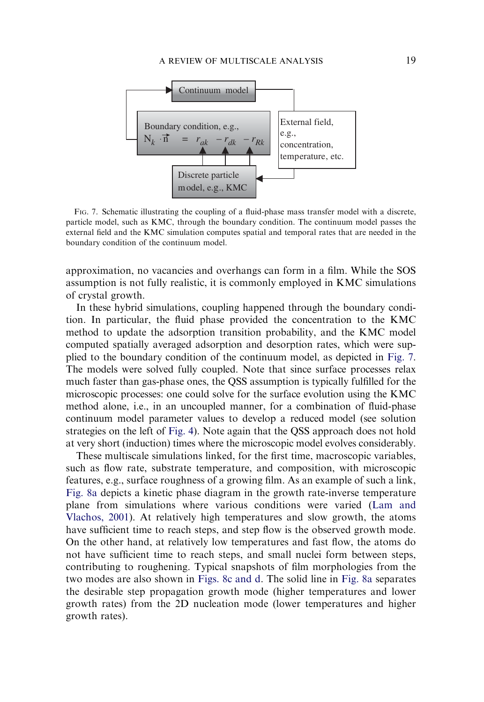

FIG. 7. Schematic illustrating the coupling of a fluid-phase mass transfer model with a discrete, particle model, such as KMC, through the boundary condition. The continuum model passes the external field and the KMC simulation computes spatial and temporal rates that are needed in the boundary condition of the continuum model.

approximation, no vacancies and overhangs can form in a film. While the SOS assumption is not fully realistic, it is commonly employed in KMC simulations of crystal growth.

In these hybrid simulations, coupling happened through the boundary condition. In particular, the fluid phase provided the concentration to the KMC method to update the adsorption transition probability, and the KMC model computed spatially averaged adsorption and desorption rates, which were supplied to the boundary condition of the continuum model, as depicted in Fig. 7. The models were solved fully coupled. Note that since surface processes relax much faster than gas-phase ones, the QSS assumption is typically fulfilled for the microscopic processes: one could solve for the surface evolution using the KMC method alone, i.e., in an uncoupled manner, for a combination of fluid-phase continuum model parameter values to develop a reduced model (see solution strategies on the left of [Fig. 4](#page-12-0)). Note again that the QSS approach does not hold at very short (induction) times where the microscopic model evolves considerably.

These multiscale simulations linked, for the first time, macroscopic variables, such as flow rate, substrate temperature, and composition, with microscopic features, e.g., surface roughness of a growing film. As an example of such a link, [Fig. 8a](#page-19-0) depicts a kinetic phase diagram in the growth rate-inverse temperature plane from simulations where various conditions were varied [\(Lam and](#page-58-0) [Vlachos, 2001\)](#page-58-0). At relatively high temperatures and slow growth, the atoms have sufficient time to reach steps, and step flow is the observed growth mode. On the other hand, at relatively low temperatures and fast flow, the atoms do not have sufficient time to reach steps, and small nuclei form between steps, contributing to roughening. Typical snapshots of film morphologies from the two modes are also shown in [Figs. 8c and d](#page-19-0). The solid line in [Fig. 8a](#page-19-0) separates the desirable step propagation growth mode (higher temperatures and lower growth rates) from the 2D nucleation mode (lower temperatures and higher growth rates).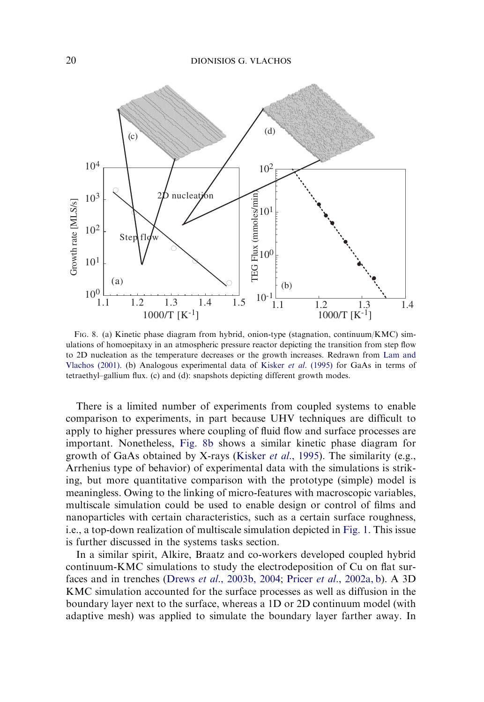<span id="page-19-0"></span>

FIG. 8. (a) Kinetic phase diagram from hybrid, onion-type (stagnation, continuum/KMC) simulations of homoepitaxy in an atmospheric pressure reactor depicting the transition from step flow to 2D nucleation as the temperature decreases or the growth increases. Redrawn from [Lam and](#page-58-0) [Vlachos \(2001\).](#page-58-0) (b) Analogous experimental data of Kisker et al[. \(1995\)](#page-58-0) for GaAs in terms of tetraethyl–gallium flux. (c) and (d): snapshots depicting different growth modes.

There is a limited number of experiments from coupled systems to enable comparison to experiments, in part because UHV techniques are difficult to apply to higher pressures where coupling of fluid flow and surface processes are important. Nonetheless, Fig. 8b shows a similar kinetic phase diagram for growth of GaAs obtained by X-rays (Kisker et al[., 1995\)](#page-58-0). The similarity (e.g., Arrhenius type of behavior) of experimental data with the simulations is striking, but more quantitative comparison with the prototype (simple) model is meaningless. Owing to the linking of micro-features with macroscopic variables, multiscale simulation could be used to enable design or control of films and nanoparticles with certain characteristics, such as a certain surface roughness, i.e., a top-down realization of multiscale simulation depicted in [Fig. 1](#page-3-0). This issue is further discussed in the systems tasks section.

In a similar spirit, Alkire, Braatz and co-workers developed coupled hybrid continuum-KMC simulations to study the electrodeposition of Cu on flat surfaces and in trenches (Drews et al[., 2003b, 2004](#page-56-0); Pricer et al[., 2002a, b\)](#page-59-0). A 3D KMC simulation accounted for the surface processes as well as diffusion in the boundary layer next to the surface, whereas a 1D or 2D continuum model (with adaptive mesh) was applied to simulate the boundary layer farther away. In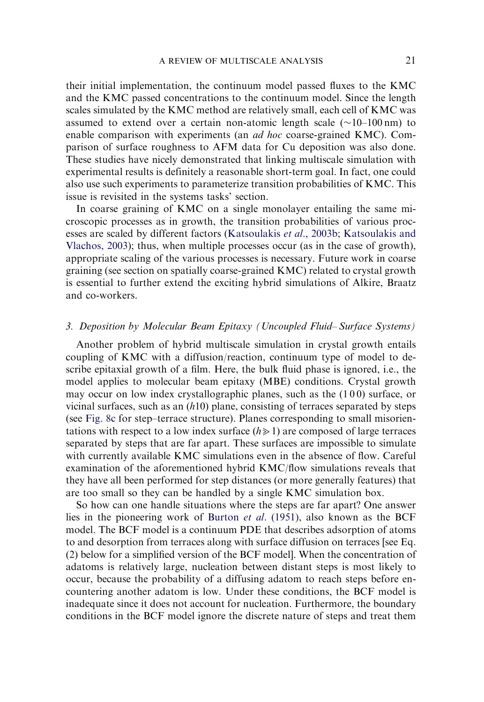their initial implementation, the continuum model passed fluxes to the KMC and the KMC passed concentrations to the continuum model. Since the length scales simulated by the KMC method are relatively small, each cell of KMC was assumed to extend over a certain non-atomic length scale  $(\sim 10-100 \text{ nm})$  to enable comparison with experiments (an *ad hoc* coarse-grained KMC). Comparison of surface roughness to AFM data for Cu deposition was also done. These studies have nicely demonstrated that linking multiscale simulation with experimental results is definitely a reasonable short-term goal. In fact, one could also use such experiments to parameterize transition probabilities of KMC. This issue is revisited in the systems tasks' section.

In coarse graining of KMC on a single monolayer entailing the same microscopic processes as in growth, the transition probabilities of various processes are scaled by different factors [\(Katsoulakis](#page-57-0) et al., 2003b; [Katsoulakis and](#page-57-0) [Vlachos, 2003\)](#page-57-0); thus, when multiple processes occur (as in the case of growth), appropriate scaling of the various processes is necessary. Future work in coarse graining (see section on spatially coarse-grained KMC) related to crystal growth is essential to further extend the exciting hybrid simulations of Alkire, Braatz and co-workers.

## 3. Deposition by Molecular Beam Epitaxy (Uncoupled Fluid– Surface Systems)

Another problem of hybrid multiscale simulation in crystal growth entails coupling of KMC with a diffusion/reaction, continuum type of model to describe epitaxial growth of a film. Here, the bulk fluid phase is ignored, i.e., the model applies to molecular beam epitaxy (MBE) conditions. Crystal growth may occur on low index crystallographic planes, such as the (1 0 0) surface, or vicinal surfaces, such as an  $(h10)$  plane, consisting of terraces separated by steps (see [Fig. 8c](#page-19-0) for step–terrace structure). Planes corresponding to small misorientations with respect to a low index surface  $(h \ge 1)$  are composed of large terraces separated by steps that are far apart. These surfaces are impossible to simulate with currently available KMC simulations even in the absence of flow. Careful examination of the aforementioned hybrid KMC/flow simulations reveals that they have all been performed for step distances (or more generally features) that are too small so they can be handled by a single KMC simulation box.

So how can one handle situations where the steps are far apart? One answer lies in the pioneering work of Burton et al[. \(1951\)](#page-56-0), also known as the BCF model. The BCF model is a continuum PDE that describes adsorption of atoms to and desorption from terraces along with surface diffusion on terraces [see Eq. (2) below for a simplified version of the BCF model]. When the concentration of adatoms is relatively large, nucleation between distant steps is most likely to occur, because the probability of a diffusing adatom to reach steps before encountering another adatom is low. Under these conditions, the BCF model is inadequate since it does not account for nucleation. Furthermore, the boundary conditions in the BCF model ignore the discrete nature of steps and treat them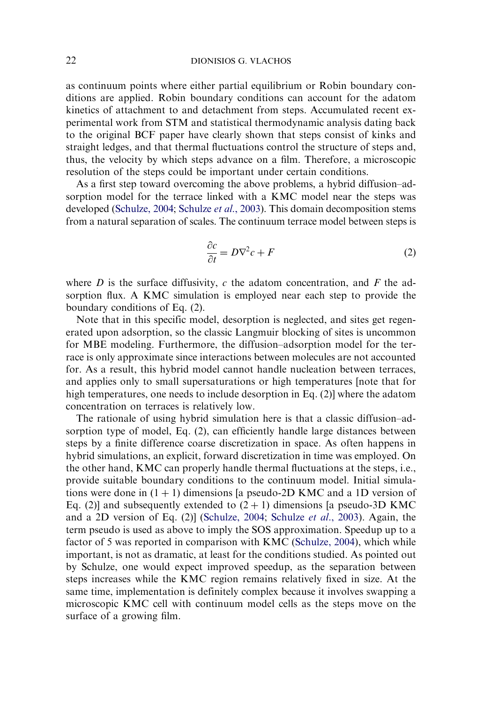as continuum points where either partial equilibrium or Robin boundary conditions are applied. Robin boundary conditions can account for the adatom kinetics of attachment to and detachment from steps. Accumulated recent experimental work from STM and statistical thermodynamic analysis dating back to the original BCF paper have clearly shown that steps consist of kinks and straight ledges, and that thermal fluctuations control the structure of steps and, thus, the velocity by which steps advance on a film. Therefore, a microscopic resolution of the steps could be important under certain conditions.

As a first step toward overcoming the above problems, a hybrid diffusion–adsorption model for the terrace linked with a KMC model near the steps was developed [\(Schulze, 2004;](#page-59-0) [Schulze](#page-59-0) et al., 2003). This domain decomposition stems from a natural separation of scales. The continuum terrace model between steps is

$$
\frac{\partial c}{\partial t} = D\nabla^2 c + F \tag{2}
$$

where  $D$  is the surface diffusivity, c the adatom concentration, and  $F$  the adsorption flux. A KMC simulation is employed near each step to provide the boundary conditions of Eq. (2).

Note that in this specific model, desorption is neglected, and sites get regenerated upon adsorption, so the classic Langmuir blocking of sites is uncommon for MBE modeling. Furthermore, the diffusion–adsorption model for the terrace is only approximate since interactions between molecules are not accounted for. As a result, this hybrid model cannot handle nucleation between terraces, and applies only to small supersaturations or high temperatures [note that for high temperatures, one needs to include desorption in Eq. (2)] where the adatom concentration on terraces is relatively low.

The rationale of using hybrid simulation here is that a classic diffusion–adsorption type of model, Eq. (2), can efficiently handle large distances between steps by a finite difference coarse discretization in space. As often happens in hybrid simulations, an explicit, forward discretization in time was employed. On the other hand, KMC can properly handle thermal fluctuations at the steps, i.e., provide suitable boundary conditions to the continuum model. Initial simulations were done in  $(1 + 1)$  dimensions [a pseudo-2D KMC and a 1D version of Eq. (2)] and subsequently extended to  $(2 + 1)$  dimensions [a pseudo-3D KMC and a 2D version of Eq. (2)] ([Schulze, 2004;](#page-59-0) [Schulze](#page-59-0) et al., 2003). Again, the term pseudo is used as above to imply the SOS approximation. Speedup up to a factor of 5 was reported in comparison with KMC ([Schulze, 2004](#page-59-0)), which while important, is not as dramatic, at least for the conditions studied. As pointed out by Schulze, one would expect improved speedup, as the separation between steps increases while the KMC region remains relatively fixed in size. At the same time, implementation is definitely complex because it involves swapping a microscopic KMC cell with continuum model cells as the steps move on the surface of a growing film.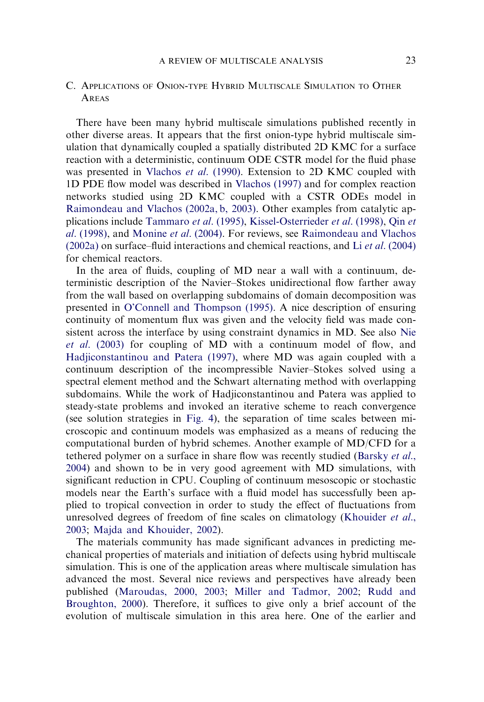## C. APPLICATIONS OF ONION-TYPE HYBRID MULTISCALE SIMULATION TO OTHER AREAS

There have been many hybrid multiscale simulations published recently in other diverse areas. It appears that the first onion-type hybrid multiscale simulation that dynamically coupled a spatially distributed 2D KMC for a surface reaction with a deterministic, continuum ODE CSTR model for the fluid phase was presented in [Vlachos](#page-60-0) et al. (1990). Extension to 2D KMC coupled with 1D PDE flow model was described in [Vlachos \(1997\)](#page-60-0) and for complex reaction networks studied using 2D KMC coupled with a CSTR ODEs model in [Raimondeau and Vlachos \(2002a, b, 2003\).](#page-59-0) Other examples from catalytic applications include [Tammaro](#page-60-0) et al. (1995), [Kissel-Osterrieder](#page-58-0) et al. (1998), [Qin](#page-59-0) et al[. \(1998\),](#page-59-0) and [Monine](#page-58-0) et al. (2004). For reviews, see [Raimondeau and Vlachos](#page-59-0)  $(2002a)$  on surface–fluid interactions and chemical reactions, and Li *et al.* (2004) for chemical reactors.

In the area of fluids, coupling of MD near a wall with a continuum, deterministic description of the Navier–Stokes unidirectional flow farther away from the wall based on overlapping subdomains of domain decomposition was presented in [O'Connell and Thompson \(1995\)](#page-59-0). A nice description of ensuring continuity of momentum flux was given and the velocity field was made consistent across the interface by using constraint dynamics in MD. See also [Nie](#page-58-0) et al[. \(2003\)](#page-58-0) for coupling of MD with a continuum model of flow, and [Hadjiconstantinou and Patera \(1997\),](#page-57-0) where MD was again coupled with a continuum description of the incompressible Navier–Stokes solved using a spectral element method and the Schwart alternating method with overlapping subdomains. While the work of Hadjiconstantinou and Patera was applied to steady-state problems and invoked an iterative scheme to reach convergence (see solution strategies in [Fig. 4\)](#page-12-0), the separation of time scales between microscopic and continuum models was emphasized as a means of reducing the computational burden of hybrid schemes. Another example of MD/CFD for a tethered polymer on a surface in share flow was recently studied ([Barsky](#page-55-0) et al., [2004\)](#page-55-0) and shown to be in very good agreement with MD simulations, with significant reduction in CPU. Coupling of continuum mesoscopic or stochastic models near the Earth's surface with a fluid model has successfully been applied to tropical convection in order to study the effect of fluctuations from unresolved degrees of freedom of fine scales on climatology ([Khouider](#page-58-0) et al., [2003;](#page-58-0) [Majda and Khouider, 2002](#page-58-0)).

The materials community has made significant advances in predicting mechanical properties of materials and initiation of defects using hybrid multiscale simulation. This is one of the application areas where multiscale simulation has advanced the most. Several nice reviews and perspectives have already been published ([Maroudas, 2000, 2003;](#page-58-0) [Miller and Tadmor, 2002](#page-58-0); [Rudd and](#page-59-0) [Broughton, 2000\)](#page-59-0). Therefore, it suffices to give only a brief account of the evolution of multiscale simulation in this area here. One of the earlier and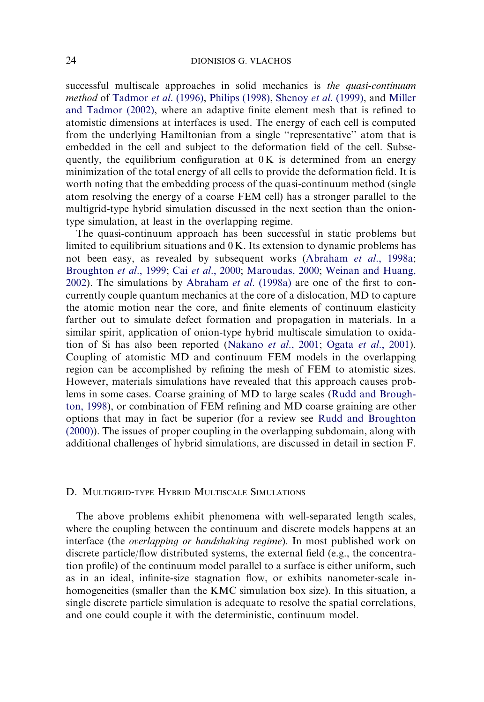successful multiscale approaches in solid mechanics is the quasi-continuum method of [Tadmor](#page-60-0) et al. (1996), [Philips \(1998\)](#page-59-0), Shenoy et al[. \(1999\),](#page-60-0) and [Miller](#page-58-0) [and Tadmor \(2002\)](#page-58-0), where an adaptive finite element mesh that is refined to atomistic dimensions at interfaces is used. The energy of each cell is computed from the underlying Hamiltonian from a single ''representative'' atom that is embedded in the cell and subject to the deformation field of the cell. Subsequently, the equilibrium configuration at  $0K$  is determined from an energy minimization of the total energy of all cells to provide the deformation field. It is worth noting that the embedding process of the quasi-continuum method (single atom resolving the energy of a coarse FEM cell) has a stronger parallel to the multigrid-type hybrid simulation discussed in the next section than the oniontype simulation, at least in the overlapping regime.

The quasi-continuum approach has been successful in static problems but limited to equilibrium situations and 0 K. Its extension to dynamic problems has not been easy, as revealed by subsequent works ([Abraham](#page-55-0) et al., 1998a; [Broughton](#page-55-0) et al., 1999; Cai et al[., 2000;](#page-56-0) [Maroudas, 2000;](#page-58-0) [Weinan and Huang,](#page-60-0) [2002\)](#page-60-0). The simulations by [Abraham](#page-55-0) *et al.* (1998a) are one of the first to concurrently couple quantum mechanics at the core of a dislocation, MD to capture the atomic motion near the core, and finite elements of continuum elasticity farther out to simulate defect formation and propagation in materials. In a similar spirit, application of onion-type hybrid multiscale simulation to oxida-tion of Si has also been reported [\(Nakano](#page-58-0) et al[., 2001](#page-59-0); Ogata et al., 2001). Coupling of atomistic MD and continuum FEM models in the overlapping region can be accomplished by refining the mesh of FEM to atomistic sizes. However, materials simulations have revealed that this approach causes problems in some cases. Coarse graining of MD to large scales ([Rudd and Brough](#page-59-0)[ton, 1998\)](#page-59-0), or combination of FEM refining and MD coarse graining are other options that may in fact be superior (for a review see [Rudd and Broughton](#page-59-0) [\(2000\)](#page-59-0)). The issues of proper coupling in the overlapping subdomain, along with additional challenges of hybrid simulations, are discussed in detail in section F.

#### D. MULTIGRID-TYPE HYBRID MULTISCALE SIMULATIONS

The above problems exhibit phenomena with well-separated length scales, where the coupling between the continuum and discrete models happens at an interface (the overlapping or handshaking regime). In most published work on discrete particle/flow distributed systems, the external field (e.g., the concentration profile) of the continuum model parallel to a surface is either uniform, such as in an ideal, infinite-size stagnation flow, or exhibits nanometer-scale inhomogeneities (smaller than the KMC simulation box size). In this situation, a single discrete particle simulation is adequate to resolve the spatial correlations, and one could couple it with the deterministic, continuum model.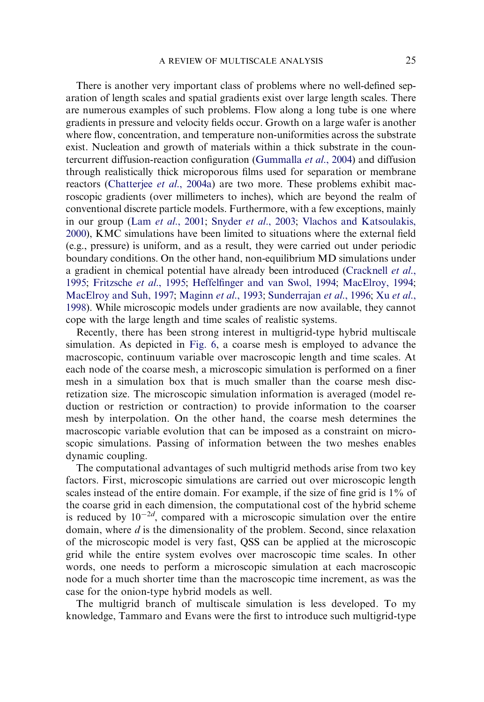There is another very important class of problems where no well-defined separation of length scales and spatial gradients exist over large length scales. There are numerous examples of such problems. Flow along a long tube is one where gradients in pressure and velocity fields occur. Growth on a large wafer is another where flow, concentration, and temperature non-uniformities across the substrate exist. Nucleation and growth of materials within a thick substrate in the countercurrent diffusion-reaction configuration [\(Gummalla](#page-57-0) et al., 2004) and diffusion through realistically thick microporous films used for separation or membrane reactors ([Chatterjee](#page-56-0) et al., 2004a) are two more. These problems exhibit macroscopic gradients (over millimeters to inches), which are beyond the realm of conventional discrete particle models. Furthermore, with a few exceptions, mainly in our group (Lam et al[., 2001](#page-58-0); [Snyder](#page-60-0) et al., 2003; [Vlachos and Katsoulakis,](#page-60-0) [2000](#page-60-0)), KMC simulations have been limited to situations where the external field (e.g., pressure) is uniform, and as a result, they were carried out under periodic boundary conditions. On the other hand, non-equilibrium MD simulations under a gradient in chemical potential have already been introduced ([Cracknell](#page-56-0) et al., [1995](#page-56-0); [Fritzsche](#page-56-0) et al., 1995; [Heffelfinger and van Swol, 1994;](#page-57-0) [MacElroy, 1994;](#page-58-0) [MacElroy and Suh, 1997](#page-58-0); [Maginn](#page-58-0) et al., 1993; [Sunderrajan](#page-60-0) [et al](#page-60-0)., 1996; Xu et al., [1998](#page-60-0)). While microscopic models under gradients are now available, they cannot cope with the large length and time scales of realistic systems.

Recently, there has been strong interest in multigrid-type hybrid multiscale simulation. As depicted in [Fig. 6](#page-13-0), a coarse mesh is employed to advance the macroscopic, continuum variable over macroscopic length and time scales. At each node of the coarse mesh, a microscopic simulation is performed on a finer mesh in a simulation box that is much smaller than the coarse mesh discretization size. The microscopic simulation information is averaged (model reduction or restriction or contraction) to provide information to the coarser mesh by interpolation. On the other hand, the coarse mesh determines the macroscopic variable evolution that can be imposed as a constraint on microscopic simulations. Passing of information between the two meshes enables dynamic coupling.

The computational advantages of such multigrid methods arise from two key factors. First, microscopic simulations are carried out over microscopic length scales instead of the entire domain. For example, if the size of fine grid is 1% of the coarse grid in each dimension, the computational cost of the hybrid scheme is reduced by  $10^{-2d}$ , compared with a microscopic simulation over the entire domain, where d is the dimensionality of the problem. Second, since relaxation of the microscopic model is very fast, QSS can be applied at the microscopic grid while the entire system evolves over macroscopic time scales. In other words, one needs to perform a microscopic simulation at each macroscopic node for a much shorter time than the macroscopic time increment, as was the case for the onion-type hybrid models as well.

The multigrid branch of multiscale simulation is less developed. To my knowledge, Tammaro and Evans were the first to introduce such multigrid-type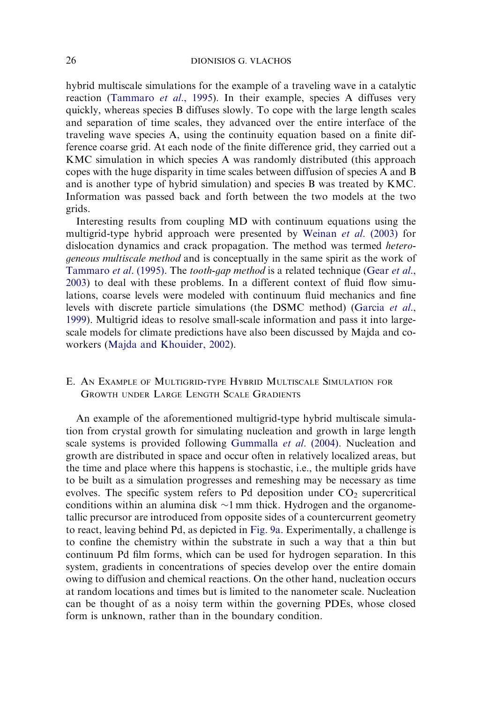hybrid multiscale simulations for the example of a traveling wave in a catalytic reaction ([Tammaro](#page-60-0) *et al.*, 1995). In their example, species A diffuses very quickly, whereas species B diffuses slowly. To cope with the large length scales and separation of time scales, they advanced over the entire interface of the traveling wave species A, using the continuity equation based on a finite difference coarse grid. At each node of the finite difference grid, they carried out a KMC simulation in which species A was randomly distributed (this approach copes with the huge disparity in time scales between diffusion of species A and B and is another type of hybrid simulation) and species B was treated by KMC. Information was passed back and forth between the two models at the two grids.

Interesting results from coupling MD with continuum equations using the multigrid-type hybrid approach were presented by Weinan et al[. \(2003\)](#page-60-0) for dislocation dynamics and crack propagation. The method was termed heterogeneous multiscale method and is conceptually in the same spirit as the work of [Tammaro](#page-60-0) *et al.* (1995). The *tooth-gap method* is a related technique ([Gear](#page-57-0) *et al.*, [2003\)](#page-57-0) to deal with these problems. In a different context of fluid flow simulations, coarse levels were modeled with continuum fluid mechanics and fine levels with discrete particle simulations (the DSMC method) [\(Garcia](#page-57-0) et al., [1999\)](#page-57-0). Multigrid ideas to resolve small-scale information and pass it into largescale models for climate predictions have also been discussed by Majda and coworkers ([Majda and Khouider, 2002](#page-58-0)).

## E. AN EXAMPLE OF MULTIGRID-TYPE HYBRID MULTISCALE SIMULATION FOR GROWTH UNDER LARGE LENGTH SCALE GRADIENTS

An example of the aforementioned multigrid-type hybrid multiscale simulation from crystal growth for simulating nucleation and growth in large length scale systems is provided following [Gummalla](#page-57-0) et al. (2004). Nucleation and growth are distributed in space and occur often in relatively localized areas, but the time and place where this happens is stochastic, i.e., the multiple grids have to be built as a simulation progresses and remeshing may be necessary as time evolves. The specific system refers to Pd deposition under  $CO<sub>2</sub>$  supercritical conditions within an alumina disk  $\sim$ 1 mm thick. Hydrogen and the organometallic precursor are introduced from opposite sides of a countercurrent geometry to react, leaving behind Pd, as depicted in [Fig. 9a](#page-26-0). Experimentally, a challenge is to confine the chemistry within the substrate in such a way that a thin but continuum Pd film forms, which can be used for hydrogen separation. In this system, gradients in concentrations of species develop over the entire domain owing to diffusion and chemical reactions. On the other hand, nucleation occurs at random locations and times but is limited to the nanometer scale. Nucleation can be thought of as a noisy term within the governing PDEs, whose closed form is unknown, rather than in the boundary condition.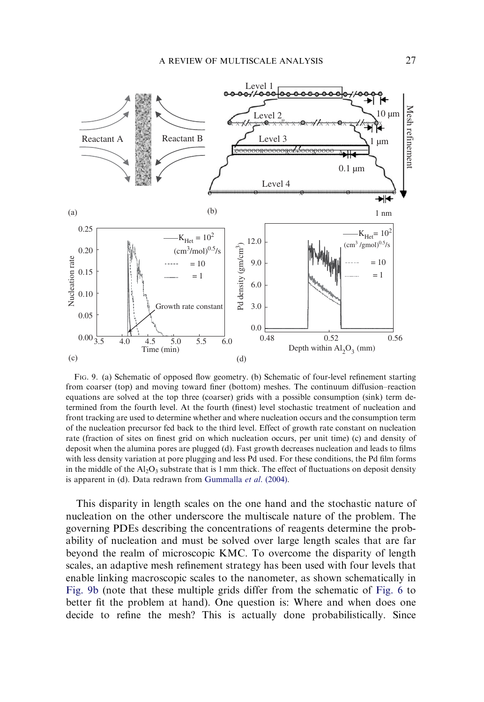<span id="page-26-0"></span>

FIG. 9. (a) Schematic of opposed flow geometry. (b) Schematic of four-level refinement starting from coarser (top) and moving toward finer (bottom) meshes. The continuum diffusion–reaction equations are solved at the top three (coarser) grids with a possible consumption (sink) term determined from the fourth level. At the fourth (finest) level stochastic treatment of nucleation and front tracking are used to determine whether and where nucleation occurs and the consumption term of the nucleation precursor fed back to the third level. Effect of growth rate constant on nucleation rate (fraction of sites on finest grid on which nucleation occurs, per unit time) (c) and density of deposit when the alumina pores are plugged (d). Fast growth decreases nucleation and leads to films with less density variation at pore plugging and less Pd used. For these conditions, the Pd film forms in the middle of the  $A_1O_3$  substrate that is 1 mm thick. The effect of fluctuations on deposit density is apparent in (d). Data redrawn from [Gummalla](#page-57-0) et al. (2004).

This disparity in length scales on the one hand and the stochastic nature of nucleation on the other underscore the multiscale nature of the problem. The governing PDEs describing the concentrations of reagents determine the probability of nucleation and must be solved over large length scales that are far beyond the realm of microscopic KMC. To overcome the disparity of length scales, an adaptive mesh refinement strategy has been used with four levels that enable linking macroscopic scales to the nanometer, as shown schematically in Fig. 9b (note that these multiple grids differ from the schematic of [Fig. 6](#page-13-0) to better fit the problem at hand). One question is: Where and when does one decide to refine the mesh? This is actually done probabilistically. Since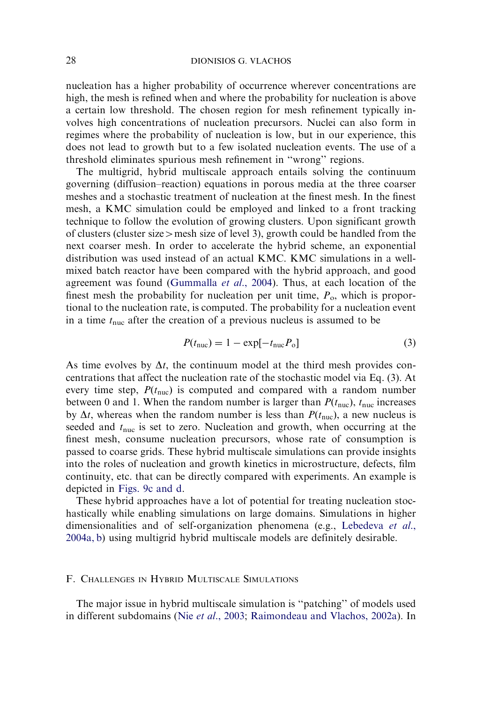nucleation has a higher probability of occurrence wherever concentrations are high, the mesh is refined when and where the probability for nucleation is above a certain low threshold. The chosen region for mesh refinement typically involves high concentrations of nucleation precursors. Nuclei can also form in regimes where the probability of nucleation is low, but in our experience, this does not lead to growth but to a few isolated nucleation events. The use of a threshold eliminates spurious mesh refinement in ''wrong'' regions.

The multigrid, hybrid multiscale approach entails solving the continuum governing (diffusion–reaction) equations in porous media at the three coarser meshes and a stochastic treatment of nucleation at the finest mesh. In the finest mesh, a KMC simulation could be employed and linked to a front tracking technique to follow the evolution of growing clusters. Upon significant growth of clusters (cluster size  $>$  mesh size of level 3), growth could be handled from the next coarser mesh. In order to accelerate the hybrid scheme, an exponential distribution was used instead of an actual KMC. KMC simulations in a wellmixed batch reactor have been compared with the hybrid approach, and good agreement was found ([Gummalla](#page-57-0) et al., 2004). Thus, at each location of the finest mesh the probability for nucleation per unit time,  $P_{\rm o}$ , which is proportional to the nucleation rate, is computed. The probability for a nucleation event in a time  $t_{\text{nuc}}$  after the creation of a previous nucleus is assumed to be

$$
P(t_{\rm nuc}) = 1 - \exp[-t_{\rm nuc}P_{\rm o}] \tag{3}
$$

As time evolves by  $\Delta t$ , the continuum model at the third mesh provides concentrations that affect the nucleation rate of the stochastic model via Eq. (3). At every time step,  $P(t_{\text{nuc}})$  is computed and compared with a random number between 0 and 1. When the random number is larger than  $P(t_{\text{nuc}})$ ,  $t_{\text{nuc}}$  increases by  $\Delta t$ , whereas when the random number is less than  $P(t_{\text{nuc}})$ , a new nucleus is seeded and  $t_{\text{nuc}}$  is set to zero. Nucleation and growth, when occurring at the finest mesh, consume nucleation precursors, whose rate of consumption is passed to coarse grids. These hybrid multiscale simulations can provide insights into the roles of nucleation and growth kinetics in microstructure, defects, film continuity, etc. that can be directly compared with experiments. An example is depicted in [Figs. 9c and d](#page-26-0).

These hybrid approaches have a lot of potential for treating nucleation stochastically while enabling simulations on large domains. Simulations in higher dimensionalities and of self-organization phenomena (e.g., [Lebedeva](#page-58-0) et al., [2004a, b\)](#page-58-0) using multigrid hybrid multiscale models are definitely desirable.

#### F. CHALLENGES IN HYBRID MULTISCALE SIMULATIONS

The major issue in hybrid multiscale simulation is ''patching'' of models used in different subdomains (Nie et al[., 2003;](#page-58-0) [Raimondeau and Vlachos, 2002a](#page-59-0)). In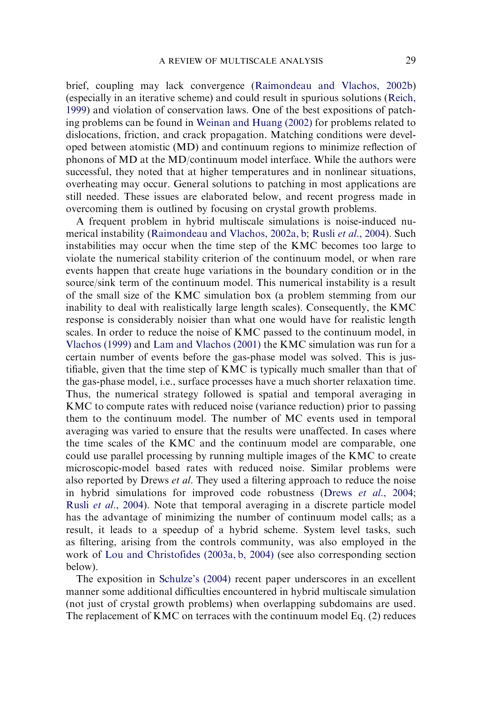brief, coupling may lack convergence ([Raimondeau and Vlachos, 2002b](#page-59-0)) (especially in an iterative scheme) and could result in spurious solutions [\(Reich,](#page-59-0) [1999\)](#page-59-0) and violation of conservation laws. One of the best expositions of patching problems can be found in [Weinan and Huang \(2002\)](#page-60-0) for problems related to dislocations, friction, and crack propagation. Matching conditions were developed between atomistic (MD) and continuum regions to minimize reflection of phonons of MD at the MD/continuum model interface. While the authors were successful, they noted that at higher temperatures and in nonlinear situations, overheating may occur. General solutions to patching in most applications are still needed. These issues are elaborated below, and recent progress made in overcoming them is outlined by focusing on crystal growth problems.

A frequent problem in hybrid multiscale simulations is noise-induced numerical instability ([Raimondeau and Vlachos, 2002a, b](#page-59-0); Rusli et al[., 2004\)](#page-59-0). Such instabilities may occur when the time step of the KMC becomes too large to violate the numerical stability criterion of the continuum model, or when rare events happen that create huge variations in the boundary condition or in the source/sink term of the continuum model. This numerical instability is a result of the small size of the KMC simulation box (a problem stemming from our inability to deal with realistically large length scales). Consequently, the KMC response is considerably noisier than what one would have for realistic length scales. In order to reduce the noise of KMC passed to the continuum model, in [Vlachos \(1999\)](#page-60-0) and [Lam and Vlachos \(2001\)](#page-58-0) the KMC simulation was run for a certain number of events before the gas-phase model was solved. This is justifiable, given that the time step of KMC is typically much smaller than that of the gas-phase model, i.e., surface processes have a much shorter relaxation time. Thus, the numerical strategy followed is spatial and temporal averaging in KMC to compute rates with reduced noise (variance reduction) prior to passing them to the continuum model. The number of MC events used in temporal averaging was varied to ensure that the results were unaffected. In cases where the time scales of the KMC and the continuum model are comparable, one could use parallel processing by running multiple images of the KMC to create microscopic-model based rates with reduced noise. Similar problems were also reported by Drews et al. They used a filtering approach to reduce the noise in hybrid simulations for improved code robustness (Drews et al[., 2004;](#page-56-0) Rusli et al[., 2004\)](#page-59-0). Note that temporal averaging in a discrete particle model has the advantage of minimizing the number of continuum model calls; as a result, it leads to a speedup of a hybrid scheme. System level tasks, such as filtering, arising from the controls community, was also employed in the work of [Lou and Christofides \(2003a, b, 2004\)](#page-58-0) (see also corresponding section below).

The exposition in [Schulze's \(2004\)](#page-59-0) recent paper underscores in an excellent manner some additional difficulties encountered in hybrid multiscale simulation (not just of crystal growth problems) when overlapping subdomains are used. The replacement of KMC on terraces with the continuum model Eq. (2) reduces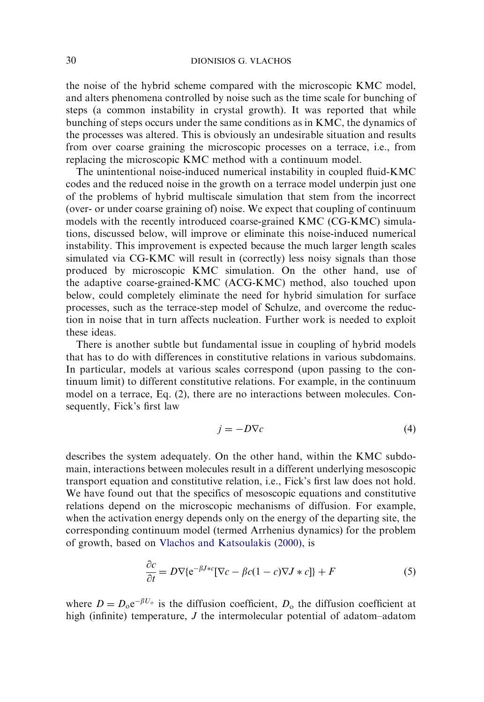the noise of the hybrid scheme compared with the microscopic KMC model, and alters phenomena controlled by noise such as the time scale for bunching of steps (a common instability in crystal growth). It was reported that while bunching of steps occurs under the same conditions as in KMC, the dynamics of the processes was altered. This is obviously an undesirable situation and results from over coarse graining the microscopic processes on a terrace, i.e., from replacing the microscopic KMC method with a continuum model.

The unintentional noise-induced numerical instability in coupled fluid-KMC codes and the reduced noise in the growth on a terrace model underpin just one of the problems of hybrid multiscale simulation that stem from the incorrect (over- or under coarse graining of) noise. We expect that coupling of continuum models with the recently introduced coarse-grained KMC (CG-KMC) simulations, discussed below, will improve or eliminate this noise-induced numerical instability. This improvement is expected because the much larger length scales simulated via CG-KMC will result in (correctly) less noisy signals than those produced by microscopic KMC simulation. On the other hand, use of the adaptive coarse-grained-KMC (ACG-KMC) method, also touched upon below, could completely eliminate the need for hybrid simulation for surface processes, such as the terrace-step model of Schulze, and overcome the reduction in noise that in turn affects nucleation. Further work is needed to exploit these ideas.

There is another subtle but fundamental issue in coupling of hybrid models that has to do with differences in constitutive relations in various subdomains. In particular, models at various scales correspond (upon passing to the continuum limit) to different constitutive relations. For example, in the continuum model on a terrace, Eq. (2), there are no interactions between molecules. Consequently, Fick's first law

$$
j = -D\nabla c \tag{4}
$$

describes the system adequately. On the other hand, within the KMC subdomain, interactions between molecules result in a different underlying mesoscopic transport equation and constitutive relation, i.e., Fick's first law does not hold. We have found out that the specifics of mesoscopic equations and constitutive relations depend on the microscopic mechanisms of diffusion. For example, when the activation energy depends only on the energy of the departing site, the corresponding continuum model (termed Arrhenius dynamics) for the problem of growth, based on [Vlachos and Katsoulakis \(2000\)](#page-60-0), is

$$
\frac{\partial c}{\partial t} = D \nabla \{ e^{-\beta J * c} [\nabla c - \beta c (1 - c) \nabla J * c] \} + F \tag{5}
$$

where  $D = D_0 e^{-\beta U_0}$  is the diffusion coefficient,  $D_0$  the diffusion coefficient at high (infinite) temperature, J the intermolecular potential of adatom–adatom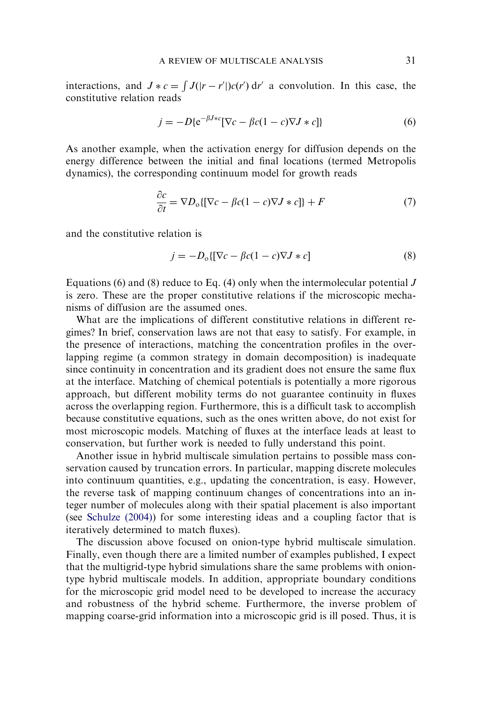interactions, and  $J * c = \int J(|r - r'|)c(r') dr'$  a convolution. In this case, the constitutive relation reads

$$
j = -D\{e^{-\beta J \ast c} [\nabla c - \beta c (1 - c) \nabla J \ast c]\}\tag{6}
$$

As another example, when the activation energy for diffusion depends on the energy difference between the initial and final locations (termed Metropolis dynamics), the corresponding continuum model for growth reads

$$
\frac{\partial c}{\partial t} = \nabla D_o\{ [\nabla c - \beta c(1 - c)\nabla J * c] \} + F \tag{7}
$$

and the constitutive relation is

$$
j = -D_0\{[\nabla c - \beta c(1 - c)\nabla J * c] \tag{8}
$$

Equations (6) and (8) reduce to Eq. (4) only when the intermolecular potential  $J$ is zero. These are the proper constitutive relations if the microscopic mechanisms of diffusion are the assumed ones.

What are the implications of different constitutive relations in different regimes? In brief, conservation laws are not that easy to satisfy. For example, in the presence of interactions, matching the concentration profiles in the overlapping regime (a common strategy in domain decomposition) is inadequate since continuity in concentration and its gradient does not ensure the same flux at the interface. Matching of chemical potentials is potentially a more rigorous approach, but different mobility terms do not guarantee continuity in fluxes across the overlapping region. Furthermore, this is a difficult task to accomplish because constitutive equations, such as the ones written above, do not exist for most microscopic models. Matching of fluxes at the interface leads at least to conservation, but further work is needed to fully understand this point.

Another issue in hybrid multiscale simulation pertains to possible mass conservation caused by truncation errors. In particular, mapping discrete molecules into continuum quantities, e.g., updating the concentration, is easy. However, the reverse task of mapping continuum changes of concentrations into an integer number of molecules along with their spatial placement is also important (see [Schulze \(2004\)\)](#page-59-0) for some interesting ideas and a coupling factor that is iteratively determined to match fluxes).

The discussion above focused on onion-type hybrid multiscale simulation. Finally, even though there are a limited number of examples published, I expect that the multigrid-type hybrid simulations share the same problems with oniontype hybrid multiscale models. In addition, appropriate boundary conditions for the microscopic grid model need to be developed to increase the accuracy and robustness of the hybrid scheme. Furthermore, the inverse problem of mapping coarse-grid information into a microscopic grid is ill posed. Thus, it is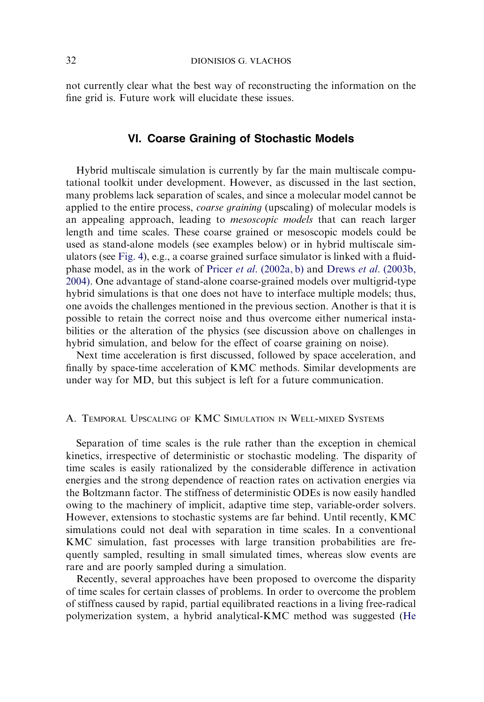not currently clear what the best way of reconstructing the information on the fine grid is. Future work will elucidate these issues.

## VI. Coarse Graining of Stochastic Models

Hybrid multiscale simulation is currently by far the main multiscale computational toolkit under development. However, as discussed in the last section, many problems lack separation of scales, and since a molecular model cannot be applied to the entire process, *coarse graining* (upscaling) of molecular models is an appealing approach, leading to mesoscopic models that can reach larger length and time scales. These coarse grained or mesoscopic models could be used as stand-alone models (see examples below) or in hybrid multiscale simulators (see [Fig. 4\)](#page-12-0), e.g., a coarse grained surface simulator is linked with a fluidphase model, as in the work of Pricer et al[. \(2002a, b\)](#page-59-0) and Drews et al[. \(2003b,](#page-56-0) [2004\)](#page-56-0). One advantage of stand-alone coarse-grained models over multigrid-type hybrid simulations is that one does not have to interface multiple models; thus, one avoids the challenges mentioned in the previous section. Another is that it is possible to retain the correct noise and thus overcome either numerical instabilities or the alteration of the physics (see discussion above on challenges in hybrid simulation, and below for the effect of coarse graining on noise).

Next time acceleration is first discussed, followed by space acceleration, and finally by space-time acceleration of KMC methods. Similar developments are under way for MD, but this subject is left for a future communication.

#### A. TEMPORAL UPSCALING OF KMC SIMULATION IN WELL-MIXED SYSTEMS

Separation of time scales is the rule rather than the exception in chemical kinetics, irrespective of deterministic or stochastic modeling. The disparity of time scales is easily rationalized by the considerable difference in activation energies and the strong dependence of reaction rates on activation energies via the Boltzmann factor. The stiffness of deterministic ODEs is now easily handled owing to the machinery of implicit, adaptive time step, variable-order solvers. However, extensions to stochastic systems are far behind. Until recently, KMC simulations could not deal with separation in time scales. In a conventional KMC simulation, fast processes with large transition probabilities are frequently sampled, resulting in small simulated times, whereas slow events are rare and are poorly sampled during a simulation.

Recently, several approaches have been proposed to overcome the disparity of time scales for certain classes of problems. In order to overcome the problem of stiffness caused by rapid, partial equilibrated reactions in a living free-radical polymerization system, a hybrid analytical-KMC method was suggested ([He](#page-57-0)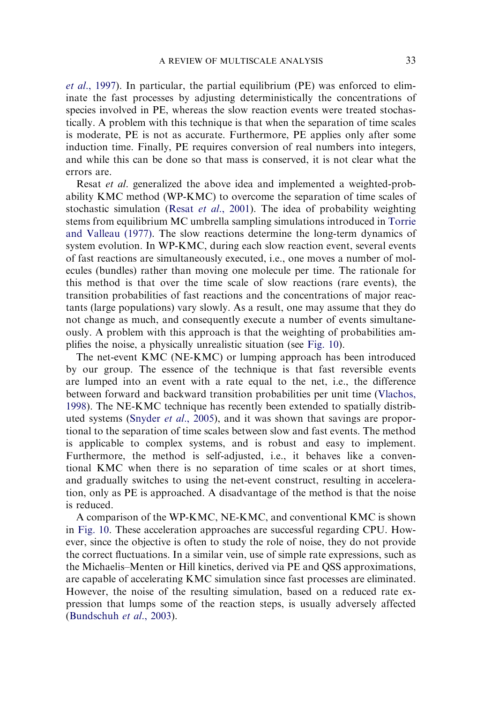et al[., 1997](#page-57-0)). In particular, the partial equilibrium (PE) was enforced to eliminate the fast processes by adjusting deterministically the concentrations of species involved in PE, whereas the slow reaction events were treated stochastically. A problem with this technique is that when the separation of time scales is moderate, PE is not as accurate. Furthermore, PE applies only after some induction time. Finally, PE requires conversion of real numbers into integers, and while this can be done so that mass is conserved, it is not clear what the errors are.

Resat et al. generalized the above idea and implemented a weighted-probability KMC method (WP-KMC) to overcome the separation of time scales of stochastic simulation (Resat et al[., 2001\)](#page-59-0). The idea of probability weighting stems from equilibrium MC umbrella sampling simulations introduced in [Torrie](#page-60-0) [and Valleau \(1977\).](#page-60-0) The slow reactions determine the long-term dynamics of system evolution. In WP-KMC, during each slow reaction event, several events of fast reactions are simultaneously executed, i.e., one moves a number of molecules (bundles) rather than moving one molecule per time. The rationale for this method is that over the time scale of slow reactions (rare events), the transition probabilities of fast reactions and the concentrations of major reactants (large populations) vary slowly. As a result, one may assume that they do not change as much, and consequently execute a number of events simultaneously. A problem with this approach is that the weighting of probabilities amplifies the noise, a physically unrealistic situation (see [Fig. 10\)](#page-33-0).

The net-event KMC (NE-KMC) or lumping approach has been introduced by our group. The essence of the technique is that fast reversible events are lumped into an event with a rate equal to the net, i.e., the difference between forward and backward transition probabilities per unit time ([Vlachos,](#page-60-0) [1998\)](#page-60-0). The NE-KMC technique has recently been extended to spatially distrib-uted systems ([Snyder](#page-60-0) *et al.*, 2005), and it was shown that savings are proportional to the separation of time scales between slow and fast events. The method is applicable to complex systems, and is robust and easy to implement. Furthermore, the method is self-adjusted, i.e., it behaves like a conventional KMC when there is no separation of time scales or at short times, and gradually switches to using the net-event construct, resulting in acceleration, only as PE is approached. A disadvantage of the method is that the noise is reduced.

A comparison of the WP-KMC, NE-KMC, and conventional KMC is shown in [Fig. 10.](#page-33-0) These acceleration approaches are successful regarding CPU. However, since the objective is often to study the role of noise, they do not provide the correct fluctuations. In a similar vein, use of simple rate expressions, such as the Michaelis–Menten or Hill kinetics, derived via PE and QSS approximations, are capable of accelerating KMC simulation since fast processes are eliminated. However, the noise of the resulting simulation, based on a reduced rate expression that lumps some of the reaction steps, is usually adversely affected [\(Bundschuh](#page-56-0) et al., 2003).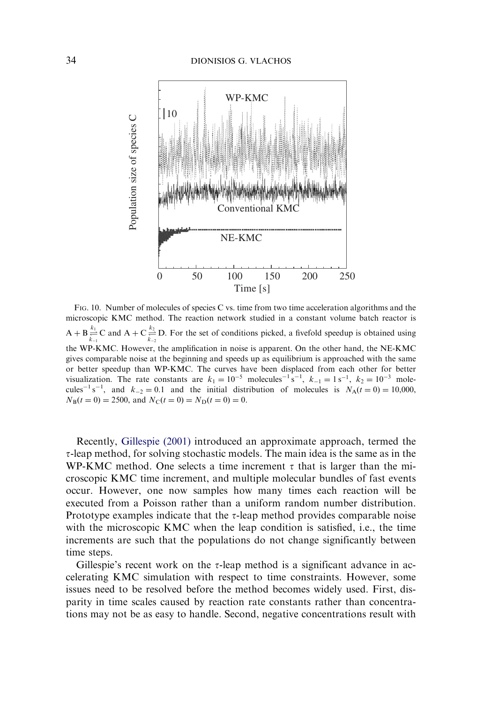<span id="page-33-0"></span>

FIG. 10. Number of molecules of species C vs. time from two time acceleration algorithms and the microscopic KMC method. The reaction network studied in a constant volume batch reactor is  $A + B \stackrel{k_1}{\rightleftharpoons}$  $\sum_{k=1}^{k_1}$ C and A + C  $\sum_{k=2}^{k_2}$  $\frac{a}{k-2}$ D. For the set of conditions picked, a fivefold speedup is obtained using the WP-KMC. However, the amplification in noise is apparent. On the other hand, the NE-KMC gives comparable noise at the beginning and speeds up as equilibrium is approached with the same or better speedup than WP-KMC. The curves have been displaced from each other for better visualization. The rate constants are  $k_1 = 10^{-5}$  molecules<sup>-1</sup> s<sup>-1</sup>,  $k_{-1} = 1$  s<sup>-1</sup>,  $k_2 = 10^{-3}$  molecules<sup>-1</sup>s<sup>-1</sup>, and  $k_{-2} = 0.1$  and the initial distribution of molecules is  $N_A(t = 0) = 10,000$ ,  $N_{\rm B}(t = 0) = 2500$ , and  $N_{\rm C}(t = 0) = N_{\rm D}(t = 0) = 0$ .

Recently, [Gillespie \(2001\)](#page-57-0) introduced an approximate approach, termed the  $\tau$ -leap method, for solving stochastic models. The main idea is the same as in the WP-KMC method. One selects a time increment  $\tau$  that is larger than the microscopic KMC time increment, and multiple molecular bundles of fast events occur. However, one now samples how many times each reaction will be executed from a Poisson rather than a uniform random number distribution. Prototype examples indicate that the  $\tau$ -leap method provides comparable noise with the microscopic KMC when the leap condition is satisfied, i.e., the time increments are such that the populations do not change significantly between time steps.

Gillespie's recent work on the  $\tau$ -leap method is a significant advance in accelerating KMC simulation with respect to time constraints. However, some issues need to be resolved before the method becomes widely used. First, disparity in time scales caused by reaction rate constants rather than concentrations may not be as easy to handle. Second, negative concentrations result with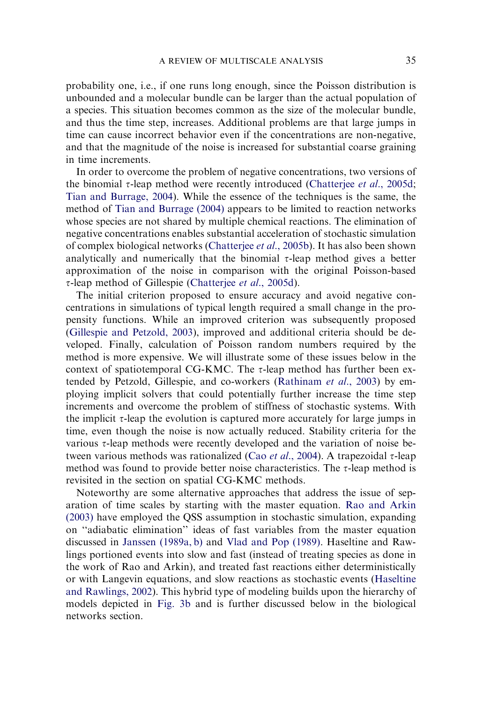probability one, i.e., if one runs long enough, since the Poisson distribution is unbounded and a molecular bundle can be larger than the actual population of a species. This situation becomes common as the size of the molecular bundle, and thus the time step, increases. Additional problems are that large jumps in time can cause incorrect behavior even if the concentrations are non-negative, and that the magnitude of the noise is increased for substantial coarse graining in time increments.

In order to overcome the problem of negative concentrations, two versions of the binomial  $\tau$ -leap method were recently introduced [\(Chatterjee](#page-56-0) *et al.*, 2005d; [Tian and Burrage, 2004](#page-60-0)). While the essence of the techniques is the same, the method of [Tian and Burrage \(2004\)](#page-60-0) appears to be limited to reaction networks whose species are not shared by multiple chemical reactions. The elimination of negative concentrations enables substantial acceleration of stochastic simulation of complex biological networks ([Chatterjee](#page-56-0) et al., 2005b). It has also been shown analytically and numerically that the binomial  $\tau$ -leap method gives a better approximation of the noise in comparison with the original Poisson-based  $\tau$ -leap method of Gillespie [\(Chatterjee](#page-56-0) *et al.*, 2005d).

The initial criterion proposed to ensure accuracy and avoid negative concentrations in simulations of typical length required a small change in the propensity functions. While an improved criterion was subsequently proposed [\(Gillespie and Petzold, 2003\)](#page-57-0), improved and additional criteria should be developed. Finally, calculation of Poisson random numbers required by the method is more expensive. We will illustrate some of these issues below in the context of spatiotemporal CG-KMC. The  $\tau$ -leap method has further been ex-tended by Petzold, Gillespie, and co-workers [\(Rathinam](#page-59-0) et al., 2003) by employing implicit solvers that could potentially further increase the time step increments and overcome the problem of stiffness of stochastic systems. With the implicit  $\tau$ -leap the evolution is captured more accurately for large jumps in time, even though the noise is now actually reduced. Stability criteria for the various  $\tau$ -leap methods were recently developed and the variation of noise between various methods was rationalized (Cao *et al.*, 2004). A trapezoidal  $\tau$ -leap method was found to provide better noise characteristics. The  $\tau$ -leap method is revisited in the section on spatial CG-KMC methods.

Noteworthy are some alternative approaches that address the issue of separation of time scales by starting with the master equation. [Rao and Arkin](#page-59-0) [\(2003\)](#page-59-0) have employed the QSS assumption in stochastic simulation, expanding on ''adiabatic elimination'' ideas of fast variables from the master equation discussed in [Janssen \(1989a, b\)](#page-57-0) and [Vlad and Pop \(1989\).](#page-60-0) Haseltine and Rawlings portioned events into slow and fast (instead of treating species as done in the work of Rao and Arkin), and treated fast reactions either deterministically or with Langevin equations, and slow reactions as stochastic events [\(Haseltine](#page-57-0) [and Rawlings, 2002](#page-57-0)). This hybrid type of modeling builds upon the hierarchy of models depicted in [Fig. 3b](#page-6-0) and is further discussed below in the biological networks section.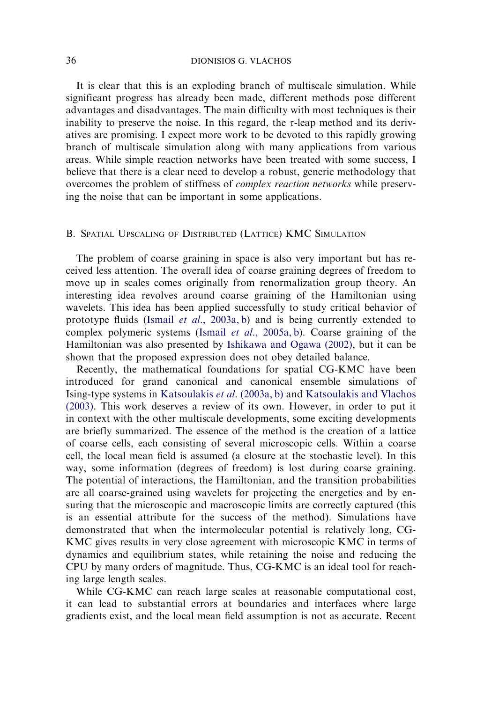#### 36 DIONISIOS G. VLACHOS

It is clear that this is an exploding branch of multiscale simulation. While significant progress has already been made, different methods pose different advantages and disadvantages. The main difficulty with most techniques is their inability to preserve the noise. In this regard, the  $\tau$ -leap method and its derivatives are promising. I expect more work to be devoted to this rapidly growing branch of multiscale simulation along with many applications from various areas. While simple reaction networks have been treated with some success, I believe that there is a clear need to develop a robust, generic methodology that overcomes the problem of stiffness of complex reaction networks while preserving the noise that can be important in some applications.

## B. SPATIAL UPSCALING OF DISTRIBUTED (LATTICE) KMC SIMULATION

The problem of coarse graining in space is also very important but has received less attention. The overall idea of coarse graining degrees of freedom to move up in scales comes originally from renormalization group theory. An interesting idea revolves around coarse graining of the Hamiltonian using wavelets. This idea has been applied successfully to study critical behavior of prototype fluids (Ismail *et al.*, 2003a, b) and is being currently extended to complex polymeric systems (Ismail et al[., 2005a, b](#page-57-0)). Coarse graining of the Hamiltonian was also presented by [Ishikawa and Ogawa \(2002\),](#page-57-0) but it can be shown that the proposed expression does not obey detailed balance.

Recently, the mathematical foundations for spatial CG-KMC have been introduced for grand canonical and canonical ensemble simulations of Ising-type systems in [Katsoulakis](#page-57-0) et al. (2003a, b) and [Katsoulakis and Vlachos](#page-57-0) [\(2003\)](#page-57-0). This work deserves a review of its own. However, in order to put it in context with the other multiscale developments, some exciting developments are briefly summarized. The essence of the method is the creation of a lattice of coarse cells, each consisting of several microscopic cells. Within a coarse cell, the local mean field is assumed (a closure at the stochastic level). In this way, some information (degrees of freedom) is lost during coarse graining. The potential of interactions, the Hamiltonian, and the transition probabilities are all coarse-grained using wavelets for projecting the energetics and by ensuring that the microscopic and macroscopic limits are correctly captured (this is an essential attribute for the success of the method). Simulations have demonstrated that when the intermolecular potential is relatively long, CG-KMC gives results in very close agreement with microscopic KMC in terms of dynamics and equilibrium states, while retaining the noise and reducing the CPU by many orders of magnitude. Thus, CG-KMC is an ideal tool for reaching large length scales.

While CG-KMC can reach large scales at reasonable computational cost, it can lead to substantial errors at boundaries and interfaces where large gradients exist, and the local mean field assumption is not as accurate. Recent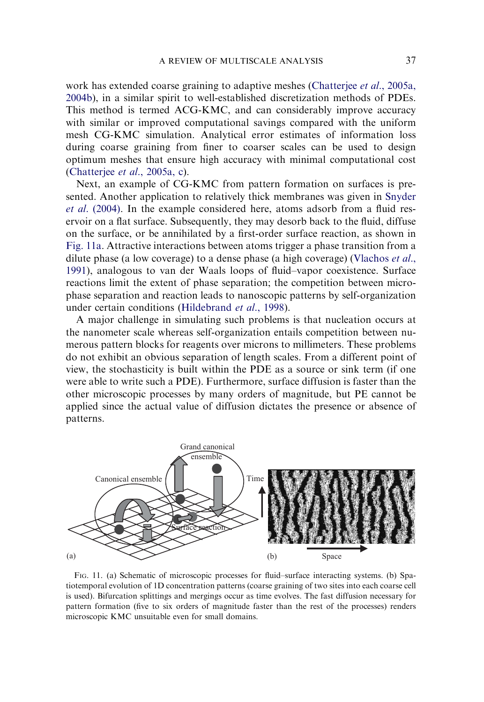<span id="page-36-0"></span>work has extended coarse graining to adaptive meshes ([Chatterjee](#page-56-0) et al., 2005a, [2004b](#page-56-0)), in a similar spirit to well-established discretization methods of PDEs. This method is termed ACG-KMC, and can considerably improve accuracy with similar or improved computational savings compared with the uniform mesh CG-KMC simulation. Analytical error estimates of information loss during coarse graining from finer to coarser scales can be used to design optimum meshes that ensure high accuracy with minimal computational cost [\(Chatterjee](#page-56-0) et al., 2005a, c).

Next, an example of CG-KMC from pattern formation on surfaces is presented. Another application to relatively thick membranes was given in [Snyder](#page-60-0) et al[. \(2004\)](#page-60-0). In the example considered here, atoms adsorb from a fluid reservoir on a flat surface. Subsequently, they may desorb back to the fluid, diffuse on the surface, or be annihilated by a first-order surface reaction, as shown in Fig. 11a. Attractive interactions between atoms trigger a phase transition from a dilute phase (a low coverage) to a dense phase (a high coverage) [\(Vlachos](#page-60-0) et al., [1991\)](#page-60-0), analogous to van der Waals loops of fluid–vapor coexistence. Surface reactions limit the extent of phase separation; the competition between microphase separation and reaction leads to nanoscopic patterns by self-organization under certain conditions [\(Hildebrand](#page-57-0) et al., 1998).

A major challenge in simulating such problems is that nucleation occurs at the nanometer scale whereas self-organization entails competition between numerous pattern blocks for reagents over microns to millimeters. These problems do not exhibit an obvious separation of length scales. From a different point of view, the stochasticity is built within the PDE as a source or sink term (if one were able to write such a PDE). Furthermore, surface diffusion is faster than the other microscopic processes by many orders of magnitude, but PE cannot be applied since the actual value of diffusion dictates the presence or absence of patterns.



FIG. 11. (a) Schematic of microscopic processes for fluid–surface interacting systems. (b) Spatiotemporal evolution of 1D concentration patterns (coarse graining of two sites into each coarse cell is used). Bifurcation splittings and mergings occur as time evolves. The fast diffusion necessary for pattern formation (five to six orders of magnitude faster than the rest of the processes) renders microscopic KMC unsuitable even for small domains.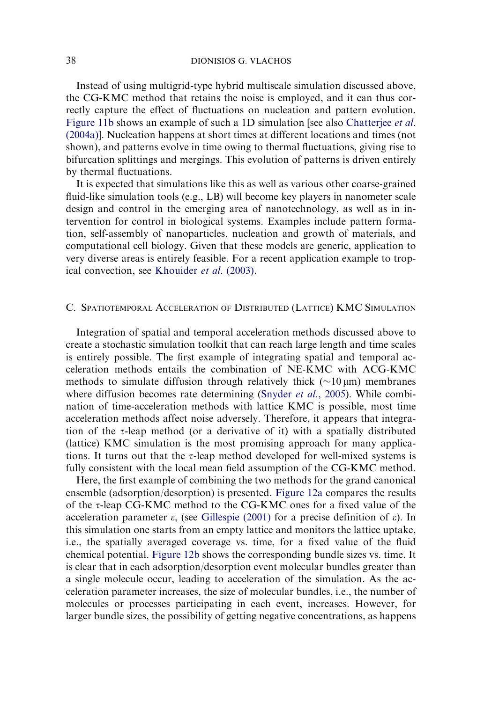Instead of using multigrid-type hybrid multiscale simulation discussed above, the CG-KMC method that retains the noise is employed, and it can thus correctly capture the effect of fluctuations on nucleation and pattern evolution. [Figure 11b](#page-36-0) shows an example of such a 1D simulation [see also Chatteriee *et al.*] [\(2004a\)](#page-56-0)]. Nucleation happens at short times at different locations and times (not shown), and patterns evolve in time owing to thermal fluctuations, giving rise to bifurcation splittings and mergings. This evolution of patterns is driven entirely by thermal fluctuations.

It is expected that simulations like this as well as various other coarse-grained fluid-like simulation tools (e.g., LB) will become key players in nanometer scale design and control in the emerging area of nanotechnology, as well as in intervention for control in biological systems. Examples include pattern formation, self-assembly of nanoparticles, nucleation and growth of materials, and computational cell biology. Given that these models are generic, application to very diverse areas is entirely feasible. For a recent application example to tropical convection, see [Khouider](#page-58-0) et al. (2003).

#### C. SPATIOTEMPORAL ACCELERATION OF DISTRIBUTED (LATTICE) KMC SIMULATION

Integration of spatial and temporal acceleration methods discussed above to create a stochastic simulation toolkit that can reach large length and time scales is entirely possible. The first example of integrating spatial and temporal acceleration methods entails the combination of NE-KMC with ACG-KMC methods to simulate diffusion through relatively thick  $(\sim 10 \,\mu m)$  membranes where diffusion becomes rate determining ([Snyder](#page-60-0) *et al.*, 2005). While combination of time-acceleration methods with lattice KMC is possible, most time acceleration methods affect noise adversely. Therefore, it appears that integration of the  $\tau$ -leap method (or a derivative of it) with a spatially distributed (lattice) KMC simulation is the most promising approach for many applications. It turns out that the  $\tau$ -leap method developed for well-mixed systems is fully consistent with the local mean field assumption of the CG-KMC method.

Here, the first example of combining the two methods for the grand canonical ensemble (adsorption/desorption) is presented. [Figure 12a](#page-38-0) compares the results of the  $\tau$ -leap CG-KMC method to the CG-KMC ones for a fixed value of the acceleration parameter  $\varepsilon$ , (see [Gillespie \(2001\)](#page-57-0) for a precise definition of  $\varepsilon$ ). In this simulation one starts from an empty lattice and monitors the lattice uptake, i.e., the spatially averaged coverage vs. time, for a fixed value of the fluid chemical potential. [Figure 12b](#page-38-0) shows the corresponding bundle sizes vs. time. It is clear that in each adsorption/desorption event molecular bundles greater than a single molecule occur, leading to acceleration of the simulation. As the acceleration parameter increases, the size of molecular bundles, i.e., the number of molecules or processes participating in each event, increases. However, for larger bundle sizes, the possibility of getting negative concentrations, as happens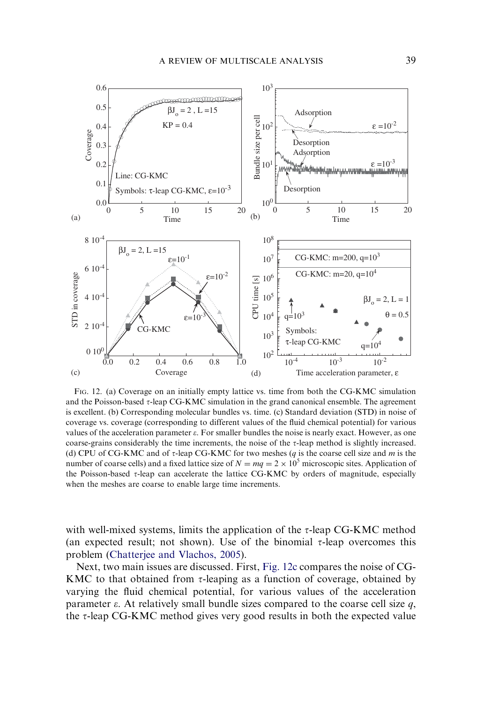<span id="page-38-0"></span>

FIG. 12. (a) Coverage on an initially empty lattice vs. time from both the CG-KMC simulation and the Poisson-based  $\tau$ -leap CG-KMC simulation in the grand canonical ensemble. The agreement is excellent. (b) Corresponding molecular bundles vs. time. (c) Standard deviation (STD) in noise of coverage vs. coverage (corresponding to different values of the fluid chemical potential) for various values of the acceleration parameter e. For smaller bundles the noise is nearly exact. However, as one coarse-grains considerably the time increments, the noise of the  $\tau$ -leap method is slightly increased. (d) CPU of CG-KMC and of  $\tau$ -leap CG-KMC for two meshes (q is the coarse cell size and m is the number of coarse cells) and a fixed lattice size of  $N = mq = 2 \times 10^5$  microscopic sites. Application of the Poisson-based  $\tau$ -leap can accelerate the lattice CG-KMC by orders of magnitude, especially when the meshes are coarse to enable large time increments.

with well-mixed systems, limits the application of the  $\tau$ -leap CG-KMC method (an expected result; not shown). Use of the binomial  $\tau$ -leap overcomes this problem [\(Chatterjee and Vlachos, 2005\)](#page-56-0).

Next, two main issues are discussed. First, Fig. 12c compares the noise of CG-KMC to that obtained from  $\tau$ -leaping as a function of coverage, obtained by varying the fluid chemical potential, for various values of the acceleration parameter  $\varepsilon$ . At relatively small bundle sizes compared to the coarse cell size  $q$ , the  $\tau$ -leap CG-KMC method gives very good results in both the expected value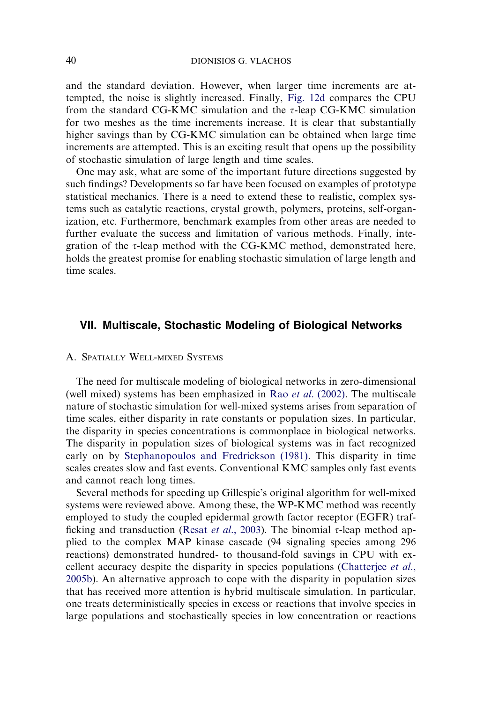and the standard deviation. However, when larger time increments are attempted, the noise is slightly increased. Finally, [Fig. 12d](#page-38-0) compares the CPU from the standard CG-KMC simulation and the  $\tau$ -leap CG-KMC simulation for two meshes as the time increments increase. It is clear that substantially higher savings than by CG-KMC simulation can be obtained when large time increments are attempted. This is an exciting result that opens up the possibility of stochastic simulation of large length and time scales.

One may ask, what are some of the important future directions suggested by such findings? Developments so far have been focused on examples of prototype statistical mechanics. There is a need to extend these to realistic, complex systems such as catalytic reactions, crystal growth, polymers, proteins, self-organization, etc. Furthermore, benchmark examples from other areas are needed to further evaluate the success and limitation of various methods. Finally, integration of the  $\tau$ -leap method with the CG-KMC method, demonstrated here, holds the greatest promise for enabling stochastic simulation of large length and time scales.

## VII. Multiscale, Stochastic Modeling of Biological Networks

#### A. SPATIALLY WELL-MIXED SYSTEMS

The need for multiscale modeling of biological networks in zero-dimensional (well mixed) systems has been emphasized in Rao et al[. \(2002\).](#page-59-0) The multiscale nature of stochastic simulation for well-mixed systems arises from separation of time scales, either disparity in rate constants or population sizes. In particular, the disparity in species concentrations is commonplace in biological networks. The disparity in population sizes of biological systems was in fact recognized early on by [Stephanopoulos and Fredrickson \(1981\).](#page-60-0) This disparity in time scales creates slow and fast events. Conventional KMC samples only fast events and cannot reach long times.

Several methods for speeding up Gillespie's original algorithm for well-mixed systems were reviewed above. Among these, the WP-KMC method was recently employed to study the coupled epidermal growth factor receptor (EGFR) trafficking and transduction (Resat *et al.*, 2003). The binomial  $\tau$ -leap method applied to the complex MAP kinase cascade (94 signaling species among 296 reactions) demonstrated hundred- to thousand-fold savings in CPU with ex-cellent accuracy despite the disparity in species populations [\(Chatterjee](#page-56-0) *et al.*, [2005b](#page-56-0)). An alternative approach to cope with the disparity in population sizes that has received more attention is hybrid multiscale simulation. In particular, one treats deterministically species in excess or reactions that involve species in large populations and stochastically species in low concentration or reactions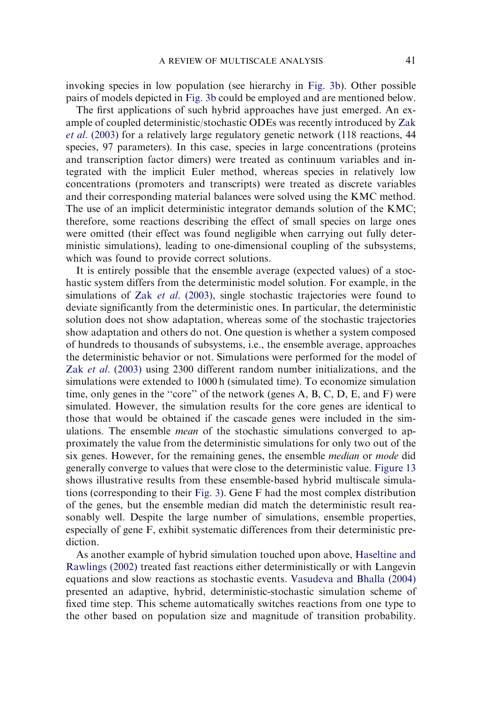invoking species in low population (see hierarchy in [Fig. 3b](#page-6-0)). Other possible pairs of models depicted in [Fig. 3b](#page-6-0) could be employed and are mentioned below.

The first applications of such hybrid approaches have just emerged. An example of coupled deterministic/stochastic ODEs was recently introduced by [Zak](#page-60-0) et al[. \(2003\)](#page-60-0) for a relatively large regulatory genetic network (118 reactions, 44 species, 97 parameters). In this case, species in large concentrations (proteins and transcription factor dimers) were treated as continuum variables and integrated with the implicit Euler method, whereas species in relatively low concentrations (promoters and transcripts) were treated as discrete variables and their corresponding material balances were solved using the KMC method. The use of an implicit deterministic integrator demands solution of the KMC; therefore, some reactions describing the effect of small species on large ones were omitted (their effect was found negligible when carrying out fully deterministic simulations), leading to one-dimensional coupling of the subsystems, which was found to provide correct solutions.

It is entirely possible that the ensemble average (expected values) of a stochastic system differs from the deterministic model solution. For example, in the simulations of Zak et al[. \(2003\),](#page-60-0) single stochastic trajectories were found to deviate significantly from the deterministic ones. In particular, the deterministic solution does not show adaptation, whereas some of the stochastic trajectories show adaptation and others do not. One question is whether a system composed of hundreds to thousands of subsystems, i.e., the ensemble average, approaches the deterministic behavior or not. Simulations were performed for the model of Zak et al[. \(2003\)](#page-60-0) using 2300 different random number initializations, and the simulations were extended to 1000 h (simulated time). To economize simulation time, only genes in the ''core'' of the network (genes A, B, C, D, E, and F) were simulated. However, the simulation results for the core genes are identical to those that would be obtained if the cascade genes were included in the simulations. The ensemble *mean* of the stochastic simulations converged to approximately the value from the deterministic simulations for only two out of the six genes. However, for the remaining genes, the ensemble *median* or *mode* did generally converge to values that were close to the deterministic value. [Figure 13](#page-41-0) shows illustrative results from these ensemble-based hybrid multiscale simulations (corresponding to their [Fig. 3\)](#page-6-0). Gene F had the most complex distribution of the genes, but the ensemble median did match the deterministic result reasonably well. Despite the large number of simulations, ensemble properties, especially of gene F, exhibit systematic differences from their deterministic prediction.

As another example of hybrid simulation touched upon above, [Haseltine and](#page-57-0) [Rawlings \(2002\)](#page-57-0) treated fast reactions either deterministically or with Langevin equations and slow reactions as stochastic events. [Vasudeva and Bhalla \(2004\)](#page-60-0) presented an adaptive, hybrid, deterministic-stochastic simulation scheme of fixed time step. This scheme automatically switches reactions from one type to the other based on population size and magnitude of transition probability.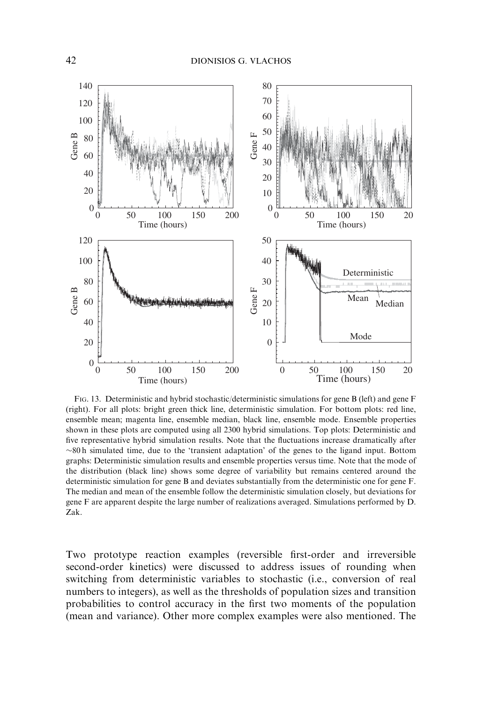<span id="page-41-0"></span>

FIG. 13. Deterministic and hybrid stochastic/deterministic simulations for gene B (left) and gene F (right). For all plots: bright green thick line, deterministic simulation. For bottom plots: red line, ensemble mean; magenta line, ensemble median, black line, ensemble mode. Ensemble properties shown in these plots are computed using all 2300 hybrid simulations. Top plots: Deterministic and five representative hybrid simulation results. Note that the fluctuations increase dramatically after  $\sim$ 80 h simulated time, due to the 'transient adaptation' of the genes to the ligand input. Bottom graphs: Deterministic simulation results and ensemble properties versus time. Note that the mode of the distribution (black line) shows some degree of variability but remains centered around the deterministic simulation for gene B and deviates substantially from the deterministic one for gene F. The median and mean of the ensemble follow the deterministic simulation closely, but deviations for gene F are apparent despite the large number of realizations averaged. Simulations performed by D. Zak.

Two prototype reaction examples (reversible first-order and irreversible second-order kinetics) were discussed to address issues of rounding when switching from deterministic variables to stochastic (i.e., conversion of real numbers to integers), as well as the thresholds of population sizes and transition probabilities to control accuracy in the first two moments of the population (mean and variance). Other more complex examples were also mentioned. The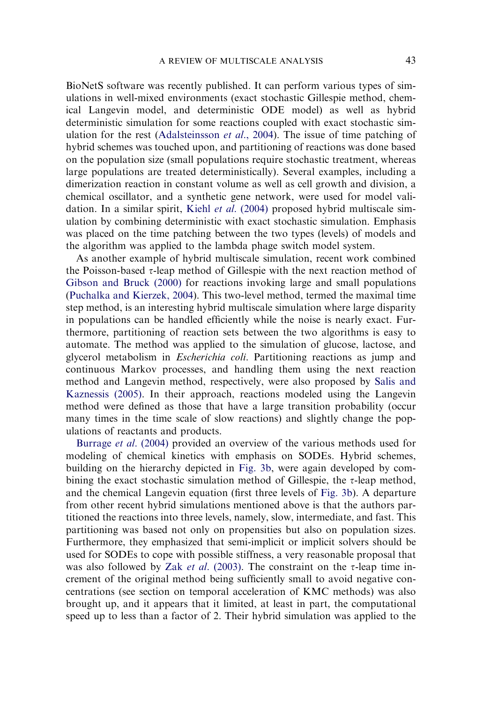BioNetS software was recently published. It can perform various types of simulations in well-mixed environments (exact stochastic Gillespie method, chemical Langevin model, and deterministic ODE model) as well as hybrid deterministic simulation for some reactions coupled with exact stochastic sim-ulation for the rest [\(Adalsteinsson](#page-55-0) *et al.*, 2004). The issue of time patching of hybrid schemes was touched upon, and partitioning of reactions was done based on the population size (small populations require stochastic treatment, whereas large populations are treated deterministically). Several examples, including a dimerization reaction in constant volume as well as cell growth and division, a chemical oscillator, and a synthetic gene network, were used for model validation. In a similar spirit, Kiehl et al[. \(2004\)](#page-58-0) proposed hybrid multiscale simulation by combining deterministic with exact stochastic simulation. Emphasis was placed on the time patching between the two types (levels) of models and the algorithm was applied to the lambda phage switch model system.

As another example of hybrid multiscale simulation, recent work combined the Poisson-based  $\tau$ -leap method of Gillespie with the next reaction method of [Gibson and Bruck \(2000\)](#page-57-0) for reactions invoking large and small populations [\(Puchalka and Kierzek, 2004\)](#page-59-0). This two-level method, termed the maximal time step method, is an interesting hybrid multiscale simulation where large disparity in populations can be handled efficiently while the noise is nearly exact. Furthermore, partitioning of reaction sets between the two algorithms is easy to automate. The method was applied to the simulation of glucose, lactose, and glycerol metabolism in Escherichia coli. Partitioning reactions as jump and continuous Markov processes, and handling them using the next reaction method and Langevin method, respectively, were also proposed by [Salis and](#page-59-0) [Kaznessis \(2005\)](#page-59-0). In their approach, reactions modeled using the Langevin method were defined as those that have a large transition probability (occur many times in the time scale of slow reactions) and slightly change the populations of reactants and products.

[Burrage](#page-56-0) et al. (2004) provided an overview of the various methods used for modeling of chemical kinetics with emphasis on SODEs. Hybrid schemes, building on the hierarchy depicted in [Fig. 3b](#page-6-0), were again developed by combining the exact stochastic simulation method of Gillespie, the  $\tau$ -leap method, and the chemical Langevin equation (first three levels of [Fig. 3b\)](#page-6-0). A departure from other recent hybrid simulations mentioned above is that the authors partitioned the reactions into three levels, namely, slow, intermediate, and fast. This partitioning was based not only on propensities but also on population sizes. Furthermore, they emphasized that semi-implicit or implicit solvers should be used for SODEs to cope with possible stiffness, a very reasonable proposal that was also followed by Zak *et al.* (2003). The constraint on the  $\tau$ -leap time increment of the original method being sufficiently small to avoid negative concentrations (see section on temporal acceleration of KMC methods) was also brought up, and it appears that it limited, at least in part, the computational speed up to less than a factor of 2. Their hybrid simulation was applied to the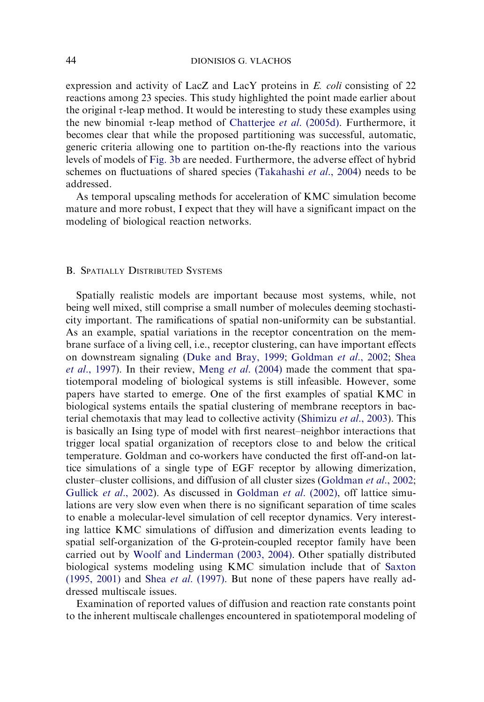expression and activity of LacZ and LacY proteins in E. coli consisting of 22 reactions among 23 species. This study highlighted the point made earlier about the original  $\tau$ -leap method. It would be interesting to study these examples using the new binomial  $\tau$ -leap method of Chatteriee *et al.* (2005d). Furthermore, it becomes clear that while the proposed partitioning was successful, automatic, generic criteria allowing one to partition on-the-fly reactions into the various levels of models of [Fig. 3b](#page-6-0) are needed. Furthermore, the adverse effect of hybrid schemes on fluctuations of shared species [\(Takahashi](#page-60-0) *et al.*, 2004) needs to be addressed.

As temporal upscaling methods for acceleration of KMC simulation become mature and more robust, I expect that they will have a significant impact on the modeling of biological reaction networks.

#### B. SPATIALLY DISTRIBUTED SYSTEMS

Spatially realistic models are important because most systems, while, not being well mixed, still comprise a small number of molecules deeming stochasticity important. The ramifications of spatial non-uniformity can be substantial. As an example, spatial variations in the receptor concentration on the membrane surface of a living cell, i.e., receptor clustering, can have important effects on downstream signaling [\(Duke and Bray, 1999](#page-56-0); [Goldman](#page-57-0) et al., 2002; [Shea](#page-59-0) et al[., 1997](#page-59-0)). In their review, Meng et al[. \(2004\)](#page-58-0) made the comment that spatiotemporal modeling of biological systems is still infeasible. However, some papers have started to emerge. One of the first examples of spatial KMC in biological systems entails the spatial clustering of membrane receptors in bac-terial chemotaxis that may lead to collective activity [\(Shimizu](#page-60-0) *et al.*, 2003). This is basically an Ising type of model with first nearest–neighbor interactions that trigger local spatial organization of receptors close to and below the critical temperature. Goldman and co-workers have conducted the first off-and-on lattice simulations of a single type of EGF receptor by allowing dimerization, cluster–cluster collisions, and diffusion of all cluster sizes ([Goldman](#page-57-0) et al., 2002; [Gullick](#page-57-0) et al., 2002). As discussed in [Goldman](#page-57-0) et al. (2002), off lattice simulations are very slow even when there is no significant separation of time scales to enable a molecular-level simulation of cell receptor dynamics. Very interesting lattice KMC simulations of diffusion and dimerization events leading to spatial self-organization of the G-protein-coupled receptor family have been carried out by [Woolf and Linderman \(2003, 2004\).](#page-60-0) Other spatially distributed biological systems modeling using KMC simulation include that of [Saxton](#page-59-0) [\(1995, 2001\)](#page-59-0) and Shea et al[. \(1997\)](#page-59-0). But none of these papers have really addressed multiscale issues.

Examination of reported values of diffusion and reaction rate constants point to the inherent multiscale challenges encountered in spatiotemporal modeling of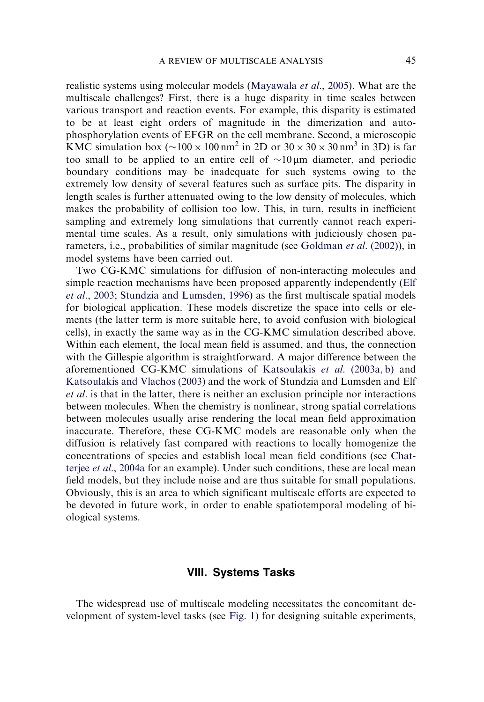realistic systems using molecular models ([Mayawala](#page-58-0) et al., 2005). What are the multiscale challenges? First, there is a huge disparity in time scales between various transport and reaction events. For example, this disparity is estimated to be at least eight orders of magnitude in the dimerization and autophosphorylation events of EFGR on the cell membrane. Second, a microscopic KMC simulation box ( $\sim$ 100  $\times$  100 nm<sup>2</sup> in 2D or 30  $\times$  30  $\times$  30 nm<sup>3</sup> in 3D) is far too small to be applied to an entire cell of  $\sim 10 \,\mu m$  diameter, and periodic boundary conditions may be inadequate for such systems owing to the extremely low density of several features such as surface pits. The disparity in length scales is further attenuated owing to the low density of molecules, which makes the probability of collision too low. This, in turn, results in inefficient sampling and extremely long simulations that currently cannot reach experimental time scales. As a result, only simulations with judiciously chosen parameters, i.e., probabilities of similar magnitude (see [Goldman](#page-57-0) et al. (2002)), in model systems have been carried out.

Two CG-KMC simulations for diffusion of non-interacting molecules and simple reaction mechanisms have been proposed apparently independently ([Elf](#page-56-0) et al[., 2003;](#page-56-0) [Stundzia and Lumsden, 1996](#page-60-0)) as the first multiscale spatial models for biological application. These models discretize the space into cells or elements (the latter term is more suitable here, to avoid confusion with biological cells), in exactly the same way as in the CG-KMC simulation described above. Within each element, the local mean field is assumed, and thus, the connection with the Gillespie algorithm is straightforward. A major difference between the aforementioned CG-KMC simulations of [Katsoulakis](#page-57-0) *et al.* (2003a, b) and [Katsoulakis and Vlachos \(2003\)](#page-57-0) and the work of Stundzia and Lumsden and Elf et al. is that in the latter, there is neither an exclusion principle nor interactions between molecules. When the chemistry is nonlinear, strong spatial correlations between molecules usually arise rendering the local mean field approximation inaccurate. Therefore, these CG-KMC models are reasonable only when the diffusion is relatively fast compared with reactions to locally homogenize the concentrations of species and establish local mean field conditions (see [Chat](#page-56-0)terjee *et al.*, 2004a for an example). Under such conditions, these are local mean field models, but they include noise and are thus suitable for small populations. Obviously, this is an area to which significant multiscale efforts are expected to be devoted in future work, in order to enable spatiotemporal modeling of biological systems.

#### VIII. Systems Tasks

The widespread use of multiscale modeling necessitates the concomitant development of system-level tasks (see [Fig. 1\)](#page-3-0) for designing suitable experiments,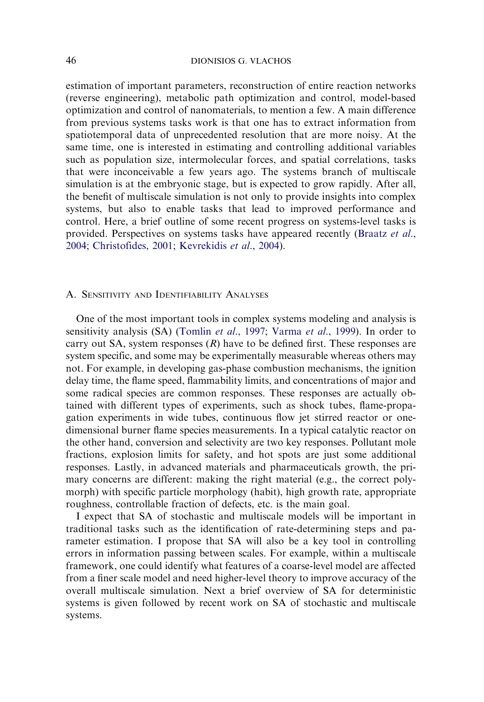estimation of important parameters, reconstruction of entire reaction networks (reverse engineering), metabolic path optimization and control, model-based optimization and control of nanomaterials, to mention a few. A main difference from previous systems tasks work is that one has to extract information from spatiotemporal data of unprecedented resolution that are more noisy. At the same time, one is interested in estimating and controlling additional variables such as population size, intermolecular forces, and spatial correlations, tasks that were inconceivable a few years ago. The systems branch of multiscale simulation is at the embryonic stage, but is expected to grow rapidly. After all, the benefit of multiscale simulation is not only to provide insights into complex systems, but also to enable tasks that lead to improved performance and control. Here, a brief outline of some recent progress on systems-level tasks is provided. Perspectives on systems tasks have appeared recently [\(Braatz](#page-55-0) et al., [2004;](#page-55-0) [Christofides, 2001](#page-56-0); [Kevrekidis](#page-58-0) et al., 2004).

#### A. SENSITIVITY AND IDENTIFIABILITY ANALYSES

One of the most important tools in complex systems modeling and analysis is sensitivity analysis (SA) [\(Tomlin](#page-60-0) et al., 1997; [Varma](#page-60-0) et al., 1999). In order to carry out SA, system responses  $(R)$  have to be defined first. These responses are system specific, and some may be experimentally measurable whereas others may not. For example, in developing gas-phase combustion mechanisms, the ignition delay time, the flame speed, flammability limits, and concentrations of major and some radical species are common responses. These responses are actually obtained with different types of experiments, such as shock tubes, flame-propagation experiments in wide tubes, continuous flow jet stirred reactor or onedimensional burner flame species measurements. In a typical catalytic reactor on the other hand, conversion and selectivity are two key responses. Pollutant mole fractions, explosion limits for safety, and hot spots are just some additional responses. Lastly, in advanced materials and pharmaceuticals growth, the primary concerns are different: making the right material (e.g., the correct polymorph) with specific particle morphology (habit), high growth rate, appropriate roughness, controllable fraction of defects, etc. is the main goal.

I expect that SA of stochastic and multiscale models will be important in traditional tasks such as the identification of rate-determining steps and parameter estimation. I propose that SA will also be a key tool in controlling errors in information passing between scales. For example, within a multiscale framework, one could identify what features of a coarse-level model are affected from a finer scale model and need higher-level theory to improve accuracy of the overall multiscale simulation. Next a brief overview of SA for deterministic systems is given followed by recent work on SA of stochastic and multiscale systems.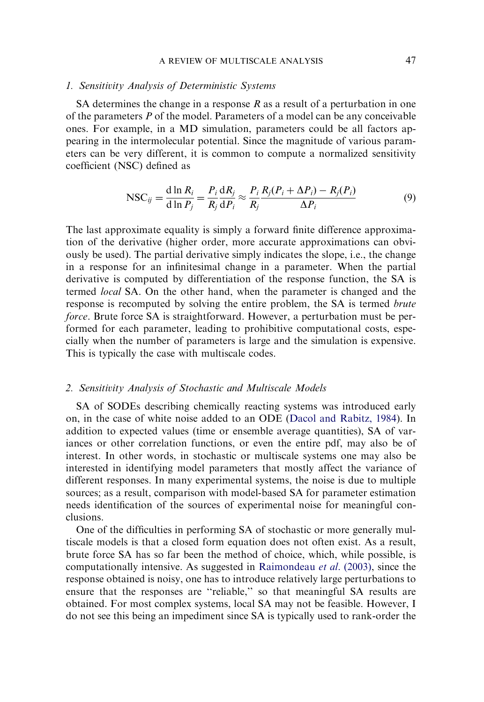## 1. Sensitivity Analysis of Deterministic Systems

SA determines the change in a response  $R$  as a result of a perturbation in one of the parameters P of the model. Parameters of a model can be any conceivable ones. For example, in a MD simulation, parameters could be all factors appearing in the intermolecular potential. Since the magnitude of various parameters can be very different, it is common to compute a normalized sensitivity coefficient (NSC) defined as

$$
\text{NSC}_{ij} = \frac{\text{d}\ln R_i}{\text{d}\ln P_j} = \frac{P_i}{R_j}\frac{\text{d}R_j}{\text{d}P_i} \approx \frac{P_i}{R_j}\frac{R_j(P_i + \Delta P_i) - R_j(P_i)}{\Delta P_i} \tag{9}
$$

The last approximate equality is simply a forward finite difference approximation of the derivative (higher order, more accurate approximations can obviously be used). The partial derivative simply indicates the slope, i.e., the change in a response for an infinitesimal change in a parameter. When the partial derivative is computed by differentiation of the response function, the SA is termed local SA. On the other hand, when the parameter is changed and the response is recomputed by solving the entire problem, the SA is termed brute force. Brute force SA is straightforward. However, a perturbation must be performed for each parameter, leading to prohibitive computational costs, especially when the number of parameters is large and the simulation is expensive. This is typically the case with multiscale codes.

#### 2. Sensitivity Analysis of Stochastic and Multiscale Models

SA of SODEs describing chemically reacting systems was introduced early on, in the case of white noise added to an ODE [\(Dacol and Rabitz, 1984\)](#page-56-0). In addition to expected values (time or ensemble average quantities), SA of variances or other correlation functions, or even the entire pdf, may also be of interest. In other words, in stochastic or multiscale systems one may also be interested in identifying model parameters that mostly affect the variance of different responses. In many experimental systems, the noise is due to multiple sources; as a result, comparison with model-based SA for parameter estimation needs identification of the sources of experimental noise for meaningful conclusions.

One of the difficulties in performing SA of stochastic or more generally multiscale models is that a closed form equation does not often exist. As a result, brute force SA has so far been the method of choice, which, while possible, is computationally intensive. As suggested in [Raimondeau](#page-59-0) et al. (2003), since the response obtained is noisy, one has to introduce relatively large perturbations to ensure that the responses are ''reliable,'' so that meaningful SA results are obtained. For most complex systems, local SA may not be feasible. However, I do not see this being an impediment since SA is typically used to rank-order the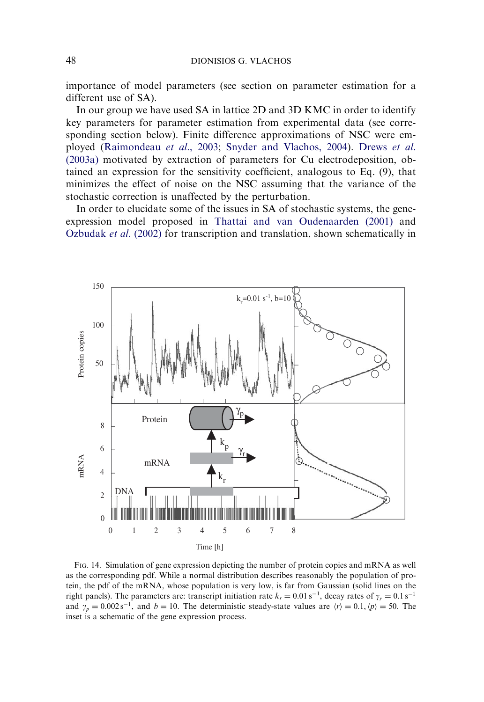<span id="page-47-0"></span>importance of model parameters (see section on parameter estimation for a different use of SA).

In our group we have used SA in lattice 2D and 3D KMC in order to identify key parameters for parameter estimation from experimental data (see corresponding section below). Finite difference approximations of NSC were employed ([Raimondeau](#page-59-0) et al., 2003; [Snyder and Vlachos, 2004](#page-60-0)). [Drews](#page-56-0) et al. [\(2003a\)](#page-56-0) motivated by extraction of parameters for Cu electrodeposition, obtained an expression for the sensitivity coefficient, analogous to Eq. (9), that minimizes the effect of noise on the NSC assuming that the variance of the stochastic correction is unaffected by the perturbation.

In order to elucidate some of the issues in SA of stochastic systems, the geneexpression model proposed in [Thattai and van Oudenaarden \(2001\)](#page-60-0) and [Ozbudak](#page-59-0) et al. (2002) for transcription and translation, shown schematically in



FIG. 14. Simulation of gene expression depicting the number of protein copies and mRNA as well as the corresponding pdf. While a normal distribution describes reasonably the population of protein, the pdf of the mRNA, whose population is very low, is far from Gaussian (solid lines on the right panels). The parameters are: transcript initiation rate  $k_r = 0.01 \text{ s}^{-1}$ , decay rates of  $\gamma_r = 0.1 \text{ s}^{-1}$ and  $\gamma_p = 0.002 \text{ s}^{-1}$ , and  $b = 10$ . The deterministic steady-state values are  $\langle r \rangle = 0.1$ ,  $\langle p \rangle = 50$ . The inset is a schematic of the gene expression process.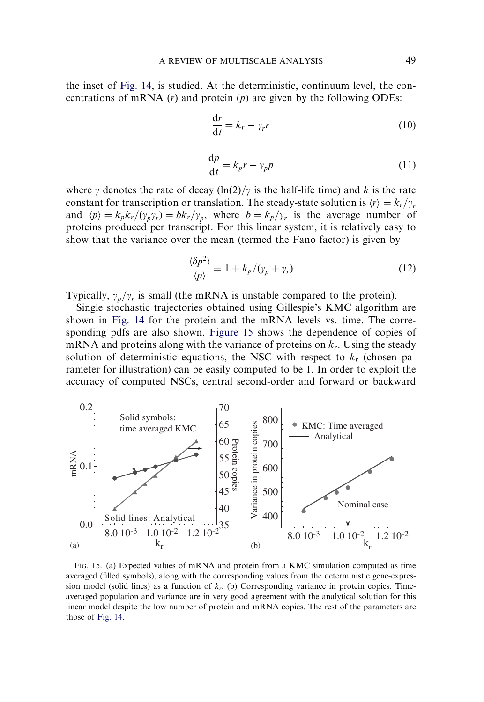the inset of [Fig. 14,](#page-47-0) is studied. At the deterministic, continuum level, the concentrations of mRNA  $(r)$  and protein  $(p)$  are given by the following ODEs:

$$
\frac{\mathrm{d}r}{\mathrm{d}t} = k_r - \gamma_r r \tag{10}
$$

$$
\frac{\mathrm{d}p}{\mathrm{d}t} = k_p r - \gamma_p p \tag{11}
$$

where  $\gamma$  denotes the rate of decay  $(\ln(2)/\gamma)$  is the half-life time) and k is the rate constant for transcription or translation. The steady-state solution is  $\langle r \rangle = k_r / \gamma_r$ and  $\langle p \rangle = k_p k_r / (\gamma_p \gamma_r) = b k_r / \gamma_p$ , where  $b = k_p / \gamma_r$  is the average number of proteins produced per transcript. For this linear system, it is relatively easy to show that the variance over the mean (termed the Fano factor) is given by

$$
\frac{\langle \delta p^2 \rangle}{\langle p \rangle} = 1 + k_p / (\gamma_p + \gamma_r) \tag{12}
$$

Typically,  $\gamma_p/\gamma_r$  is small (the mRNA is unstable compared to the protein).

Single stochastic trajectories obtained using Gillespie's KMC algorithm are shown in [Fig. 14](#page-47-0) for the protein and the mRNA levels vs. time. The corresponding pdfs are also shown. Figure 15 shows the dependence of copies of mRNA and proteins along with the variance of proteins on  $k_r$ . Using the steady solution of deterministic equations, the NSC with respect to  $k_r$  (chosen parameter for illustration) can be easily computed to be 1. In order to exploit the accuracy of computed NSCs, central second-order and forward or backward



FIG. 15. (a) Expected values of mRNA and protein from a KMC simulation computed as time averaged (filled symbols), along with the corresponding values from the deterministic gene-expression model (solid lines) as a function of  $k<sub>r</sub>$ . (b) Corresponding variance in protein copies. Timeaveraged population and variance are in very good agreement with the analytical solution for this linear model despite the low number of protein and mRNA copies. The rest of the parameters are those of [Fig. 14](#page-47-0).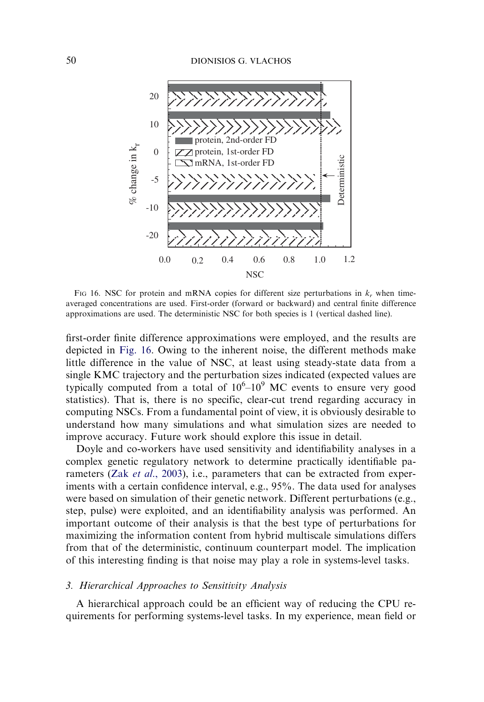

FIG 16. NSC for protein and mRNA copies for different size perturbations in  $k<sub>r</sub>$  when timeaveraged concentrations are used. First-order (forward or backward) and central finite difference approximations are used. The deterministic NSC for both species is 1 (vertical dashed line).

first-order finite difference approximations were employed, and the results are depicted in Fig. 16. Owing to the inherent noise, the different methods make little difference in the value of NSC, at least using steady-state data from a single KMC trajectory and the perturbation sizes indicated (expected values are typically computed from a total of  $10^6$ - $10^9$  MC events to ensure very good statistics). That is, there is no specific, clear-cut trend regarding accuracy in computing NSCs. From a fundamental point of view, it is obviously desirable to understand how many simulations and what simulation sizes are needed to improve accuracy. Future work should explore this issue in detail.

Doyle and co-workers have used sensitivity and identifiability analyses in a complex genetic regulatory network to determine practically identifiable pa-rameters (Zak et al[., 2003](#page-60-0)), i.e., parameters that can be extracted from experiments with a certain confidence interval, e.g., 95%. The data used for analyses were based on simulation of their genetic network. Different perturbations (e.g., step, pulse) were exploited, and an identifiability analysis was performed. An important outcome of their analysis is that the best type of perturbations for maximizing the information content from hybrid multiscale simulations differs from that of the deterministic, continuum counterpart model. The implication of this interesting finding is that noise may play a role in systems-level tasks.

## 3. Hierarchical Approaches to Sensitivity Analysis

A hierarchical approach could be an efficient way of reducing the CPU requirements for performing systems-level tasks. In my experience, mean field or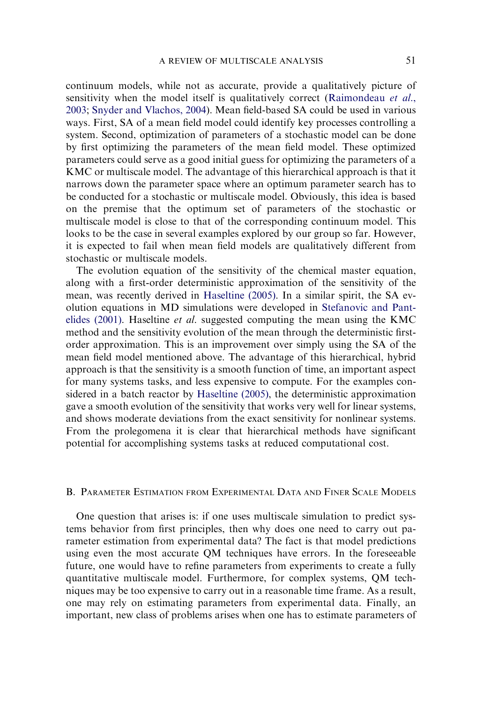continuum models, while not as accurate, provide a qualitatively picture of sensitivity when the model itself is qualitatively correct ([Raimondeau](#page-59-0) *et al.*, [2003;](#page-59-0) [Snyder and Vlachos, 2004\)](#page-60-0). Mean field-based SA could be used in various ways. First, SA of a mean field model could identify key processes controlling a system. Second, optimization of parameters of a stochastic model can be done by first optimizing the parameters of the mean field model. These optimized parameters could serve as a good initial guess for optimizing the parameters of a KMC or multiscale model. The advantage of this hierarchical approach is that it narrows down the parameter space where an optimum parameter search has to be conducted for a stochastic or multiscale model. Obviously, this idea is based on the premise that the optimum set of parameters of the stochastic or multiscale model is close to that of the corresponding continuum model. This looks to be the case in several examples explored by our group so far. However, it is expected to fail when mean field models are qualitatively different from stochastic or multiscale models.

The evolution equation of the sensitivity of the chemical master equation, along with a first-order deterministic approximation of the sensitivity of the mean, was recently derived in [Haseltine \(2005\).](#page-57-0) In a similar spirit, the SA evolution equations in MD simulations were developed in [Stefanovic and Pant](#page-60-0)[elides \(2001\).](#page-60-0) Haseltine *et al.* suggested computing the mean using the KMC method and the sensitivity evolution of the mean through the deterministic firstorder approximation. This is an improvement over simply using the SA of the mean field model mentioned above. The advantage of this hierarchical, hybrid approach is that the sensitivity is a smooth function of time, an important aspect for many systems tasks, and less expensive to compute. For the examples considered in a batch reactor by [Haseltine \(2005\),](#page-57-0) the deterministic approximation gave a smooth evolution of the sensitivity that works very well for linear systems, and shows moderate deviations from the exact sensitivity for nonlinear systems. From the prolegomena it is clear that hierarchical methods have significant potential for accomplishing systems tasks at reduced computational cost.

#### B. PARAMETER ESTIMATION FROM EXPERIMENTAL DATA AND FINER SCALE MODELS

One question that arises is: if one uses multiscale simulation to predict systems behavior from first principles, then why does one need to carry out parameter estimation from experimental data? The fact is that model predictions using even the most accurate QM techniques have errors. In the foreseeable future, one would have to refine parameters from experiments to create a fully quantitative multiscale model. Furthermore, for complex systems, QM techniques may be too expensive to carry out in a reasonable time frame. As a result, one may rely on estimating parameters from experimental data. Finally, an important, new class of problems arises when one has to estimate parameters of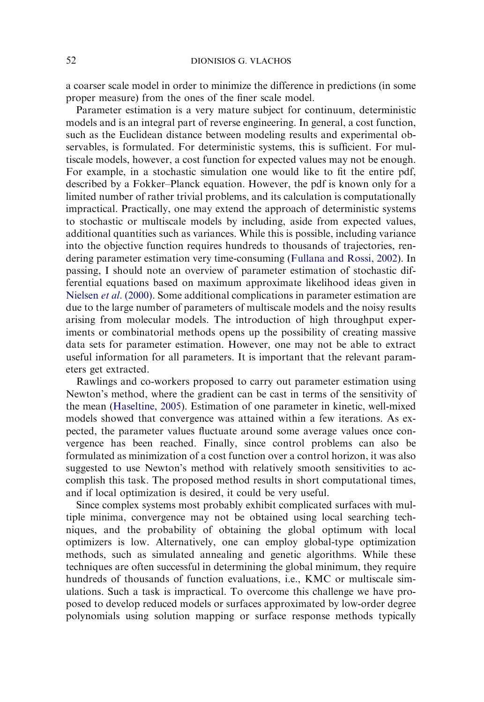a coarser scale model in order to minimize the difference in predictions (in some proper measure) from the ones of the finer scale model.

Parameter estimation is a very mature subject for continuum, deterministic models and is an integral part of reverse engineering. In general, a cost function, such as the Euclidean distance between modeling results and experimental observables, is formulated. For deterministic systems, this is sufficient. For multiscale models, however, a cost function for expected values may not be enough. For example, in a stochastic simulation one would like to fit the entire pdf, described by a Fokker–Planck equation. However, the pdf is known only for a limited number of rather trivial problems, and its calculation is computationally impractical. Practically, one may extend the approach of deterministic systems to stochastic or multiscale models by including, aside from expected values, additional quantities such as variances. While this is possible, including variance into the objective function requires hundreds to thousands of trajectories, rendering parameter estimation very time-consuming [\(Fullana and Rossi, 2002](#page-57-0)). In passing, I should note an overview of parameter estimation of stochastic differential equations based on maximum approximate likelihood ideas given in [Nielsen](#page-58-0) et al. (2000). Some additional complications in parameter estimation are due to the large number of parameters of multiscale models and the noisy results arising from molecular models. The introduction of high throughput experiments or combinatorial methods opens up the possibility of creating massive data sets for parameter estimation. However, one may not be able to extract useful information for all parameters. It is important that the relevant parameters get extracted.

Rawlings and co-workers proposed to carry out parameter estimation using Newton's method, where the gradient can be cast in terms of the sensitivity of the mean [\(Haseltine, 2005](#page-57-0)). Estimation of one parameter in kinetic, well-mixed models showed that convergence was attained within a few iterations. As expected, the parameter values fluctuate around some average values once convergence has been reached. Finally, since control problems can also be formulated as minimization of a cost function over a control horizon, it was also suggested to use Newton's method with relatively smooth sensitivities to accomplish this task. The proposed method results in short computational times, and if local optimization is desired, it could be very useful.

Since complex systems most probably exhibit complicated surfaces with multiple minima, convergence may not be obtained using local searching techniques, and the probability of obtaining the global optimum with local optimizers is low. Alternatively, one can employ global-type optimization methods, such as simulated annealing and genetic algorithms. While these techniques are often successful in determining the global minimum, they require hundreds of thousands of function evaluations, i.e., KMC or multiscale simulations. Such a task is impractical. To overcome this challenge we have proposed to develop reduced models or surfaces approximated by low-order degree polynomials using solution mapping or surface response methods typically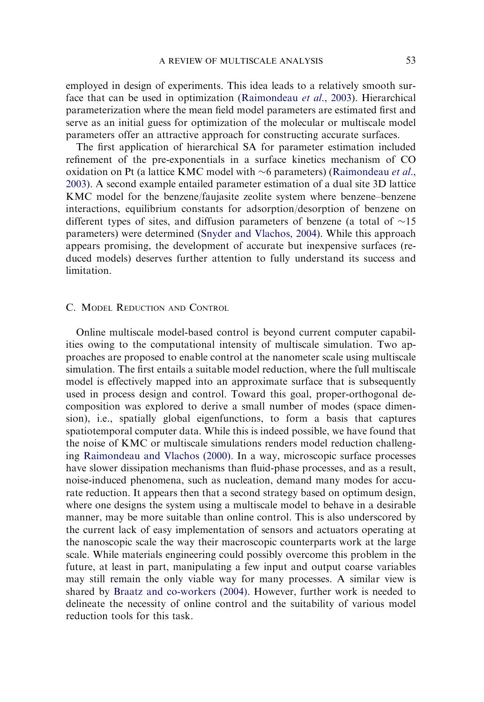employed in design of experiments. This idea leads to a relatively smooth sur-face that can be used in optimization [\(Raimondeau](#page-59-0) *et al.*, 2003). Hierarchical parameterization where the mean field model parameters are estimated first and serve as an initial guess for optimization of the molecular or multiscale model parameters offer an attractive approach for constructing accurate surfaces.

The first application of hierarchical SA for parameter estimation included refinement of the pre-exponentials in a surface kinetics mechanism of CO oxidation on Pt (a lattice KMC model with  $\sim$ 6 parameters) ([Raimondeau](#page-59-0) *et al.*, [2003\)](#page-59-0). A second example entailed parameter estimation of a dual site 3D lattice KMC model for the benzene/faujasite zeolite system where benzene–benzene interactions, equilibrium constants for adsorption/desorption of benzene on different types of sites, and diffusion parameters of benzene (a total of  $\sim$ 15 parameters) were determined ([Snyder and Vlachos, 2004](#page-60-0)). While this approach appears promising, the development of accurate but inexpensive surfaces (reduced models) deserves further attention to fully understand its success and limitation.

#### C. MODEL REDUCTION AND CONTROL

Online multiscale model-based control is beyond current computer capabilities owing to the computational intensity of multiscale simulation. Two approaches are proposed to enable control at the nanometer scale using multiscale simulation. The first entails a suitable model reduction, where the full multiscale model is effectively mapped into an approximate surface that is subsequently used in process design and control. Toward this goal, proper-orthogonal decomposition was explored to derive a small number of modes (space dimension), i.e., spatially global eigenfunctions, to form a basis that captures spatiotemporal computer data. While this is indeed possible, we have found that the noise of KMC or multiscale simulations renders model reduction challenging [Raimondeau and Vlachos \(2000\)](#page-59-0). In a way, microscopic surface processes have slower dissipation mechanisms than fluid-phase processes, and as a result, noise-induced phenomena, such as nucleation, demand many modes for accurate reduction. It appears then that a second strategy based on optimum design, where one designs the system using a multiscale model to behave in a desirable manner, may be more suitable than online control. This is also underscored by the current lack of easy implementation of sensors and actuators operating at the nanoscopic scale the way their macroscopic counterparts work at the large scale. While materials engineering could possibly overcome this problem in the future, at least in part, manipulating a few input and output coarse variables may still remain the only viable way for many processes. A similar view is shared by [Braatz and co-workers \(2004\)](#page-55-0). However, further work is needed to delineate the necessity of online control and the suitability of various model reduction tools for this task.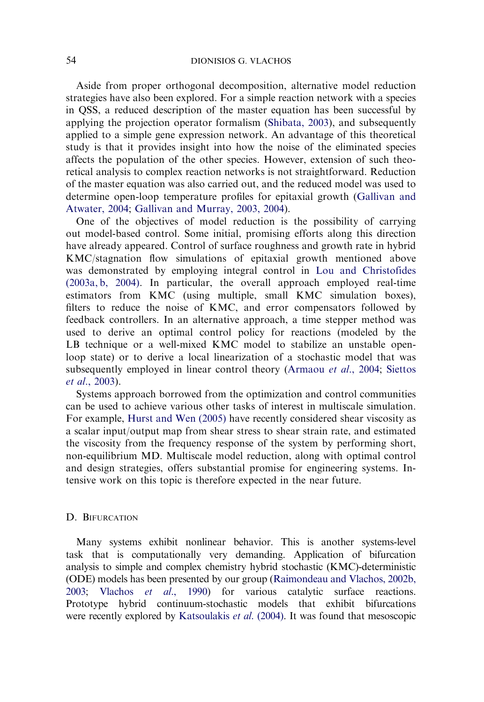Aside from proper orthogonal decomposition, alternative model reduction strategies have also been explored. For a simple reaction network with a species in QSS, a reduced description of the master equation has been successful by applying the projection operator formalism [\(Shibata, 2003](#page-60-0)), and subsequently applied to a simple gene expression network. An advantage of this theoretical study is that it provides insight into how the noise of the eliminated species affects the population of the other species. However, extension of such theoretical analysis to complex reaction networks is not straightforward. Reduction of the master equation was also carried out, and the reduced model was used to determine open-loop temperature profiles for epitaxial growth [\(Gallivan and](#page-57-0) [Atwater, 2004](#page-57-0); [Gallivan and Murray, 2003, 2004](#page-57-0)).

One of the objectives of model reduction is the possibility of carrying out model-based control. Some initial, promising efforts along this direction have already appeared. Control of surface roughness and growth rate in hybrid KMC/stagnation flow simulations of epitaxial growth mentioned above was demonstrated by employing integral control in [Lou and Christofides](#page-58-0) [\(2003a, b, 2004\).](#page-58-0) In particular, the overall approach employed real-time estimators from KMC (using multiple, small KMC simulation boxes), filters to reduce the noise of KMC, and error compensators followed by feedback controllers. In an alternative approach, a time stepper method was used to derive an optimal control policy for reactions (modeled by the LB technique or a well-mixed KMC model to stabilize an unstable openloop state) or to derive a local linearization of a stochastic model that was subsequently employed in linear control theory [\(Armaou](#page-55-0) et al., 2004; [Siettos](#page-60-0) et al[., 2003](#page-60-0)).

Systems approach borrowed from the optimization and control communities can be used to achieve various other tasks of interest in multiscale simulation. For example, [Hurst and Wen \(2005\)](#page-57-0) have recently considered shear viscosity as a scalar input/output map from shear stress to shear strain rate, and estimated the viscosity from the frequency response of the system by performing short, non-equilibrium MD. Multiscale model reduction, along with optimal control and design strategies, offers substantial promise for engineering systems. Intensive work on this topic is therefore expected in the near future.

#### D. BIFURCATION

Many systems exhibit nonlinear behavior. This is another systems-level task that is computationally very demanding. Application of bifurcation analysis to simple and complex chemistry hybrid stochastic (KMC)-deterministic (ODE) models has been presented by our group [\(Raimondeau and Vlachos, 2002b,](#page-59-0) [2003;](#page-59-0) Vlachos et al[., 1990\)](#page-60-0) for various catalytic surface reactions. Prototype hybrid continuum-stochastic models that exhibit bifurcations were recently explored by [Katsoulakis](#page-57-0) et al. (2004). It was found that mesoscopic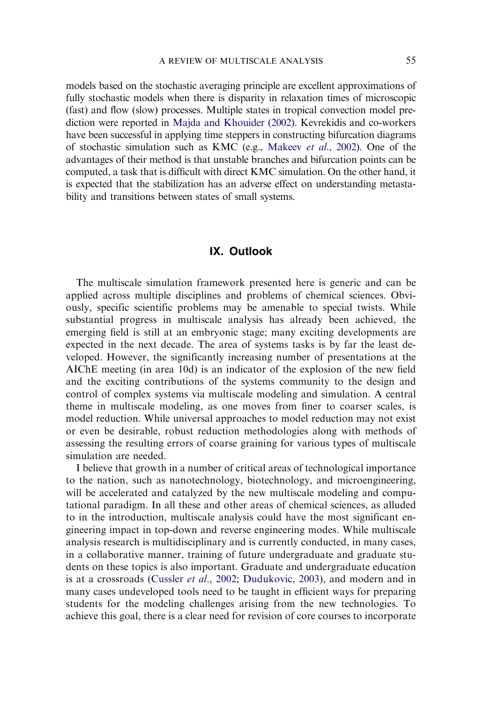models based on the stochastic averaging principle are excellent approximations of fully stochastic models when there is disparity in relaxation times of microscopic (fast) and flow (slow) processes. Multiple states in tropical convection model prediction were reported in [Majda and Khouider \(2002\).](#page-58-0) Kevrekidis and co-workers have been successful in applying time steppers in constructing bifurcation diagrams of stochastic simulation such as KMC (e.g., [Makeev](#page-58-0) *et al.*, 2002). One of the advantages of their method is that unstable branches and bifurcation points can be computed, a task that is difficult with direct KMC simulation. On the other hand, it is expected that the stabilization has an adverse effect on understanding metastability and transitions between states of small systems.

## IX. Outlook

The multiscale simulation framework presented here is generic and can be applied across multiple disciplines and problems of chemical sciences. Obviously, specific scientific problems may be amenable to special twists. While substantial progress in multiscale analysis has already been achieved, the emerging field is still at an embryonic stage; many exciting developments are expected in the next decade. The area of systems tasks is by far the least developed. However, the significantly increasing number of presentations at the AIChE meeting (in area 10d) is an indicator of the explosion of the new field and the exciting contributions of the systems community to the design and control of complex systems via multiscale modeling and simulation. A central theme in multiscale modeling, as one moves from finer to coarser scales, is model reduction. While universal approaches to model reduction may not exist or even be desirable, robust reduction methodologies along with methods of assessing the resulting errors of coarse graining for various types of multiscale simulation are needed.

I believe that growth in a number of critical areas of technological importance to the nation, such as nanotechnology, biotechnology, and microengineering, will be accelerated and catalyzed by the new multiscale modeling and computational paradigm. In all these and other areas of chemical sciences, as alluded to in the introduction, multiscale analysis could have the most significant engineering impact in top-down and reverse engineering modes. While multiscale analysis research is multidisciplinary and is currently conducted, in many cases, in a collaborative manner, training of future undergraduate and graduate students on these topics is also important. Graduate and undergraduate education is at a crossroads [\(Cussler](#page-56-0) et al., 2002; [Dudukovic, 2003](#page-56-0)), and modern and in many cases undeveloped tools need to be taught in efficient ways for preparing students for the modeling challenges arising from the new technologies. To achieve this goal, there is a clear need for revision of core courses to incorporate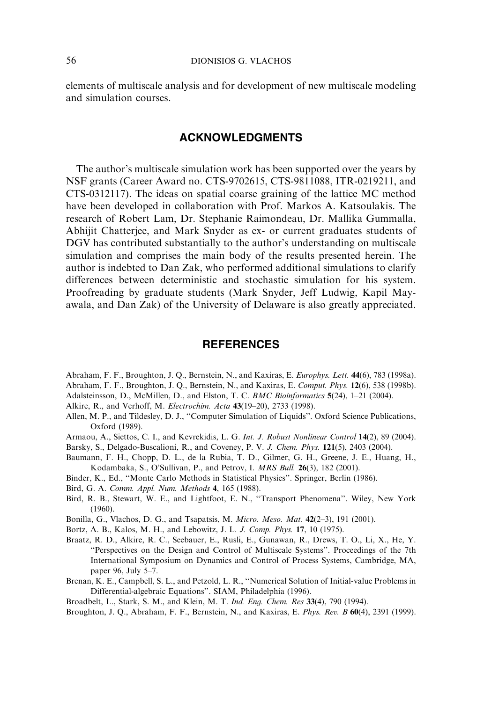<span id="page-55-0"></span>elements of multiscale analysis and for development of new multiscale modeling and simulation courses.

# ACKNOWLEDGMENTS

The author's multiscale simulation work has been supported over the years by NSF grants (Career Award no. CTS-9702615, CTS-9811088, ITR-0219211, and CTS-0312117). The ideas on spatial coarse graining of the lattice MC method have been developed in collaboration with Prof. Markos A. Katsoulakis. The research of Robert Lam, Dr. Stephanie Raimondeau, Dr. Mallika Gummalla, Abhijit Chatterjee, and Mark Snyder as ex- or current graduates students of DGV has contributed substantially to the author's understanding on multiscale simulation and comprises the main body of the results presented herein. The author is indebted to Dan Zak, who performed additional simulations to clarify differences between deterministic and stochastic simulation for his system. Proofreading by graduate students (Mark Snyder, Jeff Ludwig, Kapil Mayawala, and Dan Zak) of the University of Delaware is also greatly appreciated.

## **REFERENCES**

- Abraham, F. F., Broughton, J. Q., Bernstein, N., and Kaxiras, E. Europhys. Lett. 44(6), 783 (1998a).
- Abraham, F. F., Broughton, J. Q., Bernstein, N., and Kaxiras, E. Comput. Phys. 12(6), 538 (1998b). Adalsteinsson, D., McMillen, D., and Elston, T. C. BMC Bioinformatics 5(24), 1-21 (2004).
- Alkire, R., and Verhoff, M. Electrochim. Acta 43(19-20), 2733 (1998).
- Allen, M. P., and Tildesley, D. J., ''Computer Simulation of Liquids''. Oxford Science Publications, Oxford (1989).
- Armaou, A., Siettos, C. I., and Kevrekidis, L. G. Int. J. Robust Nonlinear Control 14(2), 89 (2004).
- Barsky, S., Delgado-Buscalioni, R., and Coveney, P. V. J. Chem. Phys. 121(5), 2403 (2004).
- Baumann, F. H., Chopp, D. L., de la Rubia, T. D., Gilmer, G. H., Greene, J. E., Huang, H., Kodambaka, S., O'Sullivan, P., and Petrov, I. MRS Bull. 26(3), 182 (2001).
- Binder, K., Ed., ''Monte Carlo Methods in Statistical Physics''. Springer, Berlin (1986).
- Bird, G. A. Comm. Appl. Num. Methods 4, 165 (1988).
- Bird, R. B., Stewart, W. E., and Lightfoot, E. N., ''Transport Phenomena''. Wiley, New York (1960).
- Bonilla, G., Vlachos, D. G., and Tsapatsis, M. Micro. Meso. Mat. 42(2–3), 191 (2001).
- Bortz, A. B., Kalos, M. H., and Lebowitz, J. L. J. Comp. Phys. 17, 10 (1975).
- Braatz, R. D., Alkire, R. C., Seebauer, E., Rusli, E., Gunawan, R., Drews, T. O., Li, X., He, Y. ''Perspectives on the Design and Control of Multiscale Systems''. Proceedings of the 7th International Symposium on Dynamics and Control of Process Systems, Cambridge, MA, paper 96, July 5–7.
- Brenan, K. E., Campbell, S. L., and Petzold, L. R., ''Numerical Solution of Initial-value Problems in Differential-algebraic Equations''. SIAM, Philadelphia (1996).
- Broadbelt, L., Stark, S. M., and Klein, M. T. Ind. Eng. Chem. Res 33(4), 790 (1994).

Broughton, J. Q., Abraham, F. F., Bernstein, N., and Kaxiras, E. Phys. Rev. B 60(4), 2391 (1999).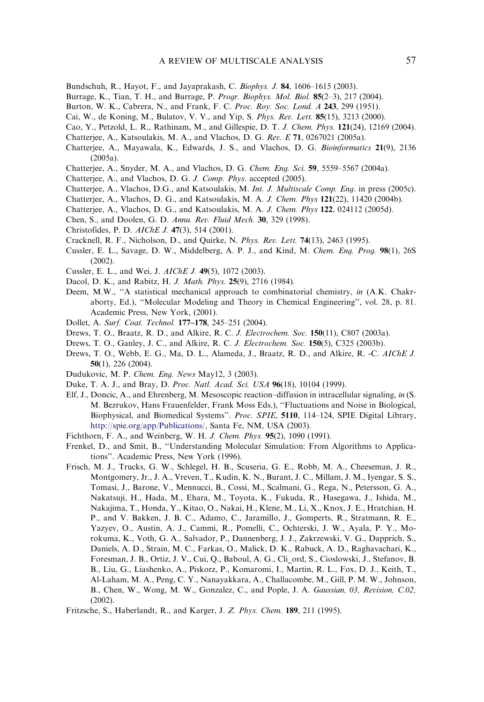- <span id="page-56-0"></span>Bundschuh, R., Hayot, F., and Jayaprakash, C. Biophys. J. 84, 1606–1615 (2003).
- Burrage, K., Tian, T. H., and Burrage, P. Progr. Biophys. Mol. Biol. 85(2–3), 217 (2004).
- Burton, W. K., Cabrera, N., and Frank, F. C. Proc. Roy. Soc. Lond. A 243, 299 (1951).
- Cai, W., de Koning, M., Bulatov, V. V., and Yip, S. Phys. Rev. Lett. 85(15), 3213 (2000).
- Cao, Y., Petzold, L. R., Rathinam, M., and Gillespie, D. T. J. Chem. Phys. 121(24), 12169 (2004).
- Chatterjee, A., Katsoulakis, M. A., and Vlachos, D. G. Rev. E 71, 0267021 (2005a).
- Chatterjee, A., Mayawala, K., Edwards, J. S., and Vlachos, D. G. Bioinformatics 21(9), 2136 (2005a).
- Chatterjee, A., Snyder, M. A., and Vlachos, D. G. Chem. Eng. Sci. 59, 5559–5567 (2004a).
- Chatterjee, A., and Vlachos, D. G. J. Comp. Phys. accepted (2005).
- Chatterjee, A., Vlachos, D.G., and Katsoulakis, M. Int. J. Multiscale Comp. Eng. in press (2005c).
- Chatterjee, A., Vlachos, D. G., and Katsoulakis, M. A. J. Chem. Phys 121(22), 11420 (2004b).
- Chatterjee, A., Vlachos, D. G., and Katsoulakis, M. A. J. Chem. Phys 122, 024112 (2005d).
- Chen, S., and Doolen, G. D. Annu. Rev. Fluid Mech. 30, 329 (1998).
- Christofides, P. D. AIChE J. 47(3), 514 (2001).
- Cracknell, R. F., Nicholson, D., and Quirke, N. Phys. Rev. Lett. 74(13), 2463 (1995).
- Cussler, E. L., Savage, D. W., Middelberg, A. P. J., and Kind, M. Chem. Eng. Prog. 98(1), 26S (2002).
- Cussler, E. L., and Wei, J. AIChE J. 49(5), 1072 (2003).
- Dacol, D. K., and Rabitz, H. J. Math. Phys. 25(9), 2716 (1984).
- Deem, M.W., "A statistical mechanical approach to combinatorial chemistry, in (A.K. Chakraborty, Ed.), ''Molecular Modeling and Theory in Chemical Engineering'', vol. 28, p. 81. Academic Press, New York, (2001).
- Dollet, A. Surf. Coat. Technol. 177–178, 245–251 (2004).
- Drews, T. O., Braatz, R. D., and Alkire, R. C. J. Electrochem. Soc. 150(11), C807 (2003a).
- Drews, T. O., Ganley, J. C., and Alkire, R. C. J. Electrochem. Soc. 150(5), C325 (2003b).
- Drews, T. O., Webb, E. G., Ma, D. L., Alameda, J., Braatz, R. D., and Alkire, R. -C. AIChE J. 50(1), 226 (2004).
- Dudukovic, M. P. Chem. Eng. News May12, 3 (2003).
- Duke, T. A. J., and Bray, D. Proc. Natl. Acad. Sci. USA 96(18), 10104 (1999).
- Elf, J., Doncic, A., and Ehrenberg, M. Mesoscopic reaction–diffusion in intracellular signaling, in (S. M. Bezrukov, Hans Frauenfelder, Frank Moss Eds.), ''Fluctuations and Noise in Biological, Biophysical, and Biomedical Systems''. Proc. SPIE, 5110, 114–124, SPIE Digital Library, http://spie.org/app/Publications/, Santa Fe, NM, USA (2003).
- Fichthorn, F. A., and Weinberg, W. H. J. Chem. Phys. 95(2), 1090 (1991).
- Frenkel, D., and Smit, B., ''Understanding Molecular Simulation: From Algorithms to Applications''. Academic Press, New York (1996).
- Frisch, M. J., Trucks, G. W., Schlegel, H. B., Scuseria, G. E., Robb, M. A., Cheeseman, J. R., Montgomery, Jr., J. A., Vreven, T., Kudin, K. N., Burant, J. C., Millam, J. M., Iyengar, S. S., Tomasi, J., Barone, V., Mennucci, B., Cossi, M., Scalmani, G., Rega, N., Petersson, G. A., Nakatsuji, H., Hada, M., Ehara, M., Toyota, K., Fukuda, R., Hasegawa, J., Ishida, M., Nakajima, T., Honda, Y., Kitao, O., Nakai, H., Klene, M., Li, X., Knox, J. E., Hratchian, H. P., and V. Bakken, J. B. C., Adamo, C., Jaramillo, J., Gomperts, R., Stratmann, R. E., Yazyev, O., Austin, A. J., Cammi, R., Pomelli, C., Ochterski, J. W., Ayala, P. Y., Morokuma, K., Voth, G. A., Salvador, P., Dannenberg, J. J., Zakrzewski, V. G., Dapprich, S., Daniels, A. D., Strain, M. C., Farkas, O., Malick, D. K., Rabuck, A. D., Raghavachari, K., Foresman, J. B., Ortiz, J. V., Cui, Q., Baboul, A. G., Cli\_ord, S., Cioslowski, J., Stefanov, B. B., Liu, G., Liashenko, A., Piskorz, P., Komaromi, I., Martin, R. L., Fox, D. J., Keith, T., Al-Laham, M. A., Peng, C. Y., Nanayakkara, A., Challacombe, M., Gill, P. M. W., Johnson, B., Chen, W., Wong, M. W., Gonzalez, C., and Pople, J. A. Gaussian, 03, Revision, C.02, (2002).

Fritzsche, S., Haberlandt, R., and Karger, J. Z. Phys. Chem. 189, 211 (1995).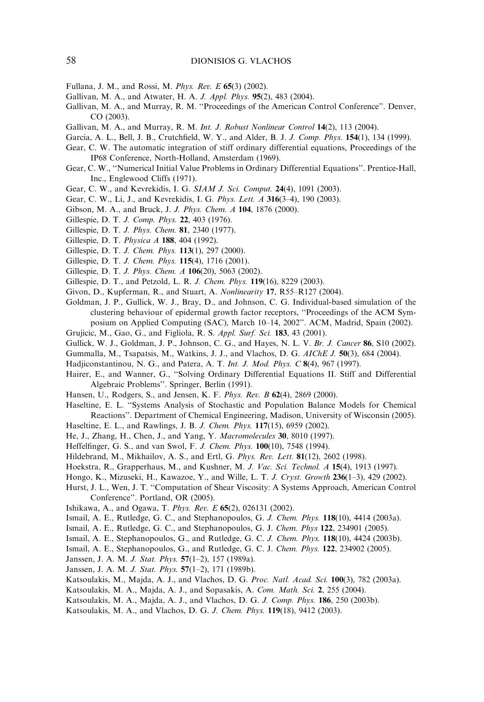- <span id="page-57-0"></span>Fullana, J. M., and Rossi, M. Phys. Rev. E 65(3) (2002).
- Gallivan, M. A., and Atwater, H. A. J. Appl. Phys. 95(2), 483 (2004).
- Gallivan, M. A., and Murray, R. M. ''Proceedings of the American Control Conference''. Denver, CO (2003).
- Gallivan, M. A., and Murray, R. M. Int. J. Robust Nonlinear Control 14(2), 113 (2004).
- Garcia, A. L., Bell, J. B., Crutchfield, W. Y., and Alder, B. J. J. Comp. Phys. 154(1), 134 (1999).
- Gear, C. W. The automatic integration of stiff ordinary differential equations, Proceedings of the IP68 Conference, North-Holland, Amsterdam (1969).
- Gear, C. W., ''Numerical Initial Value Problems in Ordinary Differential Equations''. Prentice-Hall, Inc., Englewood Cliffs (1971).
- Gear, C. W., and Kevrekidis, I. G. SIAM J. Sci. Comput. 24(4), 1091 (2003).
- Gear, C. W., Li, J., and Kevrekidis, I. G. Phys. Lett. A 316(3–4), 190 (2003).
- Gibson, M. A., and Bruck, J. J. Phys. Chem. A 104, 1876 (2000).
- Gillespie, D. T. J. Comp. Phys. 22, 403 (1976).
- Gillespie, D. T. J. Phys. Chem. 81, 2340 (1977).
- Gillespie, D. T. Physica A 188, 404 (1992).
- Gillespie, D. T. J. Chem. Phys. 113(1), 297 (2000).
- Gillespie, D. T. J. Chem. Phys. 115(4), 1716 (2001).
- Gillespie, D. T. J. Phys. Chem. A 106(20), 5063 (2002).
- Gillespie, D. T., and Petzold, L. R. J. Chem. Phys. 119(16), 8229 (2003).
- Givon, D., Kupferman, R., and Stuart, A. Nonlinearity 17, R55–R127 (2004).
- Goldman, J. P., Gullick, W. J., Bray, D., and Johnson, C. G. Individual-based simulation of the clustering behaviour of epidermal growth factor receptors, ''Proceedings of the ACM Symposium on Applied Computing (SAC), March 10–14, 2002''. ACM, Madrid, Spain (2002).
- Grujicic, M., Gao, G., and Figliola, R. S. Appl. Surf. Sci. 183, 43 (2001).
- Gullick, W. J., Goldman, J. P., Johnson, C. G., and Hayes, N. L. V. Br. J. Cancer 86, S10 (2002).
- Gummalla, M., Tsapatsis, M., Watkins, J. J., and Vlachos, D. G. *AIChE J.* 50(3), 684 (2004).
- Hadjiconstantinou, N. G., and Patera, A. T. Int. J. Mod. Phys. C 8(4), 967 (1997).
- Hairer, E., and Wanner, G., ''Solving Ordinary Differential Equations II. Stiff and Differential Algebraic Problems''. Springer, Berlin (1991).
- Hansen, U., Rodgers, S., and Jensen, K. F. Phys. Rev. B 62(4), 2869 (2000).
- Haseltine, E. L. ''Systems Analysis of Stochastic and Population Balance Models for Chemical Reactions''. Department of Chemical Engineering, Madison, University of Wisconsin (2005).
- Haseltine, E. L., and Rawlings, J. B. J. Chem. Phys. 117(15), 6959 (2002).
- He, J., Zhang, H., Chen, J., and Yang, Y. Macromolecules 30, 8010 (1997).
- Heffelfinger, G. S., and van Swol, F. J. Chem. Phys. 100(10), 7548 (1994).
- Hildebrand, M., Mikhailov, A. S., and Ertl, G. Phys. Rev. Lett. 81(12), 2602 (1998).
- Hoekstra, R., Grapperhaus, M., and Kushner, M. J. Vac. Sci. Technol. A 15(4), 1913 (1997).
- Hongo, K., Mizuseki, H., Kawazoe, Y., and Wille, L. T. J. Cryst. Growth 236(1–3), 429 (2002).
- Hurst, J. L., Wen, J. T. ''Computation of Shear Viscosity: A Systems Approach, American Control Conference''. Portland, OR (2005).
- Ishikawa, A., and Ogawa, T. Phys. Rev. E 65(2), 026131 (2002).
- Ismail, A. E., Rutledge, G. C., and Stephanopoulos, G. J. Chem. Phys. 118(10), 4414 (2003a).
- Ismail, A. E., Rutledge, G. C., and Stephanopoulos, G. J. Chem. Phys 122, 234901 (2005).
- Ismail, A. E., Stephanopoulos, G., and Rutledge, G. C. J. Chem. Phys. 118(10), 4424 (2003b).
- Ismail, A. E., Stephanopoulos, G., and Rutledge, G. C. J. Chem. Phys. 122, 234902 (2005).
- Janssen, J. A. M. J. Stat. Phys. 57(1–2), 157 (1989a).
- Janssen, J. A. M. J. Stat. Phys. 57(1-2), 171 (1989b).
- Katsoulakis, M., Majda, A. J., and Vlachos, D. G. Proc. Natl. Acad. Sci. 100(3), 782 (2003a).
- Katsoulakis, M. A., Majda, A. J., and Sopasakis, A. Com. Math. Sci. 2, 255 (2004).
- Katsoulakis, M. A., Majda, A. J., and Vlachos, D. G. J. Comp. Phys. 186, 250 (2003b).
- Katsoulakis, M. A., and Vlachos, D. G. J. Chem. Phys. 119(18), 9412 (2003).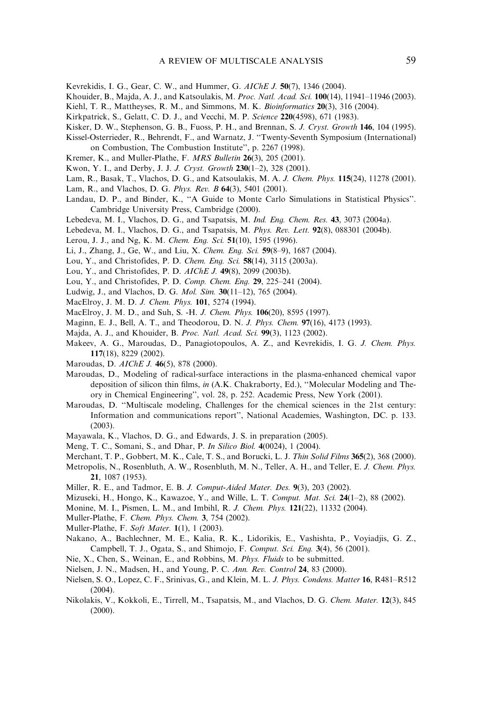- <span id="page-58-0"></span>Kevrekidis, I. G., Gear, C. W., and Hummer, G. AIChE J. 50(7), 1346 (2004).
- Khouider, B., Majda, A. J., and Katsoulakis, M. Proc. Natl. Acad. Sci. 100(14), 11941–11946 (2003).
- Kiehl, T. R., Mattheyses, R. M., and Simmons, M. K. Bioinformatics 20(3), 316 (2004).
- Kirkpatrick, S., Gelatt, C. D. J., and Vecchi, M. P. Science 220(4598), 671 (1983).
- Kisker, D. W., Stephenson, G. B., Fuoss, P. H., and Brennan, S. J. Cryst. Growth 146, 104 (1995).
- Kissel-Osterrieder, R., Behrendt, F., and Warnatz, J. ''Twenty-Seventh Symposium (International)
- on Combustion, The Combustion Institute'', p. 2267 (1998). Kremer, K., and Muller-Plathe, F. MRS Bulletin 26(3), 205 (2001).
- Kwon, Y. I., and Derby, J. J. J. Cryst. Growth 230(1–2), 328 (2001).
- 
- Lam, R., Basak, T., Vlachos, D. G., and Katsoulakis, M. A. J. Chem. Phys. 115(24), 11278 (2001).
- Lam, R., and Vlachos, D. G. Phys. Rev. B 64(3), 5401 (2001).
- Landau, D. P., and Binder, K., ''A Guide to Monte Carlo Simulations in Statistical Physics''. Cambridge University Press, Cambridge (2000).
- Lebedeva, M. I., Vlachos, D. G., and Tsapatsis, M. Ind. Eng. Chem. Res. 43, 3073 (2004a).
- Lebedeva, M. I., Vlachos, D. G., and Tsapatsis, M. Phys. Rev. Lett. 92(8), 088301 (2004b).
- Lerou, J. J., and Ng, K. M. Chem. Eng. Sci. 51(10), 1595 (1996).
- Li, J., Zhang, J., Ge, W., and Liu, X. Chem. Eng. Sci. 59(8–9), 1687 (2004).
- Lou, Y., and Christofides, P. D. Chem. Eng. Sci. 58(14), 3115 (2003a).
- Lou, Y., and Christofides, P. D. AIChE J. 49(8), 2099 (2003b).
- Lou, Y., and Christofides, P. D. Comp. Chem. Eng. 29, 225–241 (2004).
- Ludwig, J., and Vlachos, D. G. Mol. Sim. 30(11–12), 765 (2004).
- MacElroy, J. M. D. J. Chem. Phys. 101, 5274 (1994).
- MacElroy, J. M. D., and Suh, S. -H. J. Chem. Phys. 106(20), 8595 (1997).
- Maginn, E. J., Bell, A. T., and Theodorou, D. N. J. Phys. Chem. 97(16), 4173 (1993).
- Majda, A. J., and Khouider, B. Proc. Natl. Acad. Sci. 99(3), 1123 (2002).
- Makeev, A. G., Maroudas, D., Panagiotopoulos, A. Z., and Kevrekidis, I. G. J. Chem. Phys. 117(18), 8229 (2002).
- Maroudas, D. AIChE J. 46(5), 878 (2000).
- Maroudas, D., Modeling of radical-surface interactions in the plasma-enhanced chemical vapor deposition of silicon thin films, in (A.K. Chakraborty, Ed.), ''Molecular Modeling and Theory in Chemical Engineering'', vol. 28, p. 252. Academic Press, New York (2001).
- Maroudas, D. ''Multiscale modeling, Challenges for the chemical sciences in the 21st century: Information and communications report'', National Academies, Washington, DC. p. 133. (2003).
- Mayawala, K., Vlachos, D. G., and Edwards, J. S. in preparation (2005).
- Meng, T. C., Somani, S., and Dhar, P. In Silico Biol. 4(0024), 1 (2004).
- Merchant, T. P., Gobbert, M. K., Cale, T. S., and Borucki, L. J. Thin Solid Films 365(2), 368 (2000).
- Metropolis, N., Rosenbluth, A. W., Rosenbluth, M. N., Teller, A. H., and Teller, E. J. Chem. Phys. 21, 1087 (1953).
- Miller, R. E., and Tadmor, E. B. J. Comput-Aided Mater. Des. 9(3), 203 (2002).
- Mizuseki, H., Hongo, K., Kawazoe, Y., and Wille, L. T. Comput. Mat. Sci. 24(1–2), 88 (2002).
- Monine, M. I., Pismen, L. M., and Imbihl, R. J. Chem. Phys. 121(22), 11332 (2004).
- Muller-Plathe, F. Chem. Phys. Chem. 3, 754 (2002).
- Muller-Plathe, F. Soft Mater. 1(1), 1 (2003).
- Nakano, A., Bachlechner, M. E., Kalia, R. K., Lidorikis, E., Vashishta, P., Voyiadjis, G. Z., Campbell, T. J., Ogata, S., and Shimojo, F. Comput. Sci. Eng. 3(4), 56 (2001).
- Nie, X., Chen, S., Weinan, E., and Robbins, M. Phys. Fluids to be submitted.
- Nielsen, J. N., Madsen, H., and Young, P. C. Ann. Rev. Control 24, 83 (2000).
- Nielsen, S. O., Lopez, C. F., Srinivas, G., and Klein, M. L. J. Phys. Condens. Matter 16, R481–R512 (2004).
- Nikolakis, V., Kokkoli, E., Tirrell, M., Tsapatsis, M., and Vlachos, D. G. Chem. Mater. 12(3), 845 (2000).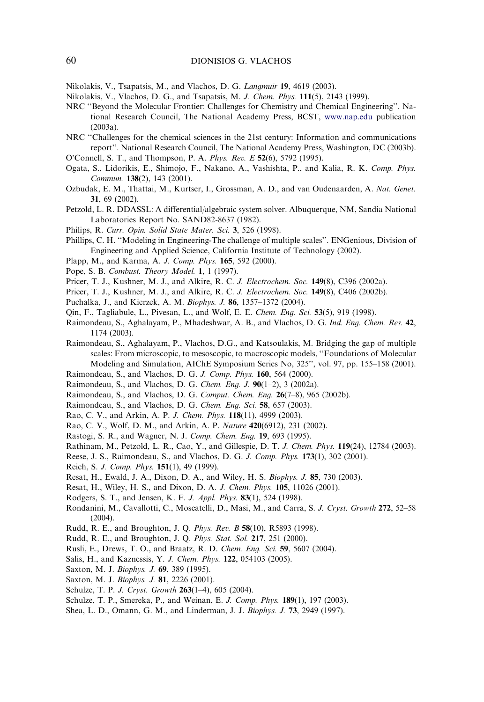- <span id="page-59-0"></span>Nikolakis, V., Tsapatsis, M., and Vlachos, D. G. Langmuir 19, 4619 (2003).
- Nikolakis, V., Vlachos, D. G., and Tsapatsis, M. J. Chem. Phys. 111(5), 2143 (1999).
- NRC ''Beyond the Molecular Frontier: Challenges for Chemistry and Chemical Engineering''. National Research Council, The National Academy Press, BCST, www.nap.edu publication (2003a).
- NRC ''Challenges for the chemical sciences in the 21st century: Information and communications report''. National Research Council, The National Academy Press, Washington, DC (2003b).
- O'Connell, S. T., and Thompson, P. A. Phys. Rev. E 52(6), 5792 (1995).
- Ogata, S., Lidorikis, E., Shimojo, F., Nakano, A., Vashishta, P., and Kalia, R. K. Comp. Phys. Commun. 138(2), 143 (2001).
- Ozbudak, E. M., Thattai, M., Kurtser, I., Grossman, A. D., and van Oudenaarden, A. Nat. Genet. 31, 69 (2002).
- Petzold, L. R. DDASSL: A differential/algebraic system solver. Albuquerque, NM, Sandia National Laboratories Report No. SAND82-8637 (1982).
- Philips, R. Curr. Opin. Solid State Mater. Sci. 3, 526 (1998).
- Phillips, C. H. ''Modeling in Engineering-The challenge of multiple scales''. ENGenious, Division of Engineering and Applied Science, California Institute of Technology (2002).
- Plapp, M., and Karma, A. J. Comp. Phys. 165, 592 (2000).
- Pope, S. B. Combust. Theory Model. 1, 1 (1997).
- Pricer, T. J., Kushner, M. J., and Alkire, R. C. J. Electrochem. Soc. 149(8), C396 (2002a).
- Pricer, T. J., Kushner, M. J., and Alkire, R. C. J. Electrochem. Soc. 149(8), C406 (2002b).
- Puchalka, J., and Kierzek, A. M. Biophys. J. 86, 1357–1372 (2004).
- Qin, F., Tagliabule, L., Pivesan, L., and Wolf, E. E. Chem. Eng. Sci. 53(5), 919 (1998).
- Raimondeau, S., Aghalayam, P., Mhadeshwar, A. B., and Vlachos, D. G. Ind. Eng. Chem. Res. 42, 1174 (2003).
- Raimondeau, S., Aghalayam, P., Vlachos, D.G., and Katsoulakis, M. Bridging the gap of multiple scales: From microscopic, to mesoscopic, to macroscopic models, ''Foundations of Molecular Modeling and Simulation, AIChE Symposium Series No, 325'', vol. 97, pp. 155–158 (2001).
- Raimondeau, S., and Vlachos, D. G. J. Comp. Phys. 160, 564 (2000).
- Raimondeau, S., and Vlachos, D. G. Chem. Eng. J. 90(1-2), 3 (2002a).
- Raimondeau, S., and Vlachos, D. G. Comput. Chem. Eng. 26(7–8), 965 (2002b).
- Raimondeau, S., and Vlachos, D. G. Chem. Eng. Sci. 58, 657 (2003).
- Rao, C. V., and Arkin, A. P. J. Chem. Phys. 118(11), 4999 (2003).
- Rao, C. V., Wolf, D. M., and Arkin, A. P. Nature 420(6912), 231 (2002).
- Rastogi, S. R., and Wagner, N. J. Comp. Chem. Eng. 19, 693 (1995).
- Rathinam, M., Petzold, L. R., Cao, Y., and Gillespie, D. T. J. Chem. Phys. 119(24), 12784 (2003).
- Reese, J. S., Raimondeau, S., and Vlachos, D. G. J. Comp. Phys. 173(1), 302 (2001).
- Reich, S. J. Comp. Phys. 151(1), 49 (1999).
- Resat, H., Ewald, J. A., Dixon, D. A., and Wiley, H. S. Biophys. J. 85, 730 (2003).
- Resat, H., Wiley, H. S., and Dixon, D. A. J. Chem. Phys. 105, 11026 (2001).
- Rodgers, S. T., and Jensen, K. F. J. Appl. Phys. 83(1), 524 (1998).
- Rondanini, M., Cavallotti, C., Moscatelli, D., Masi, M., and Carra, S. J. Cryst. Growth 272, 52-58 (2004).
- Rudd, R. E., and Broughton, J. Q. Phys. Rev. B 58(10), R5893 (1998).
- Rudd, R. E., and Broughton, J. Q. Phys. Stat. Sol. 217, 251 (2000).
- Rusli, E., Drews, T. O., and Braatz, R. D. Chem. Eng. Sci. 59, 5607 (2004).
- Salis, H., and Kaznessis, Y. J. Chem. Phys. 122, 054103 (2005).
- Saxton, M. J. Biophys. J. 69, 389 (1995).
- Saxton, M. J. Biophys. J. 81, 2226 (2001).
- Schulze, T. P. J. Cryst. Growth 263(1–4), 605 (2004).
- Schulze, T. P., Smereka, P., and Weinan, E. J. Comp. Phys. 189(1), 197 (2003).
- Shea, L. D., Omann, G. M., and Linderman, J. J. Biophys. J. 73, 2949 (1997).